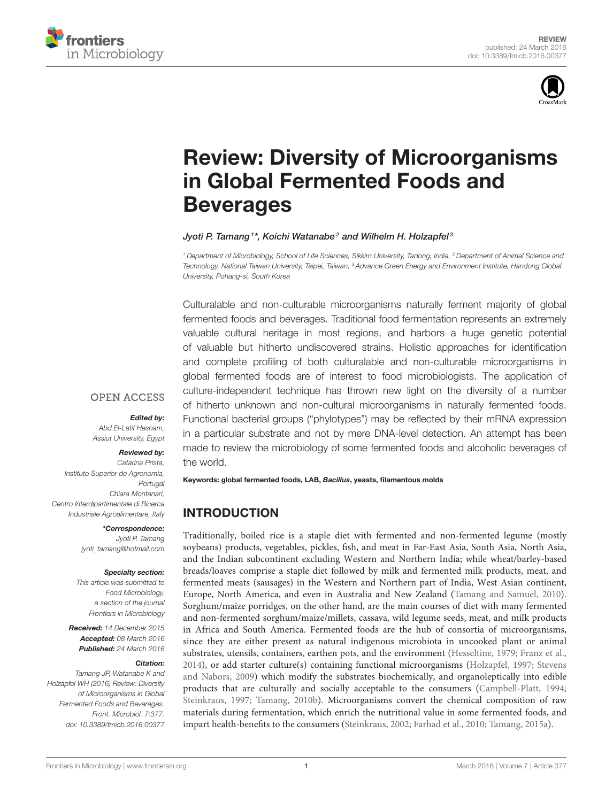



# [Review: Diversity of Microorganisms](http://journal.frontiersin.org/article/10.3389/fmicb.2016.00377/abstract) in Global Fermented Foods and **Beverages**

#### [Jyoti P. Tamang](http://loop.frontiersin.org/people/24652/overview) <sup>1\*</sup>, [Koichi Watanabe](http://loop.frontiersin.org/people/318279/overview)<sup>2</sup> and [Wilhelm H. Holzapfel](http://loop.frontiersin.org/people/299534/overview)<sup>3</sup>

<sup>1</sup> Department of Microbiology, School of Life Sciences, Sikkim University, Tadong, India, <sup>2</sup> Department of Animal Science and Technology, National Taiwan University, Taipei, Taiwan, <sup>3</sup> Advance Green Energy and Environment Institute, Handong Global University, Pohang-si, South Korea

Culturalable and non-culturable microorganisms naturally ferment majority of global fermented foods and beverages. Traditional food fermentation represents an extremely valuable cultural heritage in most regions, and harbors a huge genetic potential of valuable but hitherto undiscovered strains. Holistic approaches for identification and complete profiling of both culturalable and non-culturable microorganisms in global fermented foods are of interest to food microbiologists. The application of culture-independent technique has thrown new light on the diversity of a number of hitherto unknown and non-cultural microorganisms in naturally fermented foods. Functional bacterial groups ("phylotypes") may be reflected by their mRNA expression in a particular substrate and not by mere DNA-level detection. An attempt has been made to review the microbiology of some fermented foods and alcoholic beverages of the world.

#### **OPEN ACCESS**

#### Edited by:

Abd El-Latif Hesham, Assiut University, Egypt

## Reviewed by:

Catarina Prista, Instituto Superior de Agronomia, **Portugal** Chiara Montanari, Centro Interdipartimentale di Ricerca Industriale Agroalimentare, Italy

> \*Correspondence: Jyoti P. Tamang [jyoti\\_tamang@hotmail.com](mailto:jyoti_tamang@hotmail.com)

#### Specialty section:

This article was submitted to Food Microbiology, a section of the journal Frontiers in Microbiology

Received: 14 December 2015 Accepted: 08 March 2016 Published: 24 March 2016

#### Citation:

Tamang JP, Watanabe K and Holzapfel WH (2016) Review: Diversity of Microorganisms in Global Fermented Foods and Beverages. Front. Microbiol. 7:377. doi: [10.3389/fmicb.2016.00377](http://dx.doi.org/10.3389/fmicb.2016.00377)

Keywords: global fermented foods, LAB, Bacillus, yeasts, filamentous molds

# INTRODUCTION

Traditionally, boiled rice is a staple diet with fermented and non-fermented legume (mostly soybeans) products, vegetables, pickles, fish, and meat in Far-East Asia, South Asia, North Asia, and the Indian subcontinent excluding Western and Northern India; while wheat/barley-based breads/loaves comprise a staple diet followed by milk and fermented milk products, meat, and fermented meats (sausages) in the Western and Northern part of India, West Asian continent, Europe, North America, and even in Australia and New Zealand [\(Tamang and Samuel, 2010\)](#page-25-0). Sorghum/maize porridges, on the other hand, are the main courses of diet with many fermented and non-fermented sorghum/maize/millets, cassava, wild legume seeds, meat, and milk products in Africa and South America. Fermented foods are the hub of consortia of microorganisms, since they are either present as natural indigenous microbiota in uncooked plant or animal substrates, utensils, containers, earthen pots, and the environment [\(Hesseltine, 1979;](#page-21-0) [Franz et al.,](#page-20-0) [2014\)](#page-20-0), or add starter culture(s) containing functional microorganisms [\(Holzapfel, 1997;](#page-21-1) Stevens and Nabors, [2009\)](#page-25-1) which modify the substrates biochemically, and organoleptically into edible products that are culturally and socially acceptable to the consumers [\(Campbell-Platt, 1994;](#page-18-0) [Steinkraus, 1997;](#page-25-2) [Tamang, 2010b\)](#page-25-3). Microorganisms convert the chemical composition of raw materials during fermentation, which enrich the nutritional value in some fermented foods, and impart health-benefits to the consumers [\(Steinkraus, 2002;](#page-25-4) [Farhad et al., 2010;](#page-20-1) [Tamang, 2015a\)](#page-25-5).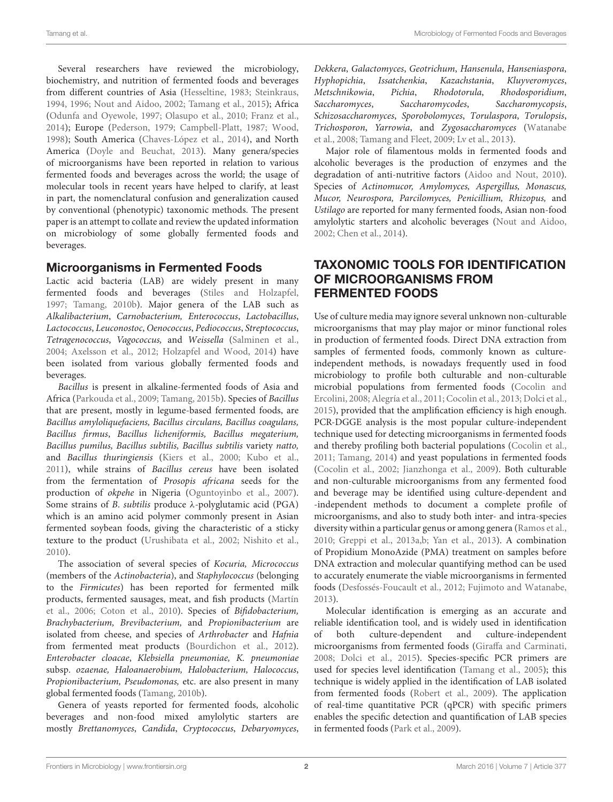Several researchers have reviewed the microbiology, biochemistry, and nutrition of fermented foods and beverages from different countries of Asia [\(Hesseltine, 1983;](#page-21-2) [Steinkraus,](#page-25-6) [1994,](#page-25-6) [1996;](#page-25-7) [Nout and Aidoo, 2002;](#page-23-0) [Tamang et al., 2015\)](#page-26-0); Africa [\(Odunfa and Oyewole, 1997;](#page-23-1) [Olasupo et al., 2010;](#page-23-2) [Franz et al.,](#page-20-0) [2014\)](#page-20-0); Europe [\(Pederson, 1979;](#page-24-0) [Campbell-Platt, 1987;](#page-18-1) [Wood,](#page-26-1) [1998\)](#page-26-1); South America [\(Chaves-López et al., 2014\)](#page-19-0), and North America [\(Doyle and Beuchat, 2013\)](#page-20-2). Many genera/species of microorganisms have been reported in relation to various fermented foods and beverages across the world; the usage of molecular tools in recent years have helped to clarify, at least in part, the nomenclatural confusion and generalization caused by conventional (phenotypic) taxonomic methods. The present paper is an attempt to collate and review the updated information on microbiology of some globally fermented foods and beverages.

#### Microorganisms in Fermented Foods

Lactic acid bacteria (LAB) are widely present in many fermented foods and beverages [\(Stiles and Holzapfel,](#page-25-8) [1997;](#page-25-8) [Tamang, 2010b\)](#page-25-3). Major genera of the LAB such as Alkalibacterium, Carnobacterium, Enterococcus, Lactobacillus, Lactococcus, Leuconostoc, Oenococcus, Pediococcus, Streptococcus, Tetragenococcus, Vagococcus, and Weissella [\(Salminen et al.,](#page-24-1) [2004;](#page-24-1) [Axelsson et al., 2012;](#page-18-2) [Holzapfel and Wood, 2014\)](#page-21-3) have been isolated from various globally fermented foods and beverages.

Bacillus is present in alkaline-fermented foods of Asia and Africa [\(Parkouda et al., 2009;](#page-24-2) [Tamang, 2015b\)](#page-25-9). Species of Bacillus that are present, mostly in legume-based fermented foods, are Bacillus amyloliquefaciens, Bacillus circulans, Bacillus coagulans, Bacillus firmus, Bacillus licheniformis, Bacillus megaterium, Bacillus pumilus, Bacillus subtilis, Bacillus subtilis variety natto, and Bacillus thuringiensis [\(Kiers et al., 2000;](#page-21-4) [Kubo et al.,](#page-22-0) [2011\)](#page-22-0), while strains of Bacillus cereus have been isolated from the fermentation of Prosopis africana seeds for the production of okpehe in Nigeria [\(Oguntoyinbo et al., 2007\)](#page-23-3). Some strains of B. subtilis produce  $\lambda$ -polyglutamic acid (PGA) which is an amino acid polymer commonly present in Asian fermented soybean foods, giving the characteristic of a sticky texture to the product [\(Urushibata et al., 2002;](#page-26-2) [Nishito et al.,](#page-23-4) [2010\)](#page-23-4).

The association of several species of Kocuria, Micrococcus (members of the Actinobacteria), and Staphylococcus (belonging to the Firmicutes) has been reported for fermented milk products, fermented sausages, meat, and fish products (Martín et al., [2006;](#page-22-1) [Coton et al., 2010\)](#page-19-1). Species of Bifidobacterium, Brachybacterium, Brevibacterium, and Propionibacterium are isolated from cheese, and species of Arthrobacter and Hafnia from fermented meat products [\(Bourdichon et al., 2012\)](#page-18-3). Enterobacter cloacae, Klebsiella pneumoniae, K. pneumoniae subsp. ozaenae, Haloanaerobium, Halobacterium, Halococcus, Propionibacterium, Pseudomonas, etc. are also present in many global fermented foods [\(Tamang, 2010b\)](#page-25-3).

Genera of yeasts reported for fermented foods, alcoholic beverages and non-food mixed amylolytic starters are mostly Brettanomyces, Candida, Cryptococcus, Debaryomyces, Dekkera, Galactomyces, Geotrichum, Hansenula, Hanseniaspora, Hyphopichia, Issatchenkia, Kazachstania, Kluyveromyces, Metschnikowia, Pichia, Rhodotorula, Rhodosporidium, Saccharomyces, Saccharomycodes, Saccharomycopsis, Schizosaccharomyces, Sporobolomyces, Torulaspora, Torulopsis, Trichosporon, Yarrowia, and Zygosaccharomyces (Watanabe et al., [2008;](#page-26-3) [Tamang and Fleet, 2009;](#page-25-10) [Lv et al., 2013\)](#page-22-2).

Major role of filamentous molds in fermented foods and alcoholic beverages is the production of enzymes and the degradation of anti-nutritive factors [\(Aidoo and Nout, 2010\)](#page-18-4). Species of Actinomucor, Amylomyces, Aspergillus, Monascus, Mucor, Neurospora, Parcilomyces, Penicillium, Rhizopus, and Ustilago are reported for many fermented foods, Asian non-food amylolytic starters and alcoholic beverages [\(Nout and Aidoo,](#page-23-0) [2002;](#page-23-0) [Chen et al., 2014\)](#page-19-2).

### TAXONOMIC TOOLS FOR IDENTIFICATION OF MICROORGANISMS FROM FERMENTED FOODS

Use of culture media may ignore several unknown non-culturable microorganisms that may play major or minor functional roles in production of fermented foods. Direct DNA extraction from samples of fermented foods, commonly known as cultureindependent methods, is nowadays frequently used in food microbiology to profile both culturable and non-culturable microbial populations from fermented foods (Cocolin and Ercolini, [2008;](#page-19-3) [Alegría et al., 2011;](#page-18-5) [Cocolin et al., 2013;](#page-19-4) [Dolci et al.,](#page-20-3) [2015\)](#page-20-3), provided that the amplification efficiency is high enough. PCR-DGGE analysis is the most popular culture-independent technique used for detecting microorganisms in fermented foods and thereby profiling both bacterial populations [\(Cocolin et al.,](#page-19-5) [2011;](#page-19-5) [Tamang, 2014\)](#page-25-11) and yeast populations in fermented foods [\(Cocolin et al., 2002;](#page-19-6) [Jianzhonga et al., 2009\)](#page-21-5). Both culturable and non-culturable microorganisms from any fermented food and beverage may be identified using culture-dependent and -independent methods to document a complete profile of microorganisms, and also to study both inter- and intra-species diversity within a particular genus or among genera [\(Ramos et al.,](#page-24-3) [2010;](#page-24-3) [Greppi et al., 2013a,](#page-20-4)[b;](#page-20-5) [Yan et al., 2013\)](#page-27-0). A combination of Propidium MonoAzide (PMA) treatment on samples before DNA extraction and molecular quantifying method can be used to accurately enumerate the viable microorganisms in fermented foods [\(Desfossés-Foucault et al., 2012;](#page-19-7) [Fujimoto and Watanabe,](#page-20-6) [2013\)](#page-20-6).

Molecular identification is emerging as an accurate and reliable identification tool, and is widely used in identification of both culture-dependent and culture-independent microorganisms from fermented foods [\(Giraffa and Carminati,](#page-20-7) [2008;](#page-20-7) [Dolci et al., 2015\)](#page-20-3). Species-specific PCR primers are used for species level identification [\(Tamang et al., 2005\)](#page-25-12); this technique is widely applied in the identification of LAB isolated from fermented foods [\(Robert et al., 2009\)](#page-24-4). The application of real-time quantitative PCR (qPCR) with specific primers enables the specific detection and quantification of LAB species in fermented foods [\(Park et al., 2009\)](#page-23-5).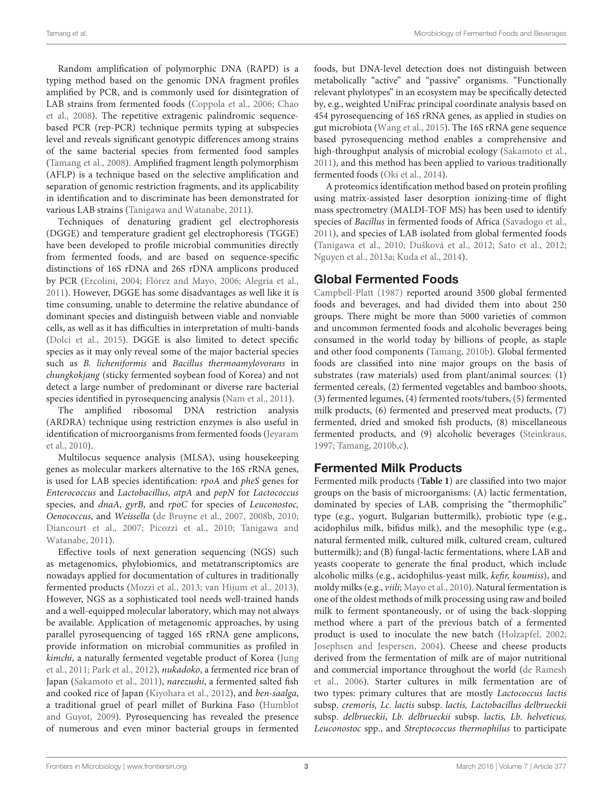Random amplification of polymorphic DNA (RAPD) is a typing method based on the genomic DNA fragment profiles amplified by PCR, and is commonly used for disintegration of LAB strains from fermented foods [\(Coppola et al., 2006;](#page-19-8) Chao et al., [2008\)](#page-19-9). The repetitive extragenic palindromic sequencebased PCR (rep-PCR) technique permits typing at subspecies level and reveals significant genotypic differences among strains of the same bacterial species from fermented food samples [\(Tamang et al., 2008\)](#page-25-13). Amplified fragment length polymorphism (AFLP) is a technique based on the selective amplification and separation of genomic restriction fragments, and its applicability in identification and to discriminate has been demonstrated for various LAB strains [\(Tanigawa and Watanabe, 2011\)](#page-26-4).

Techniques of denaturing gradient gel electrophoresis (DGGE) and temperature gradient gel electrophoresis (TGGE) have been developed to profile microbial communities directly from fermented foods, and are based on sequence-specific distinctions of 16S rDNA and 26S rDNA amplicons produced by PCR [\(Ercolini, 2004;](#page-20-8) [Flórez and Mayo, 2006;](#page-20-9) [Alegría et al.,](#page-18-5) [2011\)](#page-18-5). However, DGGE has some disadvantages as well like it is time consuming, unable to determine the relative abundance of dominant species and distinguish between viable and nonviable cells, as well as it has difficulties in interpretation of multi-bands [\(Dolci et al., 2015\)](#page-20-3). DGGE is also limited to detect specific species as it may only reveal some of the major bacterial species such as B. licheniformis and Bacillus thermoamylovorans in chungkokjang (sticky fermented soybean food of Korea) and not detect a large number of predominant or diverse rare bacterial species identified in pyrosequencing analysis [\(Nam et al., 2011\)](#page-23-6).

The amplified ribosomal DNA restriction analysis (ARDRA) technique using restriction enzymes is also useful in identification of microorganisms from fermented foods (Jeyaram et al., [2010\)](#page-21-6).

Multilocus sequence analysis (MLSA), using housekeeping genes as molecular markers alternative to the 16S rRNA genes, is used for LAB species identification: rpoA and pheS genes for Enterococcus and Lactobacillus, atpA and pepN for Lactococcus species, and *dnaA*, gyrB, and rpoC for species of Leuconostoc, Oenococcus, and Weissella [\(de Bruyne et al., 2007,](#page-19-10) [2008b,](#page-19-11) [2010;](#page-19-12) [Diancourt et al., 2007;](#page-19-13) [Picozzi et al., 2010;](#page-24-5) Tanigawa and Watanabe, [2011\)](#page-26-4).

Effective tools of next generation sequencing (NGS) such as metagenomics, phylobiomics, and metatranscriptomics are nowadays applied for documentation of cultures in traditionally fermented products [\(Mozzi et al., 2013;](#page-22-3) [van Hijum et al., 2013\)](#page-26-5). However, NGS as a sophisticated tool needs well-trained hands and a well-equipped molecular laboratory, which may not always be available. Application of metagenomic approaches, by using parallel pyrosequencing of tagged 16S rRNA gene amplicons, provide information on microbial communities as profiled in kimchi, a naturally fermented vegetable product of Korea (Jung et al., [2011;](#page-21-7) [Park et al., 2012\)](#page-23-7), nukadoko, a fermented rice bran of Japan [\(Sakamoto et al., 2011\)](#page-24-6), narezushi, a fermented salted fish and cooked rice of Japan [\(Kiyohara et al., 2012\)](#page-22-4), and ben-saalga, a traditional gruel of pearl millet of Burkina Faso (Humblot and Guyot, [2009\)](#page-21-8). Pyrosequencing has revealed the presence of numerous and even minor bacterial groups in fermented foods, but DNA-level detection does not distinguish between metabolically "active" and "passive" organisms. "Functionally relevant phylotypes" in an ecosystem may be specifically detected by, e.g., weighted UniFrac principal coordinate analysis based on 454 pyrosequencing of 16S rRNA genes, as applied in studies on gut microbiota [\(Wang et al., 2015\)](#page-26-6). The 16S rRNA gene sequence based pyrosequencing method enables a comprehensive and high-throughput analysis of microbial ecology [\(Sakamoto et al.,](#page-24-6) [2011\)](#page-24-6), and this method has been applied to various traditionally fermented foods [\(Oki et al., 2014\)](#page-23-8).

A proteomics identification method based on protein profiling using matrix-assisted laser desorption ionizing-time of flight mass spectrometry (MALDI-TOF MS) has been used to identify species of Bacillus in fermented foods of Africa [\(Savadogo et al.,](#page-24-7) [2011\)](#page-24-7), and species of LAB isolated from global fermented foods [\(Tanigawa et al., 2010;](#page-26-7) [Dušková et al., 2012;](#page-20-10) [Sato et al., 2012;](#page-24-8) [Nguyen et al., 2013a;](#page-23-9) [Kuda et al., 2014\)](#page-22-5).

## Global Fermented Foods

[Campbell-Platt \(1987\)](#page-18-1) reported around 3500 global fermented foods and beverages, and had divided them into about 250 groups. There might be more than 5000 varieties of common and uncommon fermented foods and alcoholic beverages being consumed in the world today by billions of people, as staple and other food components [\(Tamang, 2010b\)](#page-25-3). Global fermented foods are classified into nine major groups on the basis of substrates (raw materials) used from plant/animal sources: (1) fermented cereals, (2) fermented vegetables and bamboo shoots, (3) fermented legumes, (4) fermented roots/tubers, (5) fermented milk products, (6) fermented and preserved meat products, (7) fermented, dried and smoked fish products, (8) miscellaneous fermented products, and (9) alcoholic beverages [\(Steinkraus,](#page-25-2) [1997;](#page-25-2) [Tamang, 2010b,](#page-25-3)[c\)](#page-25-14).

### Fermented Milk Products

Fermented milk products (**[Table 1](#page-3-0)**) are classified into two major groups on the basis of microorganisms: (A) lactic fermentation, dominated by species of LAB, comprising the "thermophilic" type (e.g., yogurt, Bulgarian buttermilk), probiotic type (e.g., acidophilus milk, bifidus milk), and the mesophilic type (e.g., natural fermented milk, cultured milk, cultured cream, cultured buttermilk); and (B) fungal-lactic fermentations, where LAB and yeasts cooperate to generate the final product, which include alcoholic milks (e.g., acidophilus-yeast milk, kefir, koumiss), and moldy milks (e.g., viili; [Mayo et al., 2010\)](#page-22-6). Natural fermentation is one of the oldest methods of milk processing using raw and boiled milk to ferment spontaneously, or of using the back-slopping method where a part of the previous batch of a fermented product is used to inoculate the new batch [\(Holzapfel, 2002;](#page-21-9) [Josephsen and Jespersen, 2004\)](#page-21-10). Cheese and cheese products derived from the fermentation of milk are of major nutritional and commercial importance throughout the world (de Ramesh et al., [2006\)](#page-19-14). Starter cultures in milk fermentation are of two types: primary cultures that are mostly Lactococcus lactis subsp. cremoris, Lc. lactis subsp. lactis, Lactobacillus delbrueckii subsp. delbrueckii, Lb. delbrueckii subsp. lactis, Lb. helveticus, Leuconostoc spp., and Streptococcus thermophilus to participate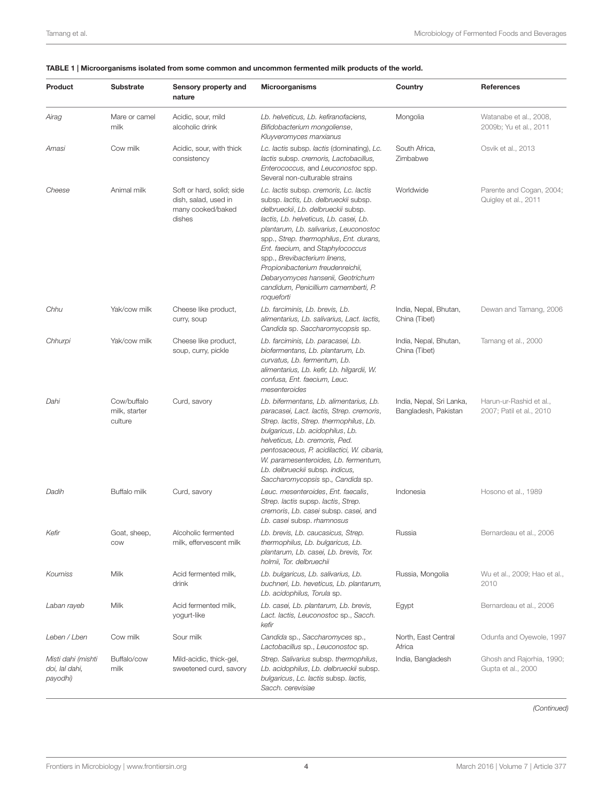| Product                                          | <b>Substrate</b>                        | Sensory property and<br>nature                                                   | <b>Microorganisms</b>                                                                                                                                                                                                                                                                                                                                                                                                                                     | Country                                          | <b>References</b>                                   |
|--------------------------------------------------|-----------------------------------------|----------------------------------------------------------------------------------|-----------------------------------------------------------------------------------------------------------------------------------------------------------------------------------------------------------------------------------------------------------------------------------------------------------------------------------------------------------------------------------------------------------------------------------------------------------|--------------------------------------------------|-----------------------------------------------------|
| Airag                                            | Mare or camel<br>milk                   | Acidic, sour, mild<br>alcoholic drink                                            | Lb. helveticus, Lb. kefiranofaciens,<br>Bifidobacterium mongoliense,<br>Kluyveromyces marxianus                                                                                                                                                                                                                                                                                                                                                           | Mongolia                                         | Watanabe et al., 2008,<br>2009b; Yu et al., 2011    |
| Amasi                                            | Cow milk                                | Acidic, sour, with thick<br>consistency                                          | Lc. lactis subsp. lactis (dominating), Lc.<br>lactis subsp. cremoris, Lactobacillus,<br>Enterococcus, and Leuconostoc spp.<br>Several non-culturable strains                                                                                                                                                                                                                                                                                              | South Africa,<br>Zimbabwe                        | Osvik et al., 2013                                  |
| Cheese                                           | Animal milk                             | Soft or hard, solid; side<br>dish, salad, used in<br>many cooked/baked<br>dishes | Lc. lactis subsp. cremoris, Lc. lactis<br>subsp. lactis, Lb. delbrueckii subsp.<br>delbrueckii, Lb. delbrueckii subsp.<br>lactis, Lb. helveticus, Lb. casei, Lb.<br>plantarum, Lb. salivarius, Leuconostoc<br>spp., Strep. thermophilus, Ent. durans,<br>Ent. faecium, and Staphylococcus<br>spp., Brevibacterium linens,<br>Propionibacterium freudenreichii,<br>Debaryomyces hansenii, Geotrichum<br>candidum, Penicillium camemberti, P.<br>roqueforti | Worldwide                                        | Parente and Cogan, 2004;<br>Quigley et al., 2011    |
| Chhu                                             | Yak/cow milk                            | Cheese like product,<br>curry, soup                                              | Lb. farciminis, Lb. brevis, Lb.<br>alimentarius, Lb. salivarius, Lact. lactis,<br>Candida sp. Saccharomycopsis sp.                                                                                                                                                                                                                                                                                                                                        | India, Nepal, Bhutan,<br>China (Tibet)           | Dewan and Tamang, 2006                              |
| Chhurpi                                          | Yak/cow milk                            | Cheese like product,<br>soup, curry, pickle                                      | Lb. farciminis, Lb. paracasei, Lb.<br>biofermentans, Lb. plantarum, Lb.<br>curvatus, Lb. fermentum, Lb.<br>alimentarius, Lb. kefir, Lb. hilgardii, W.<br>confusa, Ent. faecium, Leuc.<br>mesenteroides                                                                                                                                                                                                                                                    | India, Nepal, Bhutan,<br>China (Tibet)           | Tamang et al., 2000                                 |
| Dahi                                             | Cow/buffalo<br>milk, starter<br>culture | Curd, savory                                                                     | Lb. bifermentans, Lb. alimentarius, Lb.<br>paracasei, Lact. lactis, Strep. cremoris,<br>Strep. lactis, Strep. thermophilus, Lb.<br>bulgaricus, Lb. acidophilus, Lb.<br>helveticus, Lb. cremoris, Ped.<br>pentosaceous, P. acidilactici, W. cibaria,<br>W. paramesenteroides, Lb. fermentum,<br>Lb. delbrueckii subsp. indicus,<br>Saccharomycopsis sp., Candida sp.                                                                                       | India, Nepal, Sri Lanka,<br>Bangladesh, Pakistan | Harun-ur-Rashid et al.,<br>2007; Patil et al., 2010 |
| Dadih                                            | Buffalo milk                            | Curd, savory                                                                     | Leuc. mesenteroides, Ent. faecalis,<br>Strep. lactis supsp. lactis, Strep.<br>cremoris, Lb. casei subsp. casei, and<br>Lb. casei subsp. rhamnosus                                                                                                                                                                                                                                                                                                         | Indonesia                                        | Hosono et al., 1989                                 |
| Kefir                                            | Goat, sheep,<br>COW                     | Alcoholic fermented<br>milk, effervescent milk                                   | Lb. brevis, Lb. caucasicus, Strep.<br>thermophilus, Lb. bulgaricus, Lb.<br>plantarum, Lb. casei, Lb. brevis, Tor.<br>holmii, Tor. delbruechii                                                                                                                                                                                                                                                                                                             | Russia                                           | Bernardeau et al., 2006                             |
| Koumiss                                          | Milk                                    | Acid fermented milk,<br>drink                                                    | Lb. bulgaricus, Lb. salivarius, Lb.<br>buchneri, Lb. heveticus, Lb. plantarum,<br>Lb. acidophilus, Torula sp.                                                                                                                                                                                                                                                                                                                                             | Russia, Mongolia                                 | Wu et al., 2009; Hao et al.,<br>2010                |
| Laban rayeb                                      | Milk                                    | Acid fermented milk,<br>yogurt-like                                              | Lb. casei, Lb. plantarum, Lb. brevis,<br>Lact. lactis, Leuconostoc sp., Sacch.<br>kefir                                                                                                                                                                                                                                                                                                                                                                   | Egypt                                            | Bernardeau et al., 2006                             |
| Leben / Lben                                     | Cow milk                                | Sour milk                                                                        | Candida sp., Saccharomyces sp.,<br>Lactobacillus sp., Leuconostoc sp.                                                                                                                                                                                                                                                                                                                                                                                     | North, East Central<br>Africa                    | Odunfa and Oyewole, 1997                            |
| Misti dahi (mishti<br>doi, lal dahi,<br>payodhi) | Buffalo/cow<br>milk                     | Mild-acidic, thick-gel,<br>sweetened curd, savory                                | Strep. Salivarius subsp. thermophilus,<br>Lb. acidophilus, Lb. delbrueckii subsp.<br>bulgaricus, Lc. lactis subsp. lactis,<br>Sacch. cerevisiae                                                                                                                                                                                                                                                                                                           | India, Bangladesh                                | Ghosh and Rajorhia, 1990;<br>Gupta et al., 2000     |

#### <span id="page-3-0"></span>TABLE 1 | Microorganisms isolated from some common and uncommon fermented milk products of the world.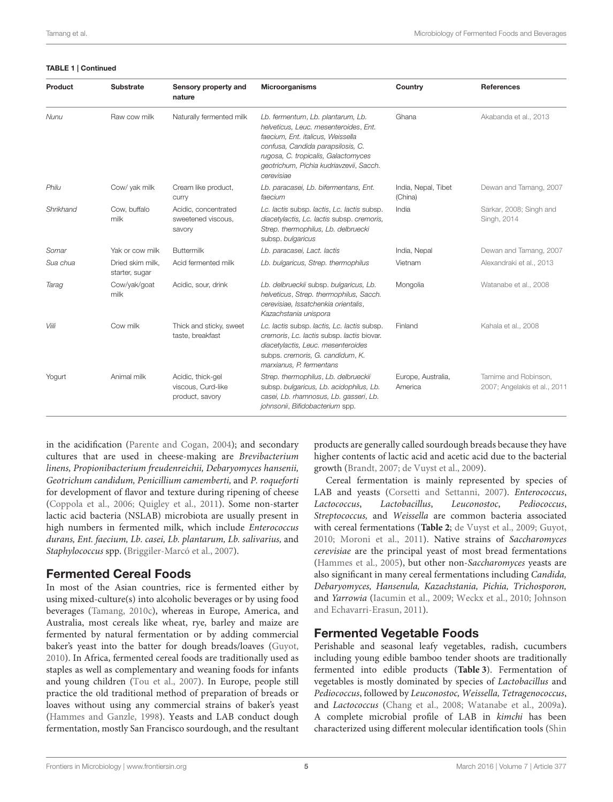#### TABLE 1 | Continued

| Product   | <b>Substrate</b>                   | Sensory property and<br>nature                             | <b>Microorganisms</b>                                                                                                                                                                                                                                | Country                        | <b>References</b>                                    |
|-----------|------------------------------------|------------------------------------------------------------|------------------------------------------------------------------------------------------------------------------------------------------------------------------------------------------------------------------------------------------------------|--------------------------------|------------------------------------------------------|
| Nunu      | Raw cow milk                       | Naturally fermented milk                                   | Lb. fermentum, Lb. plantarum, Lb.<br>helveticus, Leuc. mesenteroides, Ent.<br>faecium, Ent. italicus, Weissella<br>confusa, Candida parapsilosis, C.<br>rugosa, C. tropicalis, Galactomyces<br>geotrichum, Pichia kudriavzevii, Sacch.<br>cerevisiae | Ghana                          | Akabanda et al., 2013                                |
| Philu     | Cow/ yak milk                      | Cream like product,<br><b>CUITY</b>                        | Lb. paracasei, Lb. bifermentans, Ent.<br>faecium                                                                                                                                                                                                     | India, Nepal, Tibet<br>(China) | Dewan and Tamang, 2007                               |
| Shrikhand | Cow, buffalo<br>milk               | Acidic, concentrated<br>sweetened viscous.<br>savory       | Lc. lactis subsp. lactis, Lc. lactis subsp.<br>diacetylactis, Lc. lactis subsp. cremoris,<br>Strep. thermophilus, Lb. delbruecki<br>subsp. bulgaricus                                                                                                | India                          | Sarkar, 2008; Singh and<br>Singh, 2014               |
| Somar     | Yak or cow milk                    | <b>Buttermilk</b>                                          | Lb. paracasei, Lact. lactis                                                                                                                                                                                                                          | India, Nepal                   | Dewan and Tamang, 2007                               |
| Sua chua  | Dried skim milk.<br>starter, sugar | Acid fermented milk                                        | Lb. bulgaricus, Strep. thermophilus                                                                                                                                                                                                                  | Vietnam                        | Alexandraki et al., 2013                             |
| Tarag     | Cow/yak/goat<br>milk               | Acidic, sour, drink                                        | Lb. delbrueckii subsp. bulgaricus, Lb.<br>helveticus, Strep. thermophilus, Sacch.<br>cerevisiae, Issatchenkia orientalis,<br>Kazachstania unispora                                                                                                   | Mongolia                       | Watanabe et al., 2008                                |
| Viili     | Cow milk                           | Thick and sticky, sweet<br>taste, breakfast                | Lc. lactis subsp. lactis, Lc. lactis subsp.<br>cremoris, Lc. lactis subsp. lactis biovar.<br>diacetylactis, Leuc. mesenteroides<br>subps. cremoris, G. candidum, K.<br>marxianus. P. fermentans                                                      | Finland                        | Kahala et al., 2008                                  |
| Yogurt    | Animal milk                        | Acidic, thick-gel<br>viscous, Curd-like<br>product, savory | Strep. thermophilus, Lb. delbrueckii<br>subsp. bulgaricus, Lb. acidophilus, Lb.<br>casei, Lb. rhamnosus, Lb. gasseri, Lb.<br>johnsonii, Bifidobacterium spp.                                                                                         | Europe, Australia,<br>America  | Tamime and Robinson.<br>2007; Angelakis et al., 2011 |

in the acidification [\(Parente and Cogan, 2004\)](#page-23-11); and secondary cultures that are used in cheese-making are Brevibacterium linens, Propionibacterium freudenreichii, Debaryomyces hansenii, Geotrichum candidum, Penicillium camemberti, and P. roqueforti for development of flavor and texture during ripening of cheese [\(Coppola et al., 2006;](#page-19-8) [Quigley et al., 2011\)](#page-24-9). Some non-starter lactic acid bacteria (NSLAB) microbiota are usually present in high numbers in fermented milk, which include Enterococcus durans, Ent. faecium, Lb. casei, Lb. plantarum, Lb. salivarius, and Staphylococcus spp. [\(Briggiler-Marcó et al., 2007\)](#page-18-10).

### Fermented Cereal Foods

In most of the Asian countries, rice is fermented either by using mixed-culture(s) into alcoholic beverages or by using food beverages [\(Tamang, 2010c\)](#page-25-14), whereas in Europe, America, and Australia, most cereals like wheat, rye, barley and maize are fermented by natural fermentation or by adding commercial baker's yeast into the batter for dough breads/loaves [\(Guyot,](#page-20-14) [2010\)](#page-20-14). In Africa, fermented cereal foods are traditionally used as staples as well as complementary and weaning foods for infants and young children [\(Tou et al., 2007\)](#page-26-11). In Europe, people still practice the old traditional method of preparation of breads or loaves without using any commercial strains of baker's yeast [\(Hammes and Ganzle, 1998\)](#page-20-15). Yeasts and LAB conduct dough fermentation, mostly San Francisco sourdough, and the resultant products are generally called sourdough breads because they have higher contents of lactic acid and acetic acid due to the bacterial growth [\(Brandt, 2007;](#page-18-11) [de Vuyst et al., 2009\)](#page-19-17).

Cereal fermentation is mainly represented by species of LAB and yeasts [\(Corsetti and Settanni, 2007\)](#page-19-18). Enterococcus, Lactococcus, Lactobacillus, Leuconostoc, Pediococcus, Streptococcus, and Weissella are common bacteria associated with cereal fermentations (**[Table 2](#page-5-0)**; [de Vuyst et al., 2009;](#page-19-17) [Guyot,](#page-20-14) [2010;](#page-20-14) [Moroni et al., 2011\)](#page-22-7). Native strains of Saccharomyces cerevisiae are the principal yeast of most bread fermentations [\(Hammes et al., 2005\)](#page-20-16), but other non-Saccharomyces yeasts are also significant in many cereal fermentations including Candida, Debaryomyces, Hansenula, Kazachstania, Pichia, Trichosporon, and Yarrowia [\(Iacumin et al., 2009;](#page-21-14) [Weckx et al., 2010;](#page-26-12) Johnson and Echavarri-Erasun, [2011\)](#page-21-15).

# Fermented Vegetable Foods

Perishable and seasonal leafy vegetables, radish, cucumbers including young edible bamboo tender shoots are traditionally fermented into edible products (**[Table 3](#page-7-0)**). Fermentation of vegetables is mostly dominated by species of Lactobacillus and Pediococcus, followed by Leuconostoc, Weissella, Tetragenococcus, and Lactococcus [\(Chang et al., 2008;](#page-18-12) [Watanabe et al., 2009a\)](#page-26-13). A complete microbial profile of LAB in kimchi has been characterized using different molecular identification tools (Shin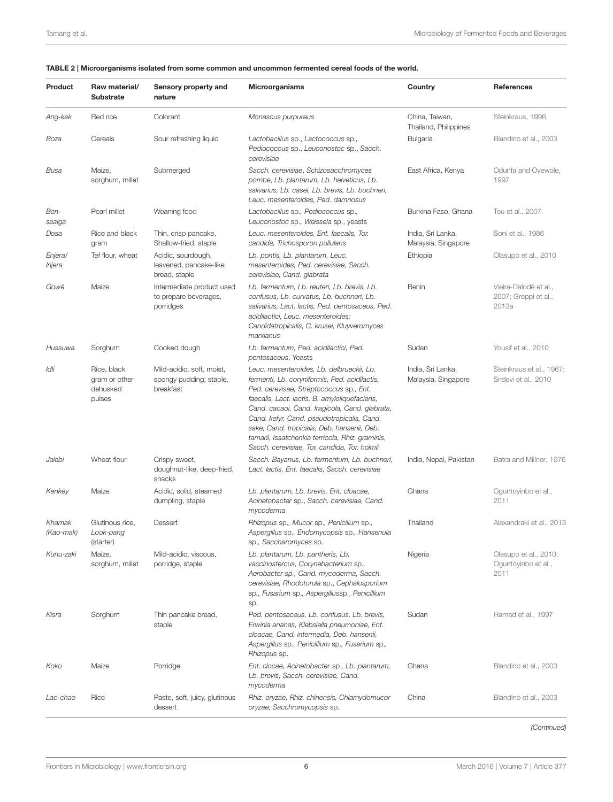#### <span id="page-5-0"></span>TABLE 2 | Microorganisms isolated from some common and uncommon fermented cereal foods of the world.

| Product             | Raw material/<br><b>Substrate</b>                  | Sensory property and<br>nature                                    | <b>Microorganisms</b>                                                                                                                                                                                                                                                                                                                                                                                                                     | Country                                  | <b>References</b>                                      |
|---------------------|----------------------------------------------------|-------------------------------------------------------------------|-------------------------------------------------------------------------------------------------------------------------------------------------------------------------------------------------------------------------------------------------------------------------------------------------------------------------------------------------------------------------------------------------------------------------------------------|------------------------------------------|--------------------------------------------------------|
| Ang-kak             | Red rice                                           | Colorant                                                          | Monascus purpureus                                                                                                                                                                                                                                                                                                                                                                                                                        | China, Taiwan,<br>Thailand, Philippines  | Steinkraus, 1996                                       |
| Boza                | Cereals                                            | Sour refreshing liquid                                            | Lactobacillus sp., Lactococcus sp.,<br>Pediococcus sp., Leuconostoc sp., Sacch.<br>cerevisiae                                                                                                                                                                                                                                                                                                                                             | Bulgaria                                 | Blandino et al., 2003                                  |
| Busa                | Maize,<br>sorghum, millet                          | Submerged                                                         | Sacch. cerevisiae, Schizosacchromyces<br>pombe, Lb. plantarum, Lb. helveticus, Lb.<br>salivarius, Lb. casei, Lb. brevis, Lb. buchneri,<br>Leuc. mesenteroides, Ped. damnosus                                                                                                                                                                                                                                                              | East Africa, Kenya                       | Odunfa and Oyewole,<br>1997                            |
| Ben-<br>saalga      | Pearl millet                                       | Weaning food                                                      | Lactobacillus sp., Pediococcus sp.,<br>Leuconostoc sp., Weissela sp., yeasts                                                                                                                                                                                                                                                                                                                                                              | Burkina Faso, Ghana                      | Tou et al., 2007                                       |
| Dosa                | Rice and black<br>gram                             | Thin, crisp pancake,<br>Shallow-fried, staple                     | Leuc. mesenteroides, Ent. faecalis, Tor.<br>candida, Trichosporon pullulans                                                                                                                                                                                                                                                                                                                                                               | India, Sri Lanka,<br>Malaysia, Singapore | Soni et al., 1986                                      |
| Enjera/<br>Injera   | Tef flour, wheat                                   | Acidic, sourdough,<br>leavened, pancake-like<br>bread, staple     | Lb. pontis, Lb. plantarum, Leuc.<br>mesenteroides, Ped. cerevisiae, Sacch.<br>cerevisiae, Cand. glabrata                                                                                                                                                                                                                                                                                                                                  | Ethiopia                                 | Olasupo et al., 2010                                   |
| Gowé                | Maize                                              | Intermediate product used<br>to prepare beverages,<br>porridges   | Lb. fermentum, Lb. reuteri, Lb. brevis, Lb.<br>confusus, Lb. curvatus, Lb. buchneri, Lb.<br>salivarius, Lact. lactis, Ped. pentosaceus, Ped.<br>acidilactici, Leuc. mesenteroides;<br>Candidatropicalis, C. krusei, Kluyveromyces<br>marxianus                                                                                                                                                                                            | Benin                                    | Vieira-Dalodé et al.,<br>2007; Greppi et al.,<br>2013a |
| Hussuwa             | Sorghum                                            | Cooked dough                                                      | Lb. fermentum, Ped. acidilactici, Ped.<br>pentosaceus, Yeasts                                                                                                                                                                                                                                                                                                                                                                             | Sudan                                    | Yousif et al., 2010                                    |
| Idli                | Rice, black<br>gram or other<br>dehusked<br>pulses | Mild-acidic, soft, moist,<br>spongy pudding; staple,<br>breakfast | Leuc. mesenteroides, Lb. delbrueckii, Lb.<br>fermenti, Lb. coryniformis, Ped. acidilactis,<br>Ped. cerevisae, Streptococcus sp., Ent.<br>faecalis, Lact. lactis, B. amyloliquefaciens,<br>Cand. cacaoi, Cand. fragicola, Cand. glabrata,<br>Cand. kefyr, Cand. pseudotropicalis, Cand.<br>sake, Cand. tropicalis, Deb. hansenii, Deb.<br>tamarii, Issatchenkia terricola, Rhiz. graminis,<br>Sacch. cerevisiae, Tor. candida, Tor. holmii | India, Sri Lanka,<br>Malaysia, Singapore | Steinkraus et al., 1967;<br>Sridevi et al., 2010       |
| Jalebi              | Wheat flour                                        | Crispy sweet,<br>doughnut-like, deep-fried,<br>snacks             | Sacch. Bayanus, Lb. fermentum, Lb. buchneri,<br>Lact. lactis, Ent. faecalis, Sacch. cerevisiae                                                                                                                                                                                                                                                                                                                                            | India, Nepal, Pakistan                   | Batra and Millner, 1976                                |
| Kenkey              | Maize                                              | Acidic, solid, steamed<br>dumpling, staple                        | Lb. plantarum, Lb. brevis, Ent. cloacae,<br>Acinetobacter sp., Sacch. cerevisiae, Cand.<br>mycoderma                                                                                                                                                                                                                                                                                                                                      | Ghana                                    | Oguntoyinbo et al.,<br>2011                            |
| Khamak<br>(Kao-mak) | Glutinous rice,<br>Look-pang<br>(starter)          | Dessert                                                           | Rhizopus sp., Mucor sp., Penicillum sp.,<br>Aspergillus sp., Endomycopsis sp., Hansenula<br>sp., Saccharomyces sp.                                                                                                                                                                                                                                                                                                                        | Thailand                                 | Alexandraki et al., 2013                               |
| Kunu-zaki           | Maize,<br>sorghum, millet                          | Mild-acidic, viscous,<br>porridge, staple                         | Lb. plantarum, Lb. pantheris, Lb.<br>vaccinostercus, Corynebacterium sp.,<br>Aerobacter sp., Cand. mycoderma, Sacch.<br>cerevisiae, Rhodotorula sp., Cephalosporium<br>sp., Fusarium sp., Aspergillussp., Penicillium<br>sp.                                                                                                                                                                                                              | Nigeria                                  | Olasupo et al., 2010;<br>Oguntoyinbo et al.,<br>2011   |
| Kisra               | Sorghum                                            | Thin pancake bread,<br>staple                                     | Ped. pentosaceus, Lb. confusus, Lb. brevis,<br>Erwinia ananas, Klebsiella pneumoniae, Ent.<br>cloacae, Cand. intermedia, Deb. hansenii,<br>Aspergillus sp., Penicillium sp., Fusarium sp.,<br>Rhizopus sp.                                                                                                                                                                                                                                | Sudan                                    | Hamad et al., 1997                                     |
| Koko                | Maize                                              | Porridge                                                          | Ent. clocae, Acinetobacter sp., Lb. plantarum,<br>Lb. brevis, Sacch. cerevisiae, Cand.<br>mycoderma                                                                                                                                                                                                                                                                                                                                       | Ghana                                    | Blandino et al., 2003                                  |
| Lao-chao            | Rice                                               | Paste, soft, juicy, glutinous<br>dessert                          | Rhiz. oryzae, Rhiz. chinensis, Chlamydomucor<br>oryzae, Sacchromycopsis sp.                                                                                                                                                                                                                                                                                                                                                               | China                                    | Blandino et al., 2003                                  |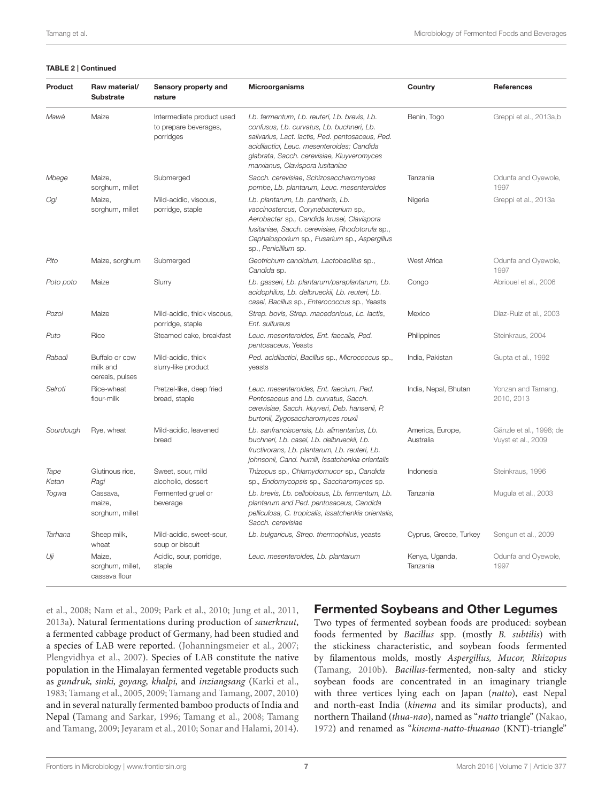#### TABLE 2 | Continued

| Product       | Raw material/<br><b>Substrate</b>             | Sensory property and<br>nature                                  | <b>Microorganisms</b>                                                                                                                                                                                                                                                        | Country                       | <b>References</b>                             |
|---------------|-----------------------------------------------|-----------------------------------------------------------------|------------------------------------------------------------------------------------------------------------------------------------------------------------------------------------------------------------------------------------------------------------------------------|-------------------------------|-----------------------------------------------|
| Mawè          | Maize                                         | Intermediate product used<br>to prepare beverages,<br>porridges | Lb. fermentum, Lb. reuteri, Lb. brevis, Lb.<br>confusus, Lb. curvatus, Lb. buchneri, Lb.<br>salivarius, Lact. lactis, Ped. pentosaceus, Ped.<br>acidilactici, Leuc. mesenteroides; Candida<br>glabrata, Sacch. cerevisiae, Kluyveromyces<br>marxianus, Clavispora Iusitaniae | Benin, Togo                   | Greppi et al., 2013a,b                        |
| Mbege         | Maize.<br>sorghum, millet                     | Submerged                                                       | Sacch. cerevisiae, Schizosaccharomyces<br>pombe, Lb. plantarum, Leuc. mesenteroides                                                                                                                                                                                          | Tanzania                      | Odunfa and Oyewole,<br>1997                   |
| Ogi           | Maize,<br>sorghum, millet                     | Mild-acidic, viscous,<br>porridge, staple                       | Lb. plantarum, Lb. pantheris, Lb.<br>vaccinostercus, Corynebacterium sp.,<br>Aerobacter sp., Candida krusei, Clavispora<br>lusitaniae, Sacch. cerevisiae, Rhodotorula sp.,<br>Cephalosporium sp., Fusarium sp., Aspergillus<br>sp., Penicillium sp.                          | Nigeria                       | Greppi et al., 2013a                          |
| Pito          | Maize, sorghum                                | Submerged                                                       | Geotrichum candidum, Lactobacillus sp.,<br>Candida sp.                                                                                                                                                                                                                       | West Africa                   | Odunfa and Oyewole,<br>1997                   |
| Poto poto     | Maize                                         | Slurry                                                          | Lb. gasseri, Lb. plantarum/paraplantarum, Lb.<br>acidophilus, Lb. delbrueckii, Lb. reuteri, Lb.<br>casei, Bacillus sp., Enterococcus sp., Yeasts                                                                                                                             | Congo                         | Abriouel et al., 2006                         |
| Pozol         | Maize                                         | Mild-acidic, thick viscous,<br>porridge, staple                 | Strep. bovis, Strep. macedonicus, Lc. lactis,<br>Ent. sulfureus                                                                                                                                                                                                              | Mexico                        | Díaz-Ruiz et al., 2003                        |
| Puto          | Rice                                          | Steamed cake, breakfast                                         | Leuc. mesenteroides, Ent. faecalis, Ped.<br>pentosaceus, Yeasts                                                                                                                                                                                                              | Philippines                   | Steinkraus, 2004                              |
| Rabadi        | Buffalo or cow<br>milk and<br>cereals, pulses | Mild-acidic, thick<br>slurry-like product                       | Ped. acidilactici, Bacillus sp., Micrococcus sp.,<br>yeasts                                                                                                                                                                                                                  | India, Pakistan               | Gupta et al., 1992                            |
| Selroti       | Rice-wheat<br>flour-milk                      | Pretzel-like, deep fried<br>bread, staple                       | Leuc. mesenteroides, Ent. faecium, Ped.<br>Pentosaceus and Lb. curvatus. Sacch.<br>cerevisiae, Sacch. kluyveri, Deb. hansenii, P.<br>burtonii, Zygosaccharomyces rouxii                                                                                                      | India, Nepal, Bhutan          | Yonzan and Tamang,<br>2010.2013               |
| Sourdough     | Rye, wheat                                    | Mild-acidic, leavened<br>bread                                  | Lb. sanfranciscensis, Lb. alimentarius, Lb.<br>buchneri, Lb. casei, Lb. delbrueckii, Lb.<br>fructivorans, Lb. plantarum, Lb. reuteri, Lb.<br>johnsonii, Cand. humili, Issatchenkia orientalis                                                                                | America, Europe,<br>Australia | Gänzle et al., 1998; de<br>Vuyst et al., 2009 |
| Tape<br>Ketan | Glutinous rice,<br>Ragi                       | Sweet, sour, mild<br>alcoholic, dessert                         | Thizopus sp., Chlamydomucor sp., Candida<br>sp., Endomycopsis sp., Saccharomyces sp.                                                                                                                                                                                         | Indonesia                     | Steinkraus, 1996                              |
| Togwa         | Cassava,<br>maize,<br>sorghum, millet         | Fermented gruel or<br>beverage                                  | Lb. brevis, Lb. cellobiosus, Lb. fermentum, Lb.<br>plantarum and Ped. pentosaceus, Candida<br>pelliculosa, C. tropicalis, Issatchenkia orientalis,<br>Sacch, cerevisiae                                                                                                      | Tanzania                      | Mugula et al., 2003                           |
| Tarhana       | Sheep milk,<br>wheat                          | Mild-acidic, sweet-sour,<br>soup or biscuit                     | Lb. bulgaricus, Strep. thermophilus, yeasts                                                                                                                                                                                                                                  | Cyprus, Greece, Turkey        | Sengun et al., 2009                           |
| Uji           | Maize,<br>sorghum, millet,<br>cassava flour   | Acidic, sour, porridge,<br>staple                               | Leuc. mesenteroides, Lb. plantarum                                                                                                                                                                                                                                           | Kenya, Uganda,<br>Tanzania    | Odunfa and Oyewole,<br>1997                   |

et al., [2008;](#page-25-21) [Nam et al., 2009;](#page-23-13) [Park et al., 2010;](#page-24-13) [Jung et al., 2011,](#page-21-7) [2013a\)](#page-21-16). Natural fermentations during production of sauerkraut, a fermented cabbage product of Germany, had been studied and a species of LAB were reported. [\(Johanningsmeier et al., 2007;](#page-21-17) [Plengvidhya et al., 2007\)](#page-24-14). Species of LAB constitute the native population in the Himalayan fermented vegetable products such as gundruk, sinki, goyang, khalpi, and inziangsang [\(Karki et al.,](#page-21-18) [1983;](#page-21-18) [Tamang et al., 2005,](#page-25-12) [2009;](#page-26-15) [Tamang and Tamang, 2007,](#page-25-22) [2010\)](#page-25-23) and in several naturally fermented bamboo products of India and Nepal [\(Tamang and Sarkar, 1996;](#page-25-24) [Tamang et al., 2008;](#page-25-13) Tamang and Tamang, [2009;](#page-25-25) [Jeyaram et al., 2010;](#page-21-6) [Sonar and Halami, 2014\)](#page-25-26).

### Fermented Soybeans and Other Legumes

Two types of fermented soybean foods are produced: soybean foods fermented by Bacillus spp. (mostly B. subtilis) with the stickiness characteristic, and soybean foods fermented by filamentous molds, mostly Aspergillus, Mucor, Rhizopus [\(Tamang, 2010b\)](#page-25-3). Bacillus-fermented, non-salty and sticky soybean foods are concentrated in an imaginary triangle with three vertices lying each on Japan (natto), east Nepal and north-east India (kinema and its similar products), and northern Thailand (thua-nao), named as "natto triangle" [\(Nakao,](#page-23-14) [1972\)](#page-23-14) and renamed as "kinema-natto-thuanao (KNT)-triangle"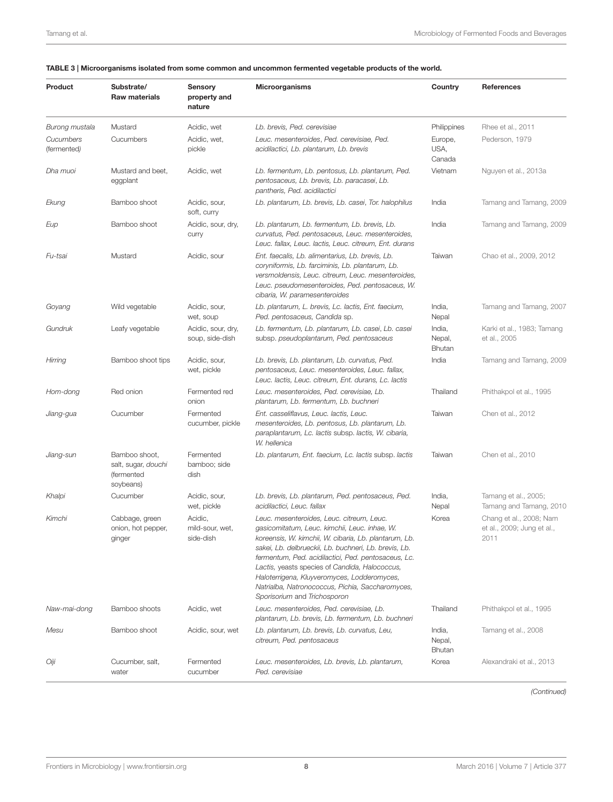#### <span id="page-7-0"></span>TABLE 3 | Microorganisms isolated from some common and uncommon fermented vegetable products of the world.

| <b>Product</b>           | Substrate/<br><b>Raw materials</b>                              | Sensory<br>property and<br>nature       | <b>Microorganisms</b>                                                                                                                                                                                                                                                                                                                                                                                                                                    | Country                           | References                                                    |
|--------------------------|-----------------------------------------------------------------|-----------------------------------------|----------------------------------------------------------------------------------------------------------------------------------------------------------------------------------------------------------------------------------------------------------------------------------------------------------------------------------------------------------------------------------------------------------------------------------------------------------|-----------------------------------|---------------------------------------------------------------|
| Burong mustala           | Mustard                                                         | Acidic, wet                             | Lb. brevis, Ped. cerevisiae                                                                                                                                                                                                                                                                                                                                                                                                                              | Philippines                       | Rhee et al., 2011                                             |
| Cucumbers<br>(fermented) | Cucumbers                                                       | Acidic, wet,<br>pickle                  | Leuc. mesenteroides, Ped. cerevisiae, Ped.<br>acidilactici, Lb. plantarum, Lb. brevis                                                                                                                                                                                                                                                                                                                                                                    | Europe,<br>USA,<br>Canada         | Pederson, 1979                                                |
| Dha muoi                 | Mustard and beet,<br>eggplant                                   | Acidic, wet                             | Lb. fermentum, Lb. pentosus, Lb. plantarum, Ped.<br>pentosaceus, Lb. brevis, Lb. paracasei, Lb.<br>pantheris, Ped. acidilactici                                                                                                                                                                                                                                                                                                                          | Vietnam                           | Nguyen et al., 2013a                                          |
| Ekung                    | Bamboo shoot                                                    | Acidic, sour,<br>soft, curry            | Lb. plantarum, Lb. brevis, Lb. casei, Tor. halophilus                                                                                                                                                                                                                                                                                                                                                                                                    | India                             | Tamang and Tamang, 2009                                       |
| Eup                      | Bamboo shoot                                                    | Acidic, sour, dry,<br>curry             | Lb. plantarum, Lb. fermentum, Lb. brevis, Lb.<br>curvatus, Ped. pentosaceus, Leuc. mesenteroides,<br>Leuc. fallax, Leuc. lactis, Leuc. citreum, Ent. durans                                                                                                                                                                                                                                                                                              | India                             | Tamang and Tamang, 2009                                       |
| Fu-tsai                  | Mustard                                                         | Acidic, sour                            | Ent. faecalis, Lb. alimentarius, Lb. brevis, Lb.<br>coryniformis, Lb. farciminis, Lb. plantarum, Lb.<br>versmoldensis, Leuc. citreum, Leuc. mesenteroides,<br>Leuc. pseudomesenteroides, Ped. pentosaceus, W.<br>cibaria, W. paramesenteroides                                                                                                                                                                                                           | Taiwan                            | Chao et al., 2009, 2012                                       |
| Goyang                   | Wild vegetable                                                  | Acidic, sour,<br>wet, soup              | Lb. plantarum, L. brevis, Lc. lactis, Ent. faecium,<br>Ped. pentosaceus, Candida sp.                                                                                                                                                                                                                                                                                                                                                                     | India,<br>Nepal                   | Tamang and Tamang, 2007                                       |
| Gundruk                  | Leafy vegetable                                                 | Acidic, sour, dry,<br>soup, side-dish   | Lb. fermentum, Lb. plantarum, Lb. casei, Lb. casei<br>subsp. pseudoplantarum, Ped. pentosaceus                                                                                                                                                                                                                                                                                                                                                           | India,<br>Nepal,<br>Bhutan        | Karki et al., 1983; Tamang<br>et al., 2005                    |
| Hirring                  | Bamboo shoot tips                                               | Acidic, sour,<br>wet, pickle            | Lb. brevis, Lb. plantarum, Lb. curvatus, Ped.<br>pentosaceus, Leuc. mesenteroides, Leuc. fallax,<br>Leuc. lactis, Leuc. citreum, Ent. durans, Lc. lactis                                                                                                                                                                                                                                                                                                 | India                             | Tamang and Tamang, 2009                                       |
| Hom-dong                 | Red onion                                                       | Fermented red<br>onion                  | Leuc. mesenteroides, Ped. cerevisiae, Lb.<br>plantarum, Lb. fermentum, Lb. buchneri                                                                                                                                                                                                                                                                                                                                                                      | Thailand                          | Phithakpol et al., 1995                                       |
| Jiang-gua                | Cucumber                                                        | Fermented<br>cucumber, pickle           | Ent. casseliflavus, Leuc. lactis, Leuc.<br>mesenteroides, Lb. pentosus, Lb. plantarum, Lb.<br>paraplantarum, Lc. lactis subsp. lactis, W. cibaria,<br>W. hellenica                                                                                                                                                                                                                                                                                       | Taiwan                            | Chen et al., 2012                                             |
| Jiang-sun                | Bamboo shoot,<br>salt, sugar, douchi<br>(fermented<br>soybeans) | Fermented<br>bamboo; side<br>dish       | Lb. plantarum, Ent. faecium, Lc. lactis subsp. lactis                                                                                                                                                                                                                                                                                                                                                                                                    | Taiwan                            | Chen et al., 2010                                             |
| Khalpi                   | Cucumber                                                        | Acidic, sour,<br>wet, pickle            | Lb. brevis, Lb. plantarum, Ped. pentosaceus, Ped.<br>acidilactici, Leuc. fallax                                                                                                                                                                                                                                                                                                                                                                          | India,<br>Nepal                   | Tamang et al., 2005;<br>Tamang and Tamang, 2010               |
| Kimchi                   | Cabbage, green<br>onion, hot pepper,<br>ginger                  | Acidic,<br>mild-sour, wet,<br>side-dish | Leuc. mesenteroides, Leuc. citreum, Leuc.<br>gasicomitatum, Leuc. kimchii, Leuc. inhae, W.<br>koreensis, W. kimchii, W. cibaria, Lb. plantarum, Lb.<br>sakei, Lb. delbrueckii, Lb. buchneri, Lb. brevis, Lb.<br>fermentum, Ped. acidilactici, Ped. pentosaceus, Lc.<br>Lactis, yeasts species of Candida, Halococcus,<br>Haloterrigena, Kluyveromyces, Lodderomyces,<br>Natrialba, Natronococcus, Pichia, Saccharomyces,<br>Sporisorium and Trichosporon | Korea                             | Chang et al., 2008; Nam<br>et al., 2009; Jung et al.,<br>2011 |
| Naw-mai-dong             | Bamboo shoots                                                   | Acidic, wet                             | Leuc. mesenteroides, Ped. cerevisiae, Lb.<br>plantarum, Lb. brevis, Lb. fermentum, Lb. buchneri                                                                                                                                                                                                                                                                                                                                                          | Thailand                          | Phithakpol et al., 1995                                       |
| Mesu                     | Bamboo shoot                                                    | Acidic, sour, wet                       | Lb. plantarum, Lb. brevis, Lb. curvatus, Leu,<br>citreum, Ped. pentosaceus                                                                                                                                                                                                                                                                                                                                                                               | India,<br>Nepal,<br><b>Bhutan</b> | Tamang et al., 2008                                           |
| Oiji                     | Cucumber, salt,<br>water                                        | Fermented<br>cucumber                   | Leuc. mesenteroides, Lb. brevis, Lb. plantarum,<br>Ped. cerevisiae                                                                                                                                                                                                                                                                                                                                                                                       | Korea                             | Alexandraki et al., 2013                                      |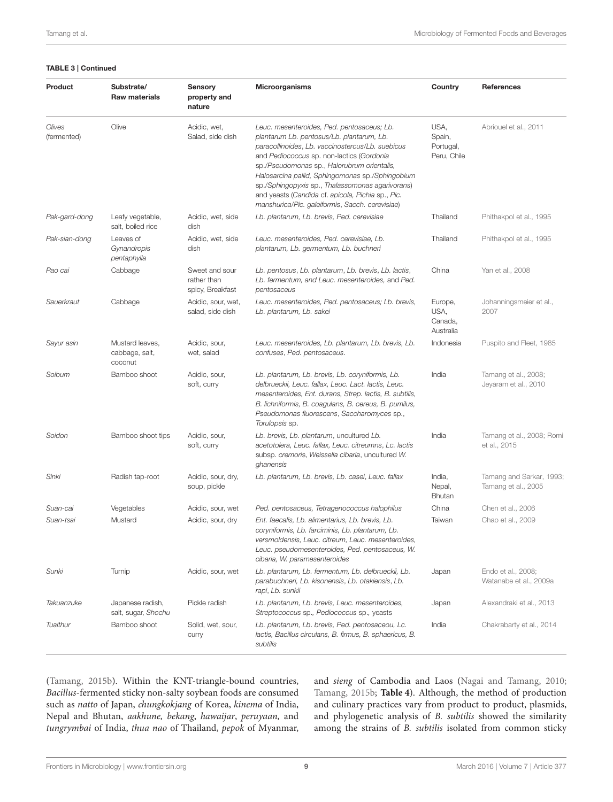#### TABLE 3 | Continued

| Product               | Substrate/<br><b>Raw materials</b>           | Sensory<br>property and<br>nature                 | <b>Microorganisms</b>                                                                                                                                                                                                                                                                                                                                                                                                                                   | Country                                    | <b>References</b>                               |
|-----------------------|----------------------------------------------|---------------------------------------------------|---------------------------------------------------------------------------------------------------------------------------------------------------------------------------------------------------------------------------------------------------------------------------------------------------------------------------------------------------------------------------------------------------------------------------------------------------------|--------------------------------------------|-------------------------------------------------|
| Olives<br>(fermented) | Olive                                        | Acidic, wet,<br>Salad, side dish                  | Leuc. mesenteroides, Ped. pentosaceus; Lb.<br>plantarum Lb. pentosus/Lb. plantarum, Lb.<br>paracollinoides, Lb. vaccinostercus/Lb. suebicus<br>and Pediococcus sp. non-lactics (Gordonia<br>sp./Pseudomonas sp., Halorubrum orientalis,<br>Halosarcina pallid, Sphingomonas sp./Sphingobium<br>sp./Sphingopyxis sp., Thalassomonas agarivorans)<br>and yeasts (Candida cf. apicola, Pichia sp., Pic.<br>manshurica/Pic. galeiformis, Sacch. cerevisiae) | USA,<br>Spain,<br>Portugal,<br>Peru, Chile | Abriouel et al., 2011                           |
| Pak-gard-dong         | Leafy vegetable,<br>salt, boiled rice        | Acidic, wet, side<br>dish                         | Lb. plantarum, Lb. brevis, Ped. cerevisiae                                                                                                                                                                                                                                                                                                                                                                                                              | Thailand                                   | Phithakpol et al., 1995                         |
| Pak-sian-dong         | Leaves of<br>Gynandropis<br>pentaphylla      | Acidic, wet, side<br>dish                         | Leuc. mesenteroides, Ped. cerevisiae, Lb.<br>plantarum, Lb. germentum, Lb. buchneri                                                                                                                                                                                                                                                                                                                                                                     | Thailand                                   | Phithakpol et al., 1995                         |
| Pao cai               | Cabbage                                      | Sweet and sour<br>rather than<br>spicy, Breakfast | Lb. pentosus, Lb. plantarum, Lb. brevis, Lb. lactis,<br>Lb. fermentum, and Leuc. mesenteroides, and Ped.<br>pentosaceus                                                                                                                                                                                                                                                                                                                                 | China                                      | Yan et al., 2008                                |
| Sauerkraut            | Cabbage                                      | Acidic, sour, wet,<br>salad, side dish            | Leuc. mesenteroides, Ped. pentosaceus; Lb. brevis,<br>Lb. plantarum, Lb. sakei                                                                                                                                                                                                                                                                                                                                                                          | Europe,<br>USA,<br>Canada,<br>Australia    | Johanningsmeier et al.,<br>2007                 |
| Sayur asin            | Mustard leaves,<br>cabbage, salt,<br>coconut | Acidic, sour,<br>wet, salad                       | Leuc. mesenteroides, Lb. plantarum, Lb. brevis, Lb.<br>confuses, Ped. pentosaceus.                                                                                                                                                                                                                                                                                                                                                                      | Indonesia                                  | Puspito and Fleet, 1985                         |
| Soibum                | Bamboo shoot                                 | Acidic, sour,<br>soft, curry                      | Lb. plantarum, Lb. brevis, Lb. coryniformis, Lb.<br>delbrueckii, Leuc. fallax, Leuc. Lact. lactis, Leuc.<br>mesenteroides, Ent. durans, Strep. lactis, B. subtilis,<br>B. lichniformis, B. coagulans, B. cereus, B. pumilus,<br>Pseudomonas fluorescens, Saccharomyces sp.,<br>Torulopsis sp.                                                                                                                                                           | India                                      | Tamang et al., 2008;<br>Jeyaram et al., 2010    |
| Soidon                | Bamboo shoot tips                            | Acidic, sour,<br>soft, curry                      | Lb. brevis, Lb. plantarum, uncultured Lb.<br>acetotolera, Leuc. fallax, Leuc. citreumns, Lc. lactis<br>subsp. cremoris, Weissella cibaria, uncultured W.<br>ghanensis                                                                                                                                                                                                                                                                                   | India                                      | Tamang et al., 2008; Romi<br>et al., 2015       |
| Sinki                 | Radish tap-root                              | Acidic, sour, dry,<br>soup, pickle                | Lb. plantarum, Lb. brevis, Lb. casei, Leuc. fallax                                                                                                                                                                                                                                                                                                                                                                                                      | India,<br>Nepal,<br><b>Bhutan</b>          | Tamang and Sarkar, 1993;<br>Tamang et al., 2005 |
| Suan-cai              | Vegetables                                   | Acidic, sour, wet                                 | Ped. pentosaceus, Tetragenococcus halophilus                                                                                                                                                                                                                                                                                                                                                                                                            | China                                      | Chen et al., 2006                               |
| Suan-tsai             | Mustard                                      | Acidic, sour, dry                                 | Ent. faecalis, Lb. alimentarius, Lb. brevis, Lb.<br>coryniformis, Lb. farciminis, Lb. plantarum, Lb.<br>versmoldensis, Leuc. citreum, Leuc. mesenteroides,<br>Leuc. pseudomesenteroides, Ped. pentosaceus, W.<br>cibaria, W. paramesenteroides                                                                                                                                                                                                          | Taiwan                                     | Chao et al., 2009                               |
| Sunki                 | Turnip                                       | Acidic, sour, wet                                 | Lb. plantarum, Lb. fermentum, Lb. delbrueckii, Lb.<br>parabuchneri, Lb. kisonensis, Lb. otakiensis, Lb.<br>rapi, Lb. sunkii                                                                                                                                                                                                                                                                                                                             | Japan                                      | Endo et al., 2008;<br>Watanabe et al., 2009a    |
| Takuanzuke            | Japanese radish,<br>salt, sugar, Shochu      | Pickle radish                                     | Lb. plantarum, Lb. brevis, Leuc. mesenteroides,<br>Streptococcus sp., Pediococcus sp., yeasts                                                                                                                                                                                                                                                                                                                                                           | Japan                                      | Alexandraki et al., 2013                        |
| Tuaithur              | Bamboo shoot                                 | Solid, wet, sour,<br>curry                        | Lb. plantarum, Lb. brevis, Ped. pentosaceou, Lc.<br>lactis, Bacillus circulans, B. firmus, B. sphaericus, B.<br>subtilis                                                                                                                                                                                                                                                                                                                                | India                                      | Chakrabarty et al., 2014                        |

[\(Tamang, 2015b\)](#page-25-9). Within the KNT-triangle-bound countries, Bacillus-fermented sticky non-salty soybean foods are consumed such as natto of Japan, chungkokjang of Korea, kinema of India, Nepal and Bhutan, aakhune, bekang, hawaijar, peruyaan, and tungrymbai of India, thua nao of Thailand, pepok of Myanmar, and sieng of Cambodia and Laos [\(Nagai and Tamang, 2010;](#page-23-15) [Tamang, 2015b;](#page-25-9) **[Table 4](#page-9-0)**). Although, the method of production and culinary practices vary from product to product, plasmids, and phylogenetic analysis of B. subtilis showed the similarity among the strains of B. subtilis isolated from common sticky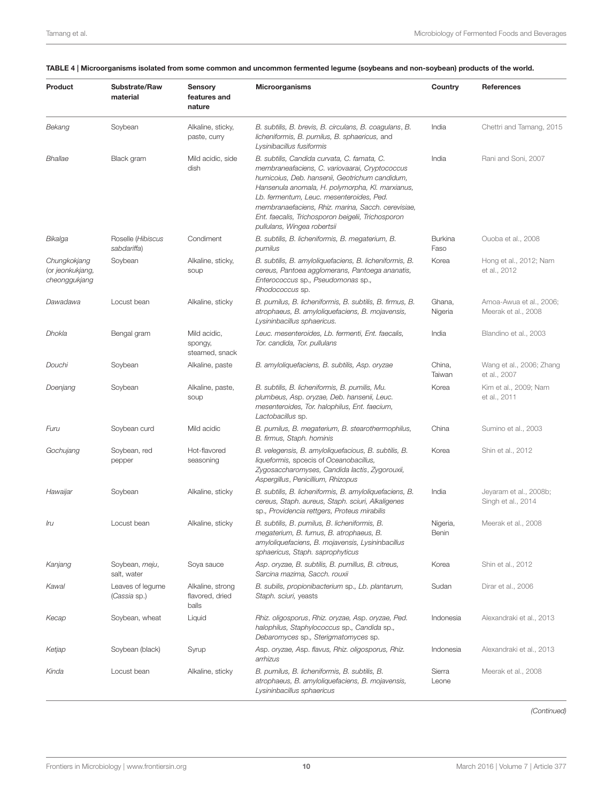#### <span id="page-9-0"></span>TABLE 4 | Microorganisms isolated from some common and uncommon fermented legume (soybeans and non-soybean) products of the world.

| Product                                           | Substrate/Raw<br>material        | <b>Sensory</b><br>features and<br>nature     | Microorganisms                                                                                                                                                                                                                                                                                                                                                                             | Country                | References                                     |
|---------------------------------------------------|----------------------------------|----------------------------------------------|--------------------------------------------------------------------------------------------------------------------------------------------------------------------------------------------------------------------------------------------------------------------------------------------------------------------------------------------------------------------------------------------|------------------------|------------------------------------------------|
| Bekang                                            | Soybean                          | Alkaline, sticky,<br>paste, curry            | B. subtilis, B. brevis, B. circulans, B. coagulans, B.<br>licheniformis, B. pumilus, B. sphaericus, and<br>Lysinibacillus fusiformis                                                                                                                                                                                                                                                       | India                  | Chettri and Tamang, 2015                       |
| Bhallae                                           | Black gram                       | Mild acidic, side<br>dish                    | B. subtilis, Candida curvata, C. famata, C.<br>membraneafaciens, C. variovaarai, Cryptococcus<br>humicoius, Deb. hansenii, Geotrichum candidum,<br>Hansenula anomala, H. polymorpha, Kl. marxianus,<br>Lb. fermentum, Leuc. mesenteroides, Ped.<br>membranaefaciens, Rhiz. marina, Sacch. cerevisiae,<br>Ent. faecalis, Trichosporon beigelii, Trichosporon<br>pullulans, Wingea robertsii | India                  | Rani and Soni, 2007                            |
| Bikalga                                           | Roselle (Hibiscus<br>sabdariffa) | Condiment                                    | B. subtilis, B. licheniformis, B. megaterium, B.<br>pumilus                                                                                                                                                                                                                                                                                                                                | <b>Burkina</b><br>Faso | Ouoba et al., 2008                             |
| Chungkokjang<br>(or jeonkukjang,<br>cheonggukjang | Soybean                          | Alkaline, sticky,<br>soup                    | B. subtilis, B. amyloliquefaciens, B. licheniformis, B.<br>cereus, Pantoea agglomerans, Pantoega ananatis,<br>Enterococcus sp., Pseudomonas sp.,<br>Rhodococcus sp.                                                                                                                                                                                                                        | Korea                  | Hong et al., 2012; Nam<br>et al., 2012         |
| Dawadawa                                          | Locust bean                      | Alkaline, sticky                             | B. pumilus, B. licheniformis, B. subtilis, B. firmus, B.<br>atrophaeus, B. amyloliquefaciens, B. mojavensis,<br>Lysininbacillus sphaericus.                                                                                                                                                                                                                                                | Ghana,<br>Nigeria      | Amoa-Awua et al., 2006;<br>Meerak et al., 2008 |
| Dhokla                                            | Bengal gram                      | Mild acidic,<br>spongy,<br>steamed, snack    | Leuc. mesenteroides, Lb. fermenti, Ent. faecalis,<br>Tor. candida, Tor. pullulans                                                                                                                                                                                                                                                                                                          | India                  | Blandino et al., 2003                          |
| Douchi                                            | Soybean                          | Alkaline, paste                              | B. amyloliquefaciens, B. subtilis, Asp. oryzae                                                                                                                                                                                                                                                                                                                                             | China,<br>Taiwan       | Wang et al., 2006; Zhang<br>et al., 2007       |
| Doenjang                                          | Soybean                          | Alkaline, paste,<br>soup                     | B. subtilis, B. licheniformis, B. pumilis, Mu.<br>plumbeus, Asp. oryzae, Deb. hansenii, Leuc.<br>mesenteroides, Tor. halophilus, Ent. faecium,<br>Lactobacillus sp.                                                                                                                                                                                                                        | Korea                  | Kim et al., 2009; Nam<br>et al., 2011          |
| Furu                                              | Soybean curd                     | Mild acidic                                  | B. pumilus, B. megaterium, B. stearothermophilus,<br>B. firmus, Staph. hominis                                                                                                                                                                                                                                                                                                             | China                  | Sumino et al., 2003                            |
| Gochujang                                         | Soybean, red<br>pepper           | Hot-flavored<br>seasoning                    | B. velegensis, B. amyloliquefacious, B. subtilis, B.<br>liqueformis, spcecis of Oceanobacillus,<br>Zygosaccharomyses, Candida lactis, Zygorouxii,<br>Aspergillus, Penicillium, Rhizopus                                                                                                                                                                                                    | Korea                  | Shin et al., 2012                              |
| Hawaijar                                          | Soybean                          | Alkaline, sticky                             | B. subtilis, B. licheniformis, B. amyloliquefaciens, B.<br>cereus, Staph. aureus, Staph. sciuri, Alkaligenes<br>sp., Providencia rettgers, Proteus mirabilis                                                                                                                                                                                                                               | India                  | Jeyaram et al., 2008b;<br>Singh et al., 2014   |
| Iru                                               | Locust bean                      | Alkaline, sticky                             | B. subtilis, B. pumilus, B. licheniformis, B.<br>megaterium, B. fumus, B. atrophaeus, B.<br>amyloliquefaciens, B. mojavensis, Lysininbacillus<br>sphaericus, Staph. saprophyticus                                                                                                                                                                                                          | Nigeria,<br>Benin      | Meerak et al., 2008                            |
| Kanjang                                           | Soybean, meju,<br>salt, water    | Soya sauce                                   | Asp. oryzae, B. subtilis, B. pumillus, B. citreus,<br>Sarcina mazima, Sacch. rouxii                                                                                                                                                                                                                                                                                                        | Korea                  | Shin et al., 2012                              |
| Kawal                                             | Leaves of legume<br>(Cassia sp.) | Alkaline, strong<br>flavored, dried<br>balls | B. subilis, propionibacterium sp., Lb. plantarum,<br>Staph. sciuri, yeasts                                                                                                                                                                                                                                                                                                                 | Sudan                  | Dirar et al., 2006                             |
| Kecap                                             | Soybean, wheat                   | Liquid                                       | Rhiz. oligosporus, Rhiz. oryzae, Asp. oryzae, Ped.<br>halophilus, Staphylococcus sp., Candida sp.,<br>Debaromyces sp., Sterigmatomyces sp.                                                                                                                                                                                                                                                 | Indonesia              | Alexandraki et al., 2013                       |
| Ketjap                                            | Soybean (black)                  | Syrup                                        | Asp. oryzae, Asp. flavus, Rhiz. oligosporus, Rhiz.<br>arrhizus                                                                                                                                                                                                                                                                                                                             | Indonesia              | Alexandraki et al., 2013                       |
| Kinda                                             | Locust bean                      | Alkaline, sticky                             | B. pumilus, B. licheniformis, B. subtilis, B.<br>atrophaeus, B. amyloliquefaciens, B. mojavensis,<br>Lysininbacillus sphaericus                                                                                                                                                                                                                                                            | Sierra<br>Leone        | Meerak et al., 2008                            |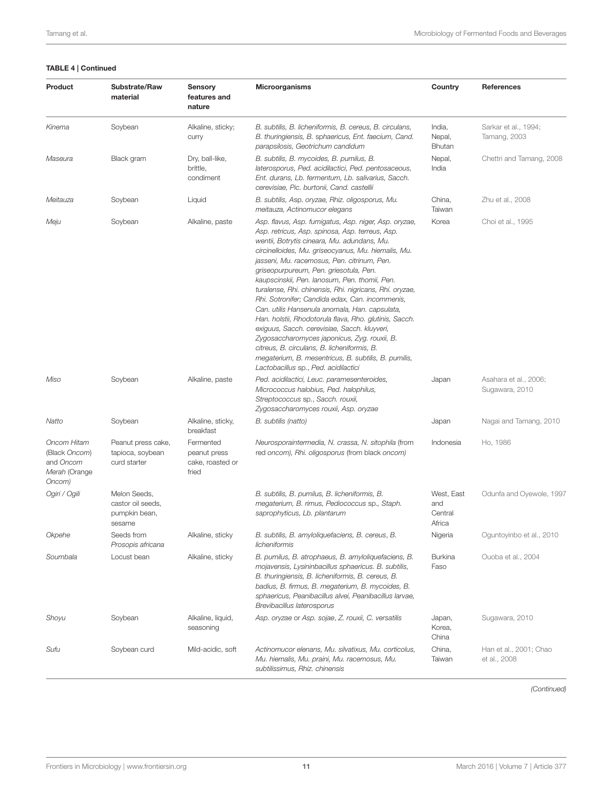#### TABLE 4 | Continued

| Product                                                              | Substrate/Raw<br>material                                    | Sensory<br>features and<br>nature                      | <b>Microorganisms</b>                                                                                                                                                                                                                                                                                                                                                                                                                                                                                                                                                                                                                                                                                                                                                                                                             | Country                                | References                              |
|----------------------------------------------------------------------|--------------------------------------------------------------|--------------------------------------------------------|-----------------------------------------------------------------------------------------------------------------------------------------------------------------------------------------------------------------------------------------------------------------------------------------------------------------------------------------------------------------------------------------------------------------------------------------------------------------------------------------------------------------------------------------------------------------------------------------------------------------------------------------------------------------------------------------------------------------------------------------------------------------------------------------------------------------------------------|----------------------------------------|-----------------------------------------|
| Kinema                                                               | Soybean                                                      | Alkaline, sticky;<br>curry                             | B. subtilis, B. licheniformis, B. cereus, B. circulans,<br>B. thuringiensis, B. sphaericus, Ent. faecium, Cand.<br>parapsilosis, Geotrichum candidum                                                                                                                                                                                                                                                                                                                                                                                                                                                                                                                                                                                                                                                                              | India,<br>Nepal,<br><b>Bhutan</b>      | Sarkar et al., 1994;<br>Tamang, 2003    |
| Maseura                                                              | Black gram                                                   | Dry, ball-like,<br>brittle,<br>condiment               | B. subtilis, B. mycoides, B. pumilus, B.<br>laterosporus, Ped. acidilactici, Ped. pentosaceous,<br>Ent. durans, Lb. fermentum, Lb. salivarius, Sacch.<br>cerevisiae, Pic. burtonii, Cand. castellii                                                                                                                                                                                                                                                                                                                                                                                                                                                                                                                                                                                                                               | Nepal,<br>India                        | Chettri and Tamang, 2008                |
| Meitauza                                                             | Soybean                                                      | Liquid                                                 | B. subtilis, Asp. oryzae, Rhiz. oligosporus, Mu.<br>meitauza, Actinomucor elegans                                                                                                                                                                                                                                                                                                                                                                                                                                                                                                                                                                                                                                                                                                                                                 | China,<br>Taiwan                       | Zhu et al., 2008                        |
| Meju                                                                 | Soybean                                                      | Alkaline, paste                                        | Asp. flavus, Asp. fumigatus, Asp. niger, Asp. oryzae,<br>Asp. retricus, Asp. spinosa, Asp. terreus, Asp.<br>wentii, Botrytis cineara, Mu. adundans, Mu.<br>circinelloides, Mu. griseocyanus, Mu. hiemalis, Mu.<br>jasseni, Mu. racemosus, Pen. citrinum, Pen.<br>griseopurpureum, Pen. griesotula, Pen.<br>kaupscinskii, Pen. lanosum, Pen. thomii, Pen.<br>turalense, Rhi. chinensis, Rhi. nigricans, Rhi. oryzae,<br>Rhi. Sotronifer; Candida edax, Can. incommenis,<br>Can. utilis Hansenula anomala, Han. capsulata,<br>Han. holstii, Rhodotorula flava, Rho. glutinis, Sacch.<br>exiguus, Sacch. cerevisiae, Sacch. kluyveri,<br>Zygosaccharomyces japonicus, Zyg. rouxii, B.<br>citreus, B. circulans, B. licheniformis, B.<br>megaterium, B. mesentricus, B. subtilis, B. pumilis,<br>Lactobacillus sp., Ped. acidilactici | Korea                                  | Choi et al., 1995                       |
| Miso                                                                 | Soybean                                                      | Alkaline, paste                                        | Ped. acidilactici, Leuc. paramesenteroides,<br>Micrococcus halobius, Ped. halophilus,<br>Streptococcus sp., Sacch. rouxii,<br>Zygosaccharomyces rouxii, Asp. oryzae                                                                                                                                                                                                                                                                                                                                                                                                                                                                                                                                                                                                                                                               | Japan                                  | Asahara et al., 2006;<br>Sugawara, 2010 |
| Natto                                                                | Soybean                                                      | Alkaline, sticky,<br>breakfast                         | B. subtilis (natto)                                                                                                                                                                                                                                                                                                                                                                                                                                                                                                                                                                                                                                                                                                                                                                                                               | Japan                                  | Nagai and Tamang, 2010                  |
| Oncom Hitam<br>(Black Oncom)<br>and Oncom<br>Merah (Orange<br>Oncom) | Peanut press cake,<br>tapioca, soybean<br>curd starter       | Fermented<br>peanut press<br>cake, roasted or<br>fried | Neurosporaintermedia, N. crassa, N. sitophila (from<br>red oncom), Rhi. oligosporus (from black oncom)                                                                                                                                                                                                                                                                                                                                                                                                                                                                                                                                                                                                                                                                                                                            | Indonesia                              | Ho, 1986                                |
| Ogiri / Ogili                                                        | Melon Seeds,<br>castor oil seeds,<br>pumpkin bean,<br>sesame |                                                        | B. subtilis, B. pumilus, B. licheniformis, B.<br>megaterium, B. rimus, Pediococcus sp., Staph.<br>saprophyticus, Lb. plantarum                                                                                                                                                                                                                                                                                                                                                                                                                                                                                                                                                                                                                                                                                                    | West, East<br>and<br>Central<br>Africa | Odunfa and Oyewole, 1997                |
| Okpehe                                                               | Seeds from<br>Prosopis africana                              | Alkaline, sticky                                       | B. subtilis, B. amyloliquefaciens, B. cereus, B.<br>licheniformis                                                                                                                                                                                                                                                                                                                                                                                                                                                                                                                                                                                                                                                                                                                                                                 | Nigeria                                | Oguntoyinbo et al., 2010                |
| Soumbala                                                             | Locust bean                                                  | Alkaline, sticky                                       | B. pumilus, B. atrophaeus, B. amyloliquefaciens, B.<br>mojavensis, Lysininbacillus sphaericus. B. subtilis,<br>B. thuringiensis, B. licheniformis, B. cereus, B.<br>badius, B. firmus, B. megaterium, B. mycoides, B.<br>sphaericus, Peanibacillus alvei, Peanibacillus larvae,<br>Brevibacillus laterosporus                                                                                                                                                                                                                                                                                                                                                                                                                                                                                                                     | <b>Burkina</b><br>Faso                 | Ouoba et al., 2004                      |
| Shoyu                                                                | Soybean                                                      | Alkaline, liquid,<br>seasoning                         | Asp. oryzae or Asp. sojae, Z. rouxii, C. versatilis                                                                                                                                                                                                                                                                                                                                                                                                                                                                                                                                                                                                                                                                                                                                                                               | Japan,<br>Korea,<br>China              | Sugawara, 2010                          |
| Sufu                                                                 | Soybean curd                                                 | Mild-acidic, soft                                      | Actinomucor elenans, Mu. silvatixus, Mu. corticolus,<br>Mu. hiemalis, Mu. praini, Mu. racemosus, Mu.<br>subtilissimus, Rhiz. chinensis                                                                                                                                                                                                                                                                                                                                                                                                                                                                                                                                                                                                                                                                                            | China,<br>Taiwan                       | Han et al., 2001; Chao<br>et al., 2008  |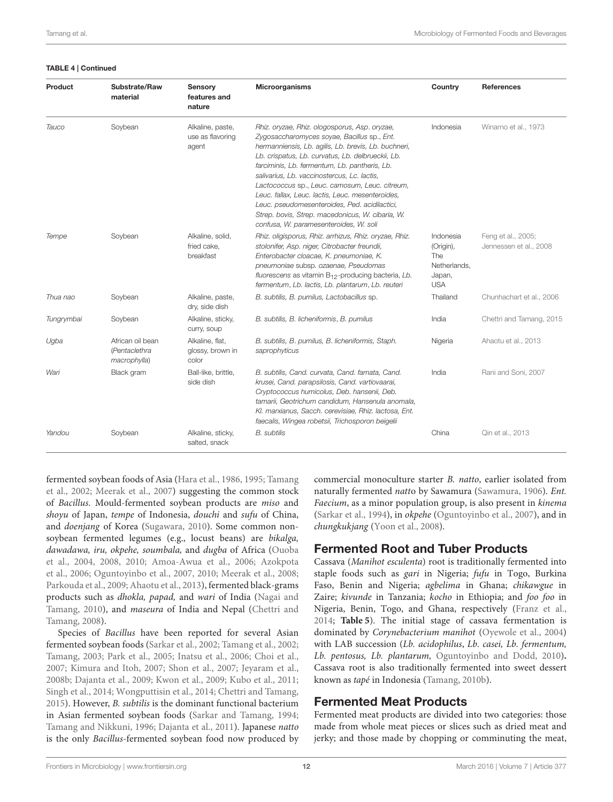#### TABLE 4 | Continued

| Product    | Substrate/Raw<br>material                         | Sensory<br>features and<br>nature             | <b>Microorganisms</b>                                                                                                                                                                                                                                                                                                                                                                                                                                                                                                                                          | Country                                                               | <b>References</b>                            |
|------------|---------------------------------------------------|-----------------------------------------------|----------------------------------------------------------------------------------------------------------------------------------------------------------------------------------------------------------------------------------------------------------------------------------------------------------------------------------------------------------------------------------------------------------------------------------------------------------------------------------------------------------------------------------------------------------------|-----------------------------------------------------------------------|----------------------------------------------|
| Tauco      | Soybean                                           | Alkaline, paste,<br>use as flavoring<br>agent | Rhiz. oryzae, Rhiz. ologosporus, Asp. oryzae,<br>Zygosaccharomyces soyae, Bacillus sp., Ent.<br>hermanniensis, Lb. agilis, Lb. brevis, Lb. buchneri,<br>Lb. crispatus, Lb. curvatus, Lb. delbrueckii, Lb.<br>farciminis, Lb. fermentum, Lb. pantheris, Lb.<br>salivarius, Lb. vaccinostercus, Lc. lactis,<br>Lactococcus sp., Leuc. camosum, Leuc. citreum,<br>Leuc. fallax, Leuc. lactis, Leuc. mesenteroides,<br>Leuc. pseudomesenteroides, Ped. acidilactici,<br>Strep. bovis, Strep. macedonicus, W. cibaria, W.<br>confusa, W. paramesenteroides, W. soli | Indonesia                                                             | Winarno et al., 1973                         |
| Tempe      | Soybean                                           | Alkaline, solid,<br>fried cake.<br>breakfast  | Rhiz. oligisporus, Rhiz. arrhizus, Rhiz. oryzae, Rhiz.<br>stolonifer, Asp. niger, Citrobacter freundii,<br>Enterobacter cloacae, K. pneumoniae, K.<br>pneumoniae subsp. ozaenae, Pseudomas<br>fluorescens as vitamin $B_{12}$ -producing bacteria, Lb.<br>fermentum, Lb. lactis, Lb. plantarum, Lb. reuteri                                                                                                                                                                                                                                                    | Indonesia<br>(Origin),<br>The<br>Netherlands,<br>Japan,<br><b>USA</b> | Feng et al., 2005;<br>Jennessen et al., 2008 |
| Thua nao   | Soybean                                           | Alkaline, paste,<br>dry, side dish            | B. subtilis, B. pumilus, Lactobacillus sp.                                                                                                                                                                                                                                                                                                                                                                                                                                                                                                                     | Thailand                                                              | Chunhachart et al., 2006                     |
| Tungrymbai | Soybean                                           | Alkaline, sticky,<br>curry, soup              | B. subtilis, B. licheniformis, B. pumilus                                                                                                                                                                                                                                                                                                                                                                                                                                                                                                                      | India                                                                 | Chettri and Tamang, 2015                     |
| Ugba       | African oil bean<br>(Pentaclethra<br>macrophylla) | Alkaline, flat,<br>glossy, brown in<br>color  | B. subtilis, B. pumilus, B. licheniformis, Staph.<br>saprophyticus                                                                                                                                                                                                                                                                                                                                                                                                                                                                                             | Nigeria                                                               | Ahaotu et al., 2013                          |
| Wari       | Black gram                                        | Ball-like, brittle,<br>side dish              | B. subtilis, Cand. curvata, Cand. famata, Cand.<br>krusei, Cand. parapsilosis, Cand. vartiovaarai,<br>Cryptococcus humicolus, Deb. hansenii, Deb.<br>tamarii, Geotrichum candidum, Hansenula anomala,<br>Kl. marxianus, Sacch. cerevisiae, Rhiz. lactosa, Ent.<br>faecalis, Wingea robetsii, Trichosporon beigelii                                                                                                                                                                                                                                             | India                                                                 | Rani and Soni, 2007                          |
| Yandou     | Soybean                                           | Alkaline, sticky,<br>salted, snack            | <b>B.</b> subtilis                                                                                                                                                                                                                                                                                                                                                                                                                                                                                                                                             | China                                                                 | Qin et al., 2013                             |

fermented soybean foods of Asia [\(Hara et al., 1986,](#page-20-24) [1995;](#page-20-25) Tamang et al., [2002;](#page-26-18) [Meerak et al., 2007\)](#page-22-11) suggesting the common stock of Bacillus. Mould-fermented soybean products are miso and shoyu of Japan, tempe of Indonesia, douchi and sufu of China, and doenjang of Korea [\(Sugawara, 2010\)](#page-25-31). Some common nonsoybean fermented legumes (e.g., locust beans) are bikalga, dawadawa, iru, okpehe, soumbala, and dugba of Africa (Ouoba et al., [2004,](#page-23-19) [2008,](#page-23-16) [2010;](#page-23-20) [Amoa-Awua et al., 2006;](#page-18-18) Azokpota et al., [2006;](#page-18-21) [Oguntoyinbo et al., 2007,](#page-23-3) [2010;](#page-23-18) [Meerak et al., 2008;](#page-22-9) [Parkouda et al., 2009;](#page-24-2) [Ahaotu et al., 2013\)](#page-18-20), fermented black-grams products such as dhokla, papad, and wari of India (Nagai and Tamang, [2010\)](#page-23-15), and *maseura* of India and Nepal (Chettri and Tamang, [2008\)](#page-19-26).

Species of Bacillus have been reported for several Asian fermented soybean foods [\(Sarkar et al., 2002;](#page-24-23) [Tamang et al., 2002;](#page-26-18) [Tamang, 2003;](#page-25-30) [Park et al., 2005;](#page-23-21) [Inatsu et al., 2006;](#page-21-23) [Choi et al.,](#page-19-29) [2007;](#page-19-29) [Kimura and Itoh, 2007;](#page-22-12) [Shon et al., 2007;](#page-25-32) [Jeyaram et al.,](#page-21-20) [2008b;](#page-21-20) [Dajanta et al., 2009;](#page-19-30) [Kwon et al., 2009;](#page-22-13) [Kubo et al., 2011;](#page-22-0) [Singh et al., 2014;](#page-25-29) [Wongputtisin et al., 2014;](#page-26-19) [Chettri and Tamang,](#page-19-25) [2015\)](#page-19-25). However, B. subtilis is the dominant functional bacterium in Asian fermented soybean foods [\(Sarkar and Tamang, 1994;](#page-24-24) [Tamang and Nikkuni, 1996;](#page-25-33) [Dajanta et al., 2011\)](#page-19-31). Japanese natto is the only Bacillus-fermented soybean food now produced by commercial monoculture starter B. natto, earlier isolated from naturally fermented natto by Sawamura [\(Sawamura, 1906\)](#page-24-25). Ent. Faecium, as a minor population group, is also present in kinema [\(Sarkar et al., 1994\)](#page-24-21), in okpehe [\(Oguntoyinbo et al., 2007\)](#page-23-3), and in chungkukjang [\(Yoon et al., 2008\)](#page-27-8).

### Fermented Root and Tuber Products

Cassava (Manihot esculenta) root is traditionally fermented into staple foods such as gari in Nigeria; fufu in Togo, Burkina Faso, Benin and Nigeria; agbelima in Ghana; chikawgue in Zaire; kivunde in Tanzania; kocho in Ethiopia; and foo foo in Nigeria, Benin, Togo, and Ghana, respectively [\(Franz et al.,](#page-20-0) [2014;](#page-20-0) **[Table 5](#page-12-0)**). The initial stage of cassava fermentation is dominated by Corynebacterium manihot [\(Oyewole et al., 2004\)](#page-23-22) with LAB succession (Lb. acidophilus, Lb. casei, Lb. fermentum, Lb. pentosus, Lb. plantarum, [Oguntoyinbo and Dodd, 2010\)](#page-23-23)**.** Cassava root is also traditionally fermented into sweet dessert known as tapé in Indonesia [\(Tamang, 2010b\)](#page-25-3).

### Fermented Meat Products

Fermented meat products are divided into two categories: those made from whole meat pieces or slices such as dried meat and jerky; and those made by chopping or comminuting the meat,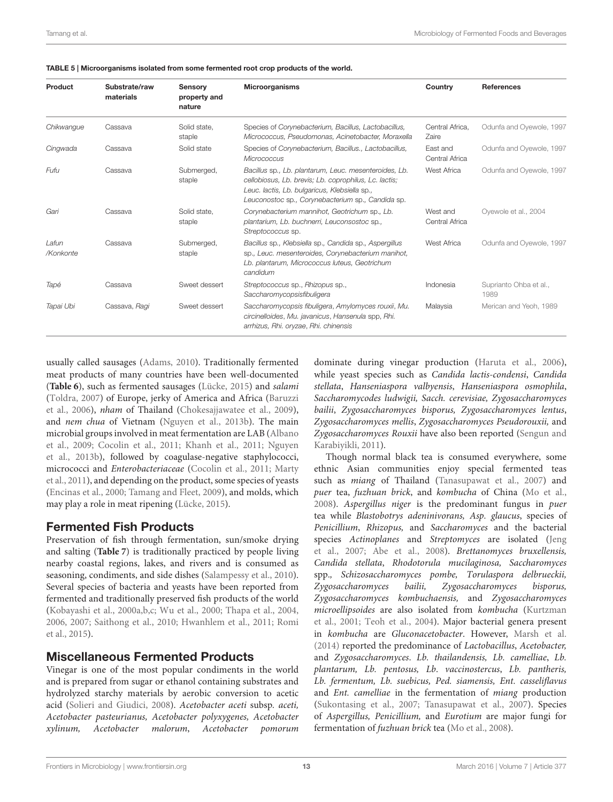| Product            | Substrate/raw<br>materials | Sensory<br>property and<br>nature | Microorganisms                                                                                                                                                                                                       | Country                    | <b>References</b>              |
|--------------------|----------------------------|-----------------------------------|----------------------------------------------------------------------------------------------------------------------------------------------------------------------------------------------------------------------|----------------------------|--------------------------------|
| Chikwangue         | Cassava                    | Solid state.<br>staple            | Species of Corynebacterium, Bacillus, Lactobacillus,<br>Micrococcus, Pseudomonas, Acinetobacter, Moraxella                                                                                                           | Central Africa.<br>Zaire   | Odunfa and Oyewole, 1997       |
| Cingwada           | Cassava                    | Solid state                       | Species of Corynebacterium, Bacillus., Lactobacillus,<br>Micrococcus                                                                                                                                                 | East and<br>Central Africa | Odunfa and Oyewole, 1997       |
| Fufu               | Cassava                    | Submerged,<br>staple              | Bacillus sp., Lb. plantarum, Leuc. mesenteroides, Lb.<br>cellobiosus, Lb. brevis; Lb. coprophilus, Lc. lactis;<br>Leuc. lactis, Lb. bulgaricus, Klebsiella sp.,<br>Leuconostoc sp., Corynebacterium sp., Candida sp. | West Africa                | Odunfa and Oyewole, 1997       |
| Gari               | Cassava                    | Solid state.<br>staple            | Corynebacterium mannihot, Geotrichum sp., Lb.<br>plantarium, Lb. buchnerri, Leuconsostoc sp.,<br>Streptococcus sp.                                                                                                   | West and<br>Central Africa | Oyewole et al., 2004           |
| Lafun<br>/Konkonte | Cassava                    | Submerged,<br>staple              | Bacillus sp., Klebsiella sp., Candida sp., Aspergillus<br>sp., Leuc. mesenteroides, Corynebacterium manihot,<br>Lb. plantarum, Micrococcus luteus, Geotrichum<br>candidum                                            | West Africa                | Odunfa and Ovewole, 1997       |
| Tapé               | Cassava                    | Sweet dessert                     | Streptococcus sp., Rhizopus sp.,<br>Saccharomycopsisfibuligera                                                                                                                                                       | Indonesia                  | Suprianto Ohba et al.,<br>1989 |
| Tapai Ubi          | Cassava, Ragi              | Sweet dessert                     | Saccharomycopsis fibuligera, Amylomyces rouxii, Mu.<br>circinelloides, Mu. javanicus, Hansenula spp, Rhi.<br>arrhizus, Rhi. oryzae, Rhi. chinensis                                                                   | Malaysia                   | Merican and Yeoh. 1989         |

<span id="page-12-0"></span>TABLE 5 | Microorganisms isolated from some fermented root crop products of the world.

usually called sausages [\(Adams, 2010\)](#page-18-22). Traditionally fermented meat products of many countries have been well-documented (**[Table 6](#page-13-0)**), such as fermented sausages [\(Lücke, 2015\)](#page-22-15) and salami [\(Toldra, 2007\)](#page-26-20) of Europe, jerky of America and Africa (Baruzzi et al., [2006\)](#page-18-23), nham of Thailand [\(Chokesajjawatee et al., 2009\)](#page-19-32), and nem chua of Vietnam [\(Nguyen et al., 2013b\)](#page-23-24). The main microbial groups involved in meat fermentation are LAB (Albano et al., [2009;](#page-18-24) [Cocolin et al., 2011;](#page-19-5) [Khanh et al., 2011;](#page-21-24) Nguyen et al., [2013b\)](#page-23-24), followed by coagulase-negative staphylococci, micrococci and Enterobacteriaceae [\(Cocolin et al., 2011;](#page-19-5) Marty et al., [2011\)](#page-22-16), and depending on the product, some species of yeasts [\(Encinas et al., 2000;](#page-20-26) [Tamang and Fleet, 2009\)](#page-25-10), and molds, which may play a role in meat ripening [\(Lücke, 2015\)](#page-22-15).

# Fermented Fish Products

Preservation of fish through fermentation, sun/smoke drying and salting (**[Table 7](#page-14-0)**) is traditionally practiced by people living nearby coastal regions, lakes, and rivers and is consumed as seasoning, condiments, and side dishes [\(Salampessy et al., 2010\)](#page-24-26). Several species of bacteria and yeasts have been reported from fermented and traditionally preserved fish products of the world [\(Kobayashi et al., 2000a,](#page-22-17)[b,](#page-22-18)[c;](#page-22-19) [Wu et al., 2000;](#page-27-9) [Thapa et al., 2004,](#page-26-21) [2006,](#page-26-22) [2007;](#page-26-23) [Saithong et al., 2010;](#page-24-27) [Hwanhlem et al., 2011;](#page-21-25) Romi et al., [2015\)](#page-24-18).

# Miscellaneous Fermented Products

Vinegar is one of the most popular condiments in the world and is prepared from sugar or ethanol containing substrates and hydrolyzed starchy materials by aerobic conversion to acetic acid [\(Solieri and Giudici, 2008\)](#page-25-35). Acetobacter aceti subsp. aceti, Acetobacter pasteurianus, Acetobacter polyxygenes, Acetobacter xylinum, Acetobacter malorum, Acetobacter pomorum

dominate during vinegar production [\(Haruta et al., 2006\)](#page-21-26), while yeast species such as Candida lactis-condensi, Candida stellata, Hanseniaspora valbyensis, Hanseniaspora osmophila, Saccharomycodes ludwigii, Sacch. cerevisiae, Zygosaccharomyces bailii, Zygosaccharomyces bisporus, Zygosaccharomyces lentus, Zygosaccharomyces mellis, Zygosaccharomyces Pseudorouxii, and Zygosaccharomyces Rouxii have also been reported (Sengun and Karabiyikli, [2011\)](#page-24-28).

Though normal black tea is consumed everywhere, some ethnic Asian communities enjoy special fermented teas such as *miang* of Thailand [\(Tanasupawat et al., 2007\)](#page-26-24) and puer tea, fuzhuan brick, and kombucha of China [\(Mo et al.,](#page-22-20) [2008\)](#page-22-20). Aspergillus niger is the predominant fungus in puer tea while Blastobotrys adeninivorans, Asp. glaucus, species of Penicillium, Rhizopus, and Saccharomyces and the bacterial species Actinoplanes and Streptomyces are isolated (Jeng et al., [2007;](#page-21-27) [Abe et al., 2008\)](#page-18-25). Brettanomyces bruxellensis, Candida stellata, Rhodotorula mucilaginosa, Saccharomyces spp., Schizosaccharomyces pombe, Torulaspora delbrueckii, Zygosaccharomyces bailii, Zygosaccharomyces bisporus, Zygosaccharomyces kombuchaensis, and Zygosaccharomyces microellipsoides are also isolated from kombucha (Kurtzman et al., [2001;](#page-22-21) [Teoh et al., 2004\)](#page-26-25). Major bacterial genera present in kombucha are Gluconacetobacter. However, [Marsh et al.](#page-22-22) [\(2014\)](#page-22-22) reported the predominance of Lactobacillus, Acetobacter, and Zygosaccharomyces. Lb. thailandensis, Lb. camelliae, Lb. plantarum, Lb. pentosus, Lb. vaccinostercus, Lb. pantheris, Lb. fermentum, Lb. suebicus, Ped. siamensis, Ent. casseliflavus and Ent. camelliae in the fermentation of miang production [\(Sukontasing et al., 2007;](#page-25-36) [Tanasupawat et al., 2007\)](#page-26-24). Species of Aspergillus, Penicillium, and Eurotium are major fungi for fermentation of fuzhuan brick tea [\(Mo et al., 2008\)](#page-22-20).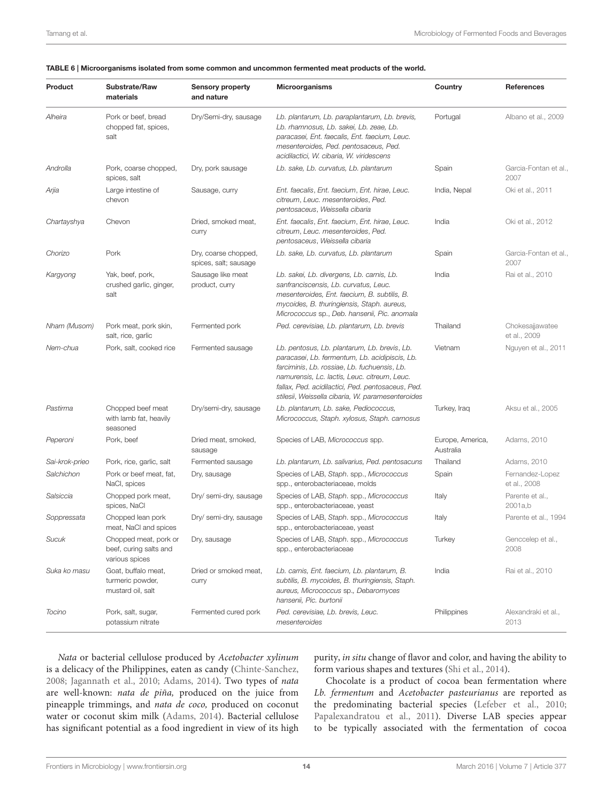| Product        | Substrate/Raw<br>materials                                        | <b>Sensory property</b><br>and nature         | <b>Microorganisms</b>                                                                                                                                                                                                                                                                                    | Country                       | <b>References</b>               |
|----------------|-------------------------------------------------------------------|-----------------------------------------------|----------------------------------------------------------------------------------------------------------------------------------------------------------------------------------------------------------------------------------------------------------------------------------------------------------|-------------------------------|---------------------------------|
| Alheira        | Pork or beef, bread<br>chopped fat, spices,<br>salt               | Dry/Semi-dry, sausage                         | Lb. plantarum, Lb. paraplantarum, Lb. brevis,<br>Lb. rhamnosus, Lb. sakei, Lb. zeae, Lb.<br>paracasei, Ent. faecalis, Ent. faecium, Leuc.<br>mesenteroides, Ped. pentosaceus, Ped.<br>acidilactici, W. cibaria, W. viridescens                                                                           | Portugal                      | Albano et al., 2009             |
| Androlla       | Pork, coarse chopped,<br>spices, salt                             | Dry, pork sausage                             | Lb. sake, Lb. curvatus, Lb. plantarum                                                                                                                                                                                                                                                                    | Spain                         | Garcia-Fontan et al.,<br>2007   |
| Arjia          | Large intestine of<br>chevon                                      | Sausage, curry                                | Ent. faecalis, Ent. faecium, Ent. hirae, Leuc.<br>citreum, Leuc. mesenteroides, Ped.<br>pentosaceus, Weissella cibaria                                                                                                                                                                                   | India, Nepal                  | Oki et al., 2011                |
| Chartayshya    | Chevon                                                            | Dried, smoked meat,<br>curry                  | Ent. faecalis, Ent. faecium, Ent. hirae, Leuc.<br>citreum, Leuc. mesenteroides, Ped.<br>pentosaceus, Weissella cibaria                                                                                                                                                                                   | India                         | Oki et al., 2012                |
| Chorizo        | Pork                                                              | Dry, coarse chopped,<br>spices, salt; sausage | Lb. sake, Lb. curvatus, Lb. plantarum                                                                                                                                                                                                                                                                    | Spain                         | Garcia-Fontan et al.,<br>2007   |
| Kargyong       | Yak, beef, pork,<br>crushed garlic, ginger,<br>salt               | Sausage like meat<br>product, curry           | Lb. sakei, Lb. divergens, Lb. carnis, Lb.<br>sanfranciscensis, Lb. curvatus, Leuc.<br>mesenteroides, Ent. faecium, B. subtilis, B.<br>mycoides, B. thuringiensis, Staph. aureus,<br>Micrococcus sp., Deb. hansenii, Pic. anomala                                                                         | India                         | Rai et al., 2010                |
| Nham (Musom)   | Pork meat, pork skin,<br>salt, rice, garlic                       | Fermented pork                                | Ped. cerevisiae, Lb. plantarum, Lb. brevis                                                                                                                                                                                                                                                               | Thailand                      | Chokesajjawatee<br>et al., 2009 |
| Nem-chua       | Pork, salt, cooked rice                                           | Fermented sausage                             | Lb. pentosus, Lb. plantarum, Lb. brevis, Lb.<br>paracasei, Lb. fermentum, Lb. acidipiscis, Lb.<br>farciminis, Lb. rossiae, Lb. fuchuensis, Lb.<br>namurensis, Lc. lactis, Leuc. citreum, Leuc.<br>fallax, Ped. acidilactici, Ped. pentosaceus, Ped.<br>stilesii, Weissella cibaria, W. paramesenteroides | Vietnam                       | Nguyen et al., 2011             |
| Pastirma       | Chopped beef meat<br>with lamb fat, heavily<br>seasoned           | Dry/semi-dry, sausage                         | Lb. plantarum, Lb. sake, Pediococcus,<br>Micrococcus, Staph. xylosus, Staph. carnosus                                                                                                                                                                                                                    | Turkey, Iraq                  | Aksu et al., 2005               |
| Peperoni       | Pork, beef                                                        | Dried meat, smoked,<br>sausage                | Species of LAB, Micrococcus spp.                                                                                                                                                                                                                                                                         | Europe, America,<br>Australia | Adams, 2010                     |
| Sai-krok-prieo | Pork, rice, garlic, salt                                          | Fermented sausage                             | Lb. plantarum, Lb. salivarius, Ped. pentosacuns                                                                                                                                                                                                                                                          | Thailand                      | Adams, 2010                     |
| Salchichon     | Pork or beef meat, fat,<br>NaCl, spices                           | Dry, sausage                                  | Species of LAB, Staph. spp., Micrococcus<br>spp., enterobacteriaceae, molds                                                                                                                                                                                                                              | Spain                         | Fernandez-Lopez<br>et al., 2008 |
| Salsiccia      | Chopped pork meat,<br>spices, NaCl                                | Dry/ semi-dry, sausage                        | Species of LAB, Staph. spp., Micrococcus<br>spp., enterobacteriaceae, yeast                                                                                                                                                                                                                              | Italy                         | Parente et al.,<br>2001a,b      |
| Soppressata    | Chopped lean pork<br>meat, NaCl and spices                        | Dry/ semi-dry, sausage                        | Species of LAB, Staph. spp., Micrococcus<br>spp., enterobacteriaceae, yeast                                                                                                                                                                                                                              | Italy                         | Parente et al., 1994            |
| Sucuk          | Chopped meat, pork or<br>beef, curing salts and<br>various spices | Dry, sausage                                  | Species of LAB, Staph. spp., Micrococcus<br>spp., enterobacteriaceae                                                                                                                                                                                                                                     | Turkey                        | Genccelep et al.,<br>2008       |
| Suka ko masu   | Goat, buffalo meat,<br>turmeric powder,<br>mustard oil, salt      | Dried or smoked meat,<br>curry                | Lb. carnis, Ent. faecium, Lb. plantarum, B.<br>subtilis, B. mycoides, B. thuringiensis, Staph.<br>aureus, Micrococcus sp., Debaromyces<br>hansenii, Pic. burtonii                                                                                                                                        | India                         | Rai et al., 2010                |
| Tocino         | Pork, salt, sugar,<br>potassium nitrate                           | Fermented cured pork                          | Ped. cerevisiae, Lb. brevis, Leuc.<br>mesenteroides                                                                                                                                                                                                                                                      | Philippines                   | Alexandraki et al.,<br>2013     |

#### <span id="page-13-0"></span>TABLE 6 | Microorganisms isolated from some common and uncommon fermented meat products of the world.

Nata or bacterial cellulose produced by Acetobacter xylinum is a delicacy of the Philippines, eaten as candy [\(Chinte-Sanchez,](#page-19-33) [2008;](#page-19-33) [Jagannath et al., 2010;](#page-21-28) [Adams, 2014\)](#page-18-27). Two types of nata are well-known: nata de piña, produced on the juice from pineapple trimmings, and nata de coco, produced on coconut water or coconut skim milk [\(Adams, 2014\)](#page-18-27). Bacterial cellulose has significant potential as a food ingredient in view of its high purity, in situ change of flavor and color, and having the ability to form various shapes and textures [\(Shi et al., 2014\)](#page-24-30).

Chocolate is a product of cocoa bean fermentation where Lb. fermentum and Acetobacter pasteurianus are reported as the predominating bacterial species [\(Lefeber et al., 2010;](#page-22-23) [Papalexandratou et al., 2011\)](#page-23-31). Diverse LAB species appear to be typically associated with the fermentation of cocoa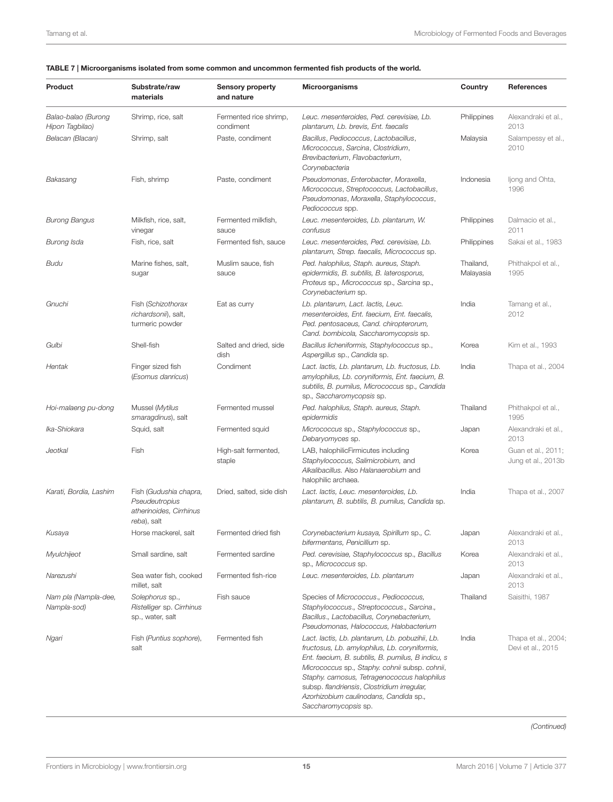| Product                                | Substrate/raw<br>materials                                                         | <b>Sensory property</b><br>and nature | <b>Microorganisms</b>                                                                                                                                                                                                                                                                                                                                                     | Country                | References                               |
|----------------------------------------|------------------------------------------------------------------------------------|---------------------------------------|---------------------------------------------------------------------------------------------------------------------------------------------------------------------------------------------------------------------------------------------------------------------------------------------------------------------------------------------------------------------------|------------------------|------------------------------------------|
| Balao-balao (Burong<br>Hipon Tagbilao) | Shrimp, rice, salt                                                                 | Fermented rice shrimp,<br>condiment   | Leuc. mesenteroides, Ped. cerevisiae, Lb.<br>plantarum, Lb. brevis, Ent. faecalis                                                                                                                                                                                                                                                                                         | Philippines            | Alexandraki et al.,<br>2013              |
| Belacan (Blacan)                       | Shrimp, salt                                                                       | Paste, condiment                      | Bacillus, Pediococcus, Lactobacillus,<br>Micrococcus, Sarcina, Clostridium,<br>Brevibacterium, Flavobacterium,<br>Corynebacteria                                                                                                                                                                                                                                          | Malaysia               | Salampessy et al.,<br>2010               |
| Bakasang                               | Fish, shrimp                                                                       | Paste, condiment                      | Pseudomonas, Enterobacter, Moraxella,<br>Micrococcus, Streptococcus, Lactobacillus,<br>Pseudomonas, Moraxella, Staphylococcus,<br>Pediococcus spp.                                                                                                                                                                                                                        | Indonesia              | Ijong and Ohta,<br>1996                  |
| <b>Burong Bangus</b>                   | Milkfish, rice, salt,<br>vinegar                                                   | Fermented milkfish,<br>sauce          | Leuc. mesenteroides, Lb. plantarum, W.<br>confusus                                                                                                                                                                                                                                                                                                                        | Philippines            | Dalmacio et al.,<br>2011                 |
| Burong Isda                            | Fish, rice, salt                                                                   | Fermented fish, sauce                 | Leuc. mesenteroides, Ped. cerevisiae, Lb.<br>plantarum, Strep. faecalis, Micrococcus sp.                                                                                                                                                                                                                                                                                  | Philippines            | Sakai et al., 1983                       |
| Budu                                   | Marine fishes, salt,<br>sugar                                                      | Muslim sauce, fish<br>sauce           | Ped. halophilus, Staph. aureus, Staph.<br>epidermidis, B. subtilis, B. laterosporus,<br>Proteus sp., Micrococcus sp., Sarcina sp.,<br>Corynebacterium sp.                                                                                                                                                                                                                 | Thailand,<br>Malayasia | Phithakpol et al.,<br>1995               |
| Gnuchi                                 | Fish (Schizothorax<br>richardsonii), salt,<br>turmeric powder                      | Eat as curry                          | Lb. plantarum, Lact. lactis, Leuc.<br>mesenteroides, Ent. faecium, Ent. faecalis,<br>Ped. pentosaceus, Cand. chiropterorum,<br>Cand. bombicola, Saccharomycopsis sp.                                                                                                                                                                                                      | India                  | Tamang et al.,<br>2012                   |
| Gulbi                                  | Shell-fish                                                                         | Salted and dried, side<br>dish        | Bacillus licheniformis, Staphylococcus sp.,<br>Aspergillus sp., Candida sp.                                                                                                                                                                                                                                                                                               | Korea                  | Kim et al., 1993                         |
| Hentak                                 | Finger sized fish<br>(Esomus danricus)                                             | Condiment                             | Lact. lactis, Lb. plantarum, Lb. fructosus, Lb.<br>amylophilus, Lb. coryniformis, Ent. faecium, B.<br>subtilis, B. pumilus, Micrococcus sp., Candida<br>sp., Saccharomycopsis sp.                                                                                                                                                                                         | India                  | Thapa et al., 2004                       |
| Hoi-malaeng pu-dong                    | Mussel (Mytilus<br>smaragdinus), salt                                              | Fermented mussel                      | Ped. halophilus, Staph. aureus, Staph.<br>epidermidis                                                                                                                                                                                                                                                                                                                     | Thailand               | Phithakpol et al.,<br>1995               |
| Ika-Shiokara                           | Squid, salt                                                                        | Fermented squid                       | Micrococcus sp., Staphylococcus sp.,<br>Debaryomyces sp.                                                                                                                                                                                                                                                                                                                  | Japan                  | Alexandraki et al.,<br>2013              |
| Jeotkal                                | Fish                                                                               | High-salt fermented,<br>staple        | LAB, halophilicFirmicutes including<br>Staphylococcus, Salimicrobium, and<br>Alkalibacillus. Also Halanaerobium and<br>halophilic archaea.                                                                                                                                                                                                                                | Korea                  | Guan et al., 2011;<br>Jung et al., 2013b |
| Karati, Bordia, Lashim                 | Fish (Gudushia chapra,<br>Pseudeutropius<br>atherinoides, Cirrhinus<br>reba), salt | Dried, salted, side dish              | Lact. lactis, Leuc. mesenteroides, Lb.<br>plantarum, B. subtilis, B. pumilus, Candida sp.                                                                                                                                                                                                                                                                                 | India                  | Thapa et al., 2007                       |
| Kusaya                                 | Horse mackerel, salt                                                               | Fermented dried fish                  | Corynebacterium kusaya, Spirillum sp., C.<br>bifermentans, Penicillium sp.                                                                                                                                                                                                                                                                                                | Japan                  | Alexandraki et al<br>2013                |
| Myulchijeot                            | Small sardine, salt                                                                | Fermented sardine                     | Ped. cerevisiae, Staphylococcus sp., Bacillus<br>sp., Micrococcus sp.                                                                                                                                                                                                                                                                                                     | Korea                  | Alexandraki et al.,<br>2013              |
| Narezushi                              | Sea water fish, cooked<br>millet, salt                                             | Fermented fish-rice                   | Leuc. mesenteroides, Lb. plantarum                                                                                                                                                                                                                                                                                                                                        | Japan                  | Alexandraki et al.,<br>2013              |
| Nam pla (Nampla-dee,<br>Nampla-sod)    | Solephorus sp.,<br>Ristelliger sp. Cirrhinus<br>sp., water, salt                   | Fish sauce                            | Species of Micrococcus., Pediococcus,<br>Staphylococcus., Streptococcus., Sarcina.,<br>Bacillus., Lactobacillus, Corynebacterium,<br>Pseudomonas, Halococcus, Halobacterium                                                                                                                                                                                               | Thailand               | Saisithi, 1987                           |
| Ngari                                  | Fish (Puntius sophore),<br>salt                                                    | Fermented fish                        | Lact. lactis, Lb. plantarum, Lb. pobuzihii, Lb.<br>fructosus, Lb. amylophilus, Lb. coryniformis,<br>Ent. faecium, B. subtilis, B. pumilus, B indicu, s<br>Micrococcus sp., Staphy. cohnii subsp. cohnii,<br>Staphy. carnosus, Tetragenococcus halophilus<br>subsp. flandriensis, Clostridium irregular,<br>Azorhizobium caulinodans, Candida sp.,<br>Saccharomycopsis sp. | India                  | Thapa et al., 2004;<br>Devi et al., 2015 |

#### <span id="page-14-0"></span>TABLE 7 | Microorganisms isolated from some common and uncommon fermented fish products of the world.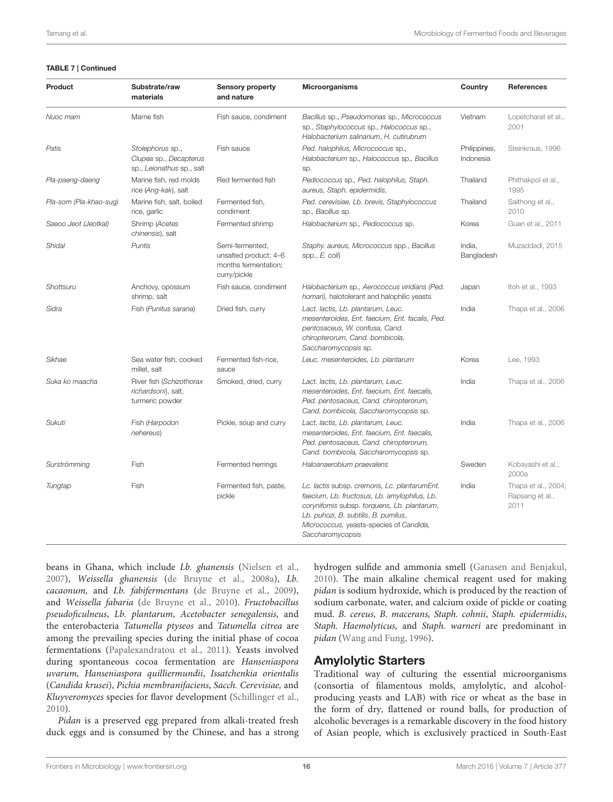#### TABLE 7 | Continued

| <b>Product</b>         | Substrate/raw<br>materials                                              | <b>Sensory property</b><br>and nature                                            | Microorganisms                                                                                                                                                                                                                                      | Country                   | <b>References</b>                              |
|------------------------|-------------------------------------------------------------------------|----------------------------------------------------------------------------------|-----------------------------------------------------------------------------------------------------------------------------------------------------------------------------------------------------------------------------------------------------|---------------------------|------------------------------------------------|
| Nuoc mam               | Marne fish                                                              | Fish sauce, condiment                                                            | Bacillus sp., Pseudomonas sp., Micrococcus<br>sp., Staphylococcus sp., Halococcus sp.,<br>Halobacterium salinarium, H. cutirubrum                                                                                                                   | Vietnam                   | Lopetcharat et al.,<br>2001                    |
| Patis                  | Stolephorus sp.,<br>Clupea sp., Decapterus<br>sp., Leionathus sp., salt | Fish sauce                                                                       | Ped. halophilus, Micrococcus sp.,<br>Halobacterium sp., Halococcus sp., Bacillus<br>sp.                                                                                                                                                             | Philippines,<br>Indonesia | Steinkraus, 1996                               |
| Pla-paeng-daeng        | Marine fish, red molds<br>rice (Ang-kak), salt                          | Red fermented fish                                                               | Pediococcus sp., Ped. halophilus, Staph.<br>aureus, Staph. epidermidis,                                                                                                                                                                             | Thailand                  | Phithakpol et al.,<br>1995                     |
| Pla-som (Pla-khao-sug) | Marine fish, salt, boiled<br>rice, garlic                               | Fermented fish,<br>condiment                                                     | Ped. cerevisiae, Lb. brevis, Staphylococcus<br>sp., Bacillus sp.                                                                                                                                                                                    | Thailand                  | Saithong et al.,<br>2010                       |
| Saeoo Jeot (Jeotkal)   | Shrimp (Acetes<br>chinensis), salt                                      | Fermented shrimp                                                                 | Halobacterium sp., Pediococcus sp.                                                                                                                                                                                                                  | Korea                     | Guan et al., 2011                              |
| Shidal                 | Puntis                                                                  | Semi-fermented,<br>unsalted product; 4-6<br>months fermentation;<br>curry/pickle | Staphy. aureus, Micrococcus spp., Bacillus<br>spp., $E$ . coli)                                                                                                                                                                                     | India,<br>Bangladesh      | Muzaddadi, 2015                                |
| Shottsuru              | Anchovy, opossum<br>shrimp, salt                                        | Fish sauce, condiment                                                            | Halobacterium sp., Aerococcus viridians (Ped.<br>homari), halotolerant and halophilic yeasts                                                                                                                                                        | Japan                     | Itoh et al., 1993                              |
| Sidra                  | Fish (Punitus sarana)                                                   | Dried fish, curry                                                                | Lact. lactis, Lb. plantarum, Leuc.<br>mesenteroides, Ent. faecium, Ent. facalis, Ped.<br>pentosaceus, W. confusa, Cand.<br>chiropterorum, Cand. bombicola,<br>Saccharomycopsis sp.                                                                  | India                     | Thapa et al., 2006                             |
| Sikhae                 | Sea water fish, cooked<br>millet, salt                                  | Fermented fish-rice,<br>sauce                                                    | Leuc. mesenteroides, Lb. plantarum                                                                                                                                                                                                                  | Korea                     | Lee, 1993                                      |
| Suka ko maacha         | River fish (Schizothorax<br>richardsoni), salt,<br>turmeric powder      | Smoked, dried, curry                                                             | Lact. lactis, Lb. plantarum, Leuc.<br>mesenteroides, Ent. faecium, Ent. faecalis,<br>Ped. pentosaceus, Cand. chiropterorum,<br>Cand. bombicola, Saccharomycopsis sp.                                                                                | India                     | Thapa et al., 2006                             |
| Sukuti                 | Fish (Harpodon<br>nehereus)                                             | Pickle, soup and curry                                                           | Lact. lactis, Lb. plantarum, Leuc.<br>mesenteroides, Ent. faecium, Ent. faecalis,<br>Ped. pentosaceus, Cand. chiropterorum,<br>Cand. bombicola, Saccharomycopsis sp.                                                                                | India                     | Thapa et al., 2006                             |
| Surströmming           | Fish                                                                    | Fermented herrings                                                               | Haloanaerobium praevalens                                                                                                                                                                                                                           | Sweden                    | Kobayashi et al.,<br>2000a                     |
| Tungtap                | Fish                                                                    | Fermented fish, paste,<br>pickle                                                 | Lc. lactis subsp. cremoris, Lc. plantarumEnt.<br>faecium, Lb. fructosus, Lb. amylophilus, Lb.<br>corynifomis subsp. torquens, Lb. plantarum,<br>Lb. puhozi, B. subtilis, B. pumilus,<br>Micrococcus, yeasts-species of Candida,<br>Saccharomycopsis | India                     | Thapa et al., 2004;<br>Rapsang et al.,<br>2011 |

beans in Ghana, which include Lb. ghanensis [\(Nielsen et al.,](#page-23-33) [2007\)](#page-23-33), Weissella ghanensis [\(de Bruyne et al., 2008a\)](#page-19-36), Lb. cacaonum, and Lb. fabifermentans [\(de Bruyne et al., 2009\)](#page-19-37), and Weissella fabaria [\(de Bruyne et al., 2010\)](#page-19-12). Fructobacillus pseudoficulneus, Lb. plantarum, Acetobacter senegalensis, and the enterobacteria Tatumella ptyseos and Tatumella citrea are among the prevailing species during the initial phase of cocoa fermentations [\(Papalexandratou et al., 2011\)](#page-23-31). Yeasts involved during spontaneous cocoa fermentation are Hanseniaspora uvarum, Hanseniaspora quilliermundii, Issatchenkia orientalis (Candida krusei), Pichia membranifaciens, Sacch. Cerevisiae, and Kluyveromyces species for flavor development [\(Schillinger et al.,](#page-24-34) [2010\)](#page-24-34).

Pidan is a preserved egg prepared from alkali-treated fresh duck eggs and is consumed by the Chinese, and has a strong hydrogen sulfide and ammonia smell [\(Ganasen and Benjakul,](#page-20-31) [2010\)](#page-20-31). The main alkaline chemical reagent used for making pidan is sodium hydroxide, which is produced by the reaction of sodium carbonate, water, and calcium oxide of pickle or coating mud. B. cereus, B. macerans, Staph. cohnii, Staph. epidermidis, Staph. Haemolyticus, and Staph. warneri are predominant in pidan [\(Wang and Fung, 1996\)](#page-26-27).

#### Amylolytic Starters

Traditional way of culturing the essential microorganisms (consortia of filamentous molds, amylolytic, and alcoholproducing yeasts and LAB) with rice or wheat as the base in the form of dry, flattened or round balls, for production of alcoholic beverages is a remarkable discovery in the food history of Asian people, which is exclusively practiced in South-East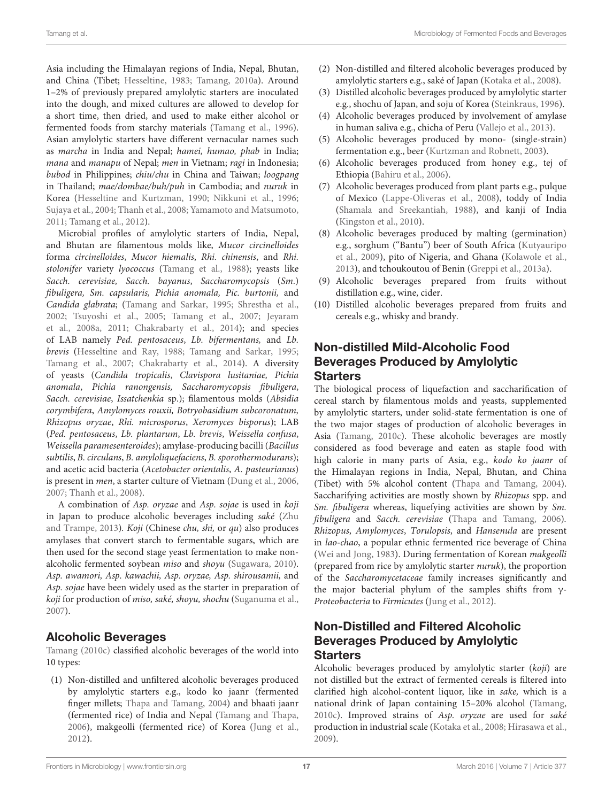Asia including the Himalayan regions of India, Nepal, Bhutan, and China (Tibet; [Hesseltine, 1983;](#page-21-2) [Tamang, 2010a\)](#page-25-37). Around 1–2% of previously prepared amylolytic starters are inoculated into the dough, and mixed cultures are allowed to develop for a short time, then dried, and used to make either alcohol or fermented foods from starchy materials [\(Tamang et al., 1996\)](#page-26-28). Asian amylolytic starters have different vernacular names such as marcha in India and Nepal; hamei, humao, phab in India; mana and manapu of Nepal; men in Vietnam; ragi in Indonesia; bubod in Philippines; chiu/chu in China and Taiwan; loogpang in Thailand; mae/dombae/buh/puh in Cambodia; and nuruk in Korea [\(Hesseltine and Kurtzman, 1990;](#page-21-32) [Nikkuni et al., 1996;](#page-23-34) [Sujaya et al., 2004;](#page-25-38) [Thanh et al., 2008;](#page-26-29) [Yamamoto and Matsumoto,](#page-27-10) [2011;](#page-27-10) [Tamang et al., 2012\)](#page-26-26).

Microbial profiles of amylolytic starters of India, Nepal, and Bhutan are filamentous molds like, Mucor circinelloides forma circinelloides, Mucor hiemalis, Rhi. chinensis, and Rhi. stolonifer variety lyococcus [\(Tamang et al., 1988\)](#page-25-39); yeasts like Sacch. cerevisiae, Sacch. bayanus, Saccharomycopsis (Sm.) fibuligera, Sm. capsularis, Pichia anomala, Pic. burtonii, and Candida glabrata; [\(Tamang and Sarkar, 1995;](#page-25-40) [Shrestha et al.,](#page-24-35) [2002;](#page-24-35) [Tsuyoshi et al., 2005;](#page-26-30) [Tamang et al., 2007;](#page-25-41) Jeyaram et al., [2008a,](#page-21-33) [2011;](#page-21-34) [Chakrabarty et al., 2014\)](#page-18-17); and species of LAB namely Ped. pentosaceus, Lb. bifermentans, and Lb. brevis [\(Hesseltine and Ray, 1988;](#page-21-35) [Tamang and Sarkar, 1995;](#page-25-40) [Tamang et al., 2007;](#page-25-41) [Chakrabarty et al., 2014\)](#page-18-17). A diversity of yeasts (Candida tropicalis, Clavispora lusitaniae, Pichia anomala, Pichia ranongensis, Saccharomycopsis fibuligera, Sacch. cerevisiae, Issatchenkia sp.); filamentous molds (Absidia corymbifera, Amylomyces rouxii, Botryobasidium subcoronatum, Rhizopus oryzae, Rhi. microsporus, Xeromyces bisporus); LAB (Ped. pentosaceus, Lb. plantarum, Lb. brevis, Weissella confusa, Weissella paramesenteroides); amylase-producing bacilli (Bacillus subtilis, B. circulans, B. amyloliquefaciens, B. sporothermodurans); and acetic acid bacteria (Acetobacter orientalis, A. pasteurianus) is present in men, a starter culture of Vietnam [\(Dung et al., 2006,](#page-20-32) [2007;](#page-20-33) [Thanh et al., 2008\)](#page-26-29).

A combination of Asp. oryzae and Asp. sojae is used in koji in Japan to produce alcoholic beverages including saké (Zhu and Trampe, [2013\)](#page-27-11). Koji (Chinese chu, shi, or qu) also produces amylases that convert starch to fermentable sugars, which are then used for the second stage yeast fermentation to make non-alcoholic fermented soybean miso and shoyu [\(Sugawara, 2010\)](#page-25-31). Asp. awamori, Asp. kawachii, Asp. oryzae, Asp. shirousamii, and Asp. sojae have been widely used as the starter in preparation of koji for production of miso, saké, shoyu, shochu [\(Suganuma et al.,](#page-25-42) [2007\)](#page-25-42).

#### Alcoholic Beverages

[Tamang \(2010c\)](#page-25-14) classified alcoholic beverages of the world into 10 types:

(1) Non-distilled and unfiltered alcoholic beverages produced by amylolytic starters e.g., kodo ko jaanr (fermented finger millets; [Thapa and Tamang, 2004\)](#page-26-31) and bhaati jaanr (fermented rice) of India and Nepal [\(Tamang and Thapa,](#page-26-32) [2006\)](#page-26-32), makgeolli (fermented rice) of Korea [\(Jung et al.,](#page-21-36) [2012\)](#page-21-36).

- (2) Non-distilled and filtered alcoholic beverages produced by amylolytic starters e.g., saké of Japan [\(Kotaka et al., 2008\)](#page-22-27).
- (3) Distilled alcoholic beverages produced by amylolytic starter e.g., shochu of Japan, and soju of Korea [\(Steinkraus, 1996\)](#page-25-7).
- (4) Alcoholic beverages produced by involvement of amylase in human saliva e.g., chicha of Peru [\(Vallejo et al., 2013\)](#page-26-33).
- (5) Alcoholic beverages produced by mono- (single-strain) fermentation e.g., beer [\(Kurtzman and Robnett, 2003\)](#page-22-28).
- (6) Alcoholic beverages produced from honey e.g., tej of Ethiopia [\(Bahiru et al., 2006\)](#page-18-28).
- (7) Alcoholic beverages produced from plant parts e.g., pulque of Mexico [\(Lappe-Oliveras et al., 2008\)](#page-22-29), toddy of India [\(Shamala and Sreekantiah, 1988\)](#page-24-36), and kanji of India [\(Kingston et al., 2010\)](#page-22-30).
- (8) Alcoholic beverages produced by malting (germination) e.g., sorghum ("Bantu") beer of South Africa (Kutyauripo et al., [2009\)](#page-22-31), pito of Nigeria, and Ghana [\(Kolawole et al.,](#page-22-32) [2013\)](#page-22-32), and tchoukoutou of Benin [\(Greppi et al., 2013a\)](#page-20-4).
- (9) Alcoholic beverages prepared from fruits without distillation e.g., wine, cider.
- (10) Distilled alcoholic beverages prepared from fruits and cereals e.g., whisky and brandy.

### Non-distilled Mild-Alcoholic Food Beverages Produced by Amylolytic **Starters**

The biological process of liquefaction and saccharification of cereal starch by filamentous molds and yeasts, supplemented by amylolytic starters, under solid-state fermentation is one of the two major stages of production of alcoholic beverages in Asia [\(Tamang, 2010c\)](#page-25-14). These alcoholic beverages are mostly considered as food beverage and eaten as staple food with high calorie in many parts of Asia, e.g., kodo ko jaanr of the Himalayan regions in India, Nepal, Bhutan, and China (Tibet) with 5% alcohol content [\(Thapa and Tamang, 2004\)](#page-26-31). Saccharifying activities are mostly shown by Rhizopus spp. and Sm. fibuligera whereas, liquefying activities are shown by Sm. fibuligera and Sacch. cerevisiae [\(Thapa and Tamang, 2006\)](#page-26-34). Rhizopus, Amylomyces, Torulopsis, and Hansenula are present in lao-chao, a popular ethnic fermented rice beverage of China [\(Wei and Jong, 1983\)](#page-26-35). During fermentation of Korean makgeolli (prepared from rice by amylolytic starter nuruk), the proportion of the Saccharomycetaceae family increases significantly and the major bacterial phylum of the samples shifts from γ-Proteobacteria to Firmicutes [\(Jung et al., 2012\)](#page-21-36).

## Non-Distilled and Filtered Alcoholic Beverages Produced by Amylolytic **Starters**

Alcoholic beverages produced by amylolytic starter (koji) are not distilled but the extract of fermented cereals is filtered into clarified high alcohol-content liquor, like in sake, which is a national drink of Japan containing 15–20% alcohol [\(Tamang,](#page-25-14) [2010c\)](#page-25-14). Improved strains of Asp. oryzae are used for saké production in industrial scale [\(Kotaka et al., 2008;](#page-22-27) [Hirasawa et al.,](#page-21-37) [2009\)](#page-21-37).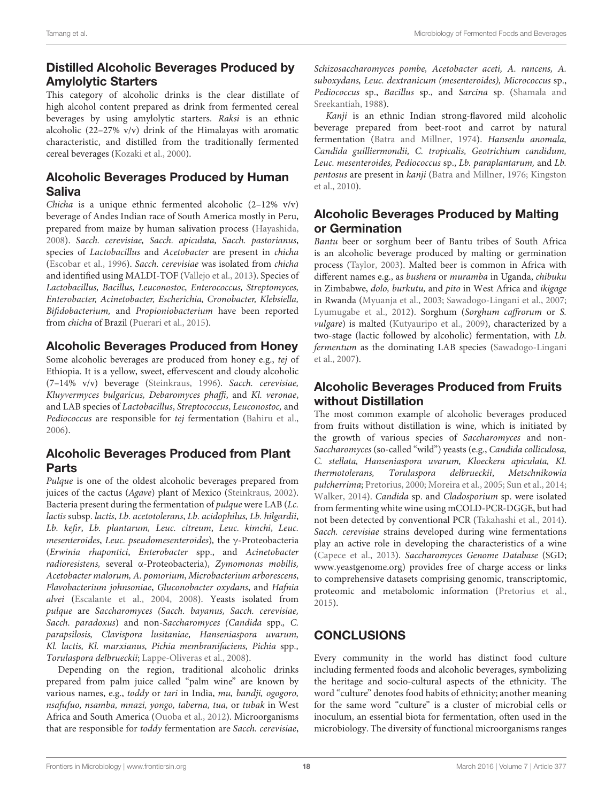# Distilled Alcoholic Beverages Produced by Amylolytic Starters

This category of alcoholic drinks is the clear distillate of high alcohol content prepared as drink from fermented cereal beverages by using amylolytic starters. Raksi is an ethnic alcoholic (22–27% v/v) drink of the Himalayas with aromatic characteristic, and distilled from the traditionally fermented cereal beverages [\(Kozaki et al., 2000\)](#page-22-33).

### Alcoholic Beverages Produced by Human Saliva

Chicha is a unique ethnic fermented alcoholic (2–12% v/v) beverage of Andes Indian race of South America mostly in Peru, prepared from maize by human salivation process [\(Hayashida,](#page-21-38) [2008\)](#page-21-38). Sacch. cerevisiae, Sacch. apiculata, Sacch. pastorianus, species of Lactobacillus and Acetobacter are present in chicha [\(Escobar et al., 1996\)](#page-20-34). Sacch. cerevisiae was isolated from chicha and identified using MALDI-TOF [\(Vallejo et al., 2013\)](#page-26-33). Species of Lactobacillus, Bacillus, Leuconostoc, Enterococcus, Streptomyces, Enterobacter, Acinetobacter, Escherichia, Cronobacter, Klebsiella, Bifidobacterium, and Propioniobacterium have been reported from chicha of Brazil [\(Puerari et al., 2015\)](#page-24-37).

# Alcoholic Beverages Produced from Honey

Some alcoholic beverages are produced from honey e.g., tej of Ethiopia. It is a yellow, sweet, effervescent and cloudy alcoholic (7–14% v/v) beverage [\(Steinkraus, 1996\)](#page-25-7). Sacch. cerevisiae, Kluyvermyces bulgaricus, Debaromyces phaffi, and Kl. veronae, and LAB species of Lactobacillus, Streptococcus, Leuconostoc, and Pediococcus are responsible for tej fermentation [\(Bahiru et al.,](#page-18-28) [2006\)](#page-18-28).

## Alcoholic Beverages Produced from Plant Parts

Pulque is one of the oldest alcoholic beverages prepared from juices of the cactus (Agave) plant of Mexico [\(Steinkraus, 2002\)](#page-25-4). Bacteria present during the fermentation of pulque were LAB (Lc. lactis subsp. lactis, Lb. acetotolerans, Lb. acidophilus, Lb. hilgardii, Lb. kefir, Lb. plantarum, Leuc. citreum, Leuc. kimchi, Leuc. mesenteroides, Leuc. pseudomesenteroides), the  $\gamma$ -Proteobacteria (Erwinia rhapontici, Enterobacter spp., and Acinetobacter radioresistens, several α-Proteobacteria), Zymomonas mobilis, Acetobacter malorum, A. pomorium, Microbacterium arborescens, Flavobacterium johnsoniae, Gluconobacter oxydans, and Hafnia alvei [\(Escalante et al., 2004,](#page-20-35) [2008\)](#page-20-36). Yeasts isolated from pulque are Saccharomyces (Sacch. bayanus, Sacch. cerevisiae, Sacch. paradoxus) and non-Saccharomyces (Candida spp., C. parapsilosis, Clavispora lusitaniae, Hanseniaspora uvarum, Kl. lactis, Kl. marxianus, Pichia membranifaciens, Pichia spp., Torulaspora delbrueckii; [Lappe-Oliveras et al., 2008\)](#page-22-29).

Depending on the region, traditional alcoholic drinks prepared from palm juice called "palm wine" are known by various names, e.g., toddy or tari in India, mu, bandji, ogogoro, nsafufuo, nsamba, mnazi, yongo, taberna, tua, or tubak in West Africa and South America [\(Ouoba et al., 2012\)](#page-23-35). Microorganisms that are responsible for toddy fermentation are Sacch. cerevisiae, Schizosaccharomyces pombe, Acetobacter aceti, A. rancens, A. suboxydans, Leuc. dextranicum (mesenteroides), Micrococcus sp., Pediococcus sp., Bacillus sp., and Sarcina sp. (Shamala and Sreekantiah, [1988\)](#page-24-36).

Kanji is an ethnic Indian strong-flavored mild alcoholic beverage prepared from beet-root and carrot by natural fermentation [\(Batra and Millner, 1974\)](#page-18-29). Hansenlu anomala, Candida guilliermondii, C. tropicalis, Geotrichium candidum, Leuc. mesenteroides, Pediococcus sp., Lb. paraplantarum, and Lb. pentosus are present in kanji [\(Batra and Millner, 1976;](#page-18-14) Kingston et al., [2010\)](#page-22-30).

# Alcoholic Beverages Produced by Malting or Germination

Bantu beer or sorghum beer of Bantu tribes of South Africa is an alcoholic beverage produced by malting or germination process [\(Taylor, 2003\)](#page-26-36). Malted beer is common in Africa with different names e.g., as bushera or muramba in Uganda, chibuku in Zimbabwe, dolo, burkutu, and pito in West Africa and ikigage in Rwanda [\(Myuanja et al., 2003;](#page-23-36) [Sawadogo-Lingani et al., 2007;](#page-24-38) [Lyumugabe et al., 2012\)](#page-22-34). Sorghum (Sorghum caffrorum or S. vulgare) is malted [\(Kutyauripo et al., 2009\)](#page-22-31), characterized by a two-stage (lactic followed by alcoholic) fermentation, with Lb. fermentum as the dominating LAB species (Sawadogo-Lingani et al., [2007\)](#page-24-38).

## Alcoholic Beverages Produced from Fruits without Distillation

The most common example of alcoholic beverages produced from fruits without distillation is wine, which is initiated by the growth of various species of Saccharomyces and non-Saccharomyces (so-called "wild") yeasts (e.g., Candida colliculosa, C. stellata, Hanseniaspora uvarum, Kloeckera apiculata, Kl. thermotolerans, Torulaspora delbrueckii, Metschnikowia pulcherrima; [Pretorius, 2000;](#page-24-39) [Moreira et al., 2005;](#page-22-35) [Sun et al., 2014;](#page-25-43) [Walker, 2014\)](#page-26-37). Candida sp. and Cladosporium sp. were isolated from fermenting white wine using mCOLD-PCR-DGGE, but had not been detected by conventional PCR [\(Takahashi et al., 2014\)](#page-25-44). Sacch. cerevisiae strains developed during wine fermentations play an active role in developing the characteristics of a wine [\(Capece et al., 2013\)](#page-18-30). Saccharomyces Genome Database (SGD; [www.yeastgenome.org\)](http://www.yeastgenome.org) provides free of charge access or links to comprehensive datasets comprising genomic, transcriptomic, proteomic and metabolomic information [\(Pretorius et al.,](#page-24-40) [2015\)](#page-24-40).

# **CONCLUSIONS**

Every community in the world has distinct food culture including fermented foods and alcoholic beverages, symbolizing the heritage and socio-cultural aspects of the ethnicity. The word "culture" denotes food habits of ethnicity; another meaning for the same word "culture" is a cluster of microbial cells or inoculum, an essential biota for fermentation, often used in the microbiology. The diversity of functional microorganisms ranges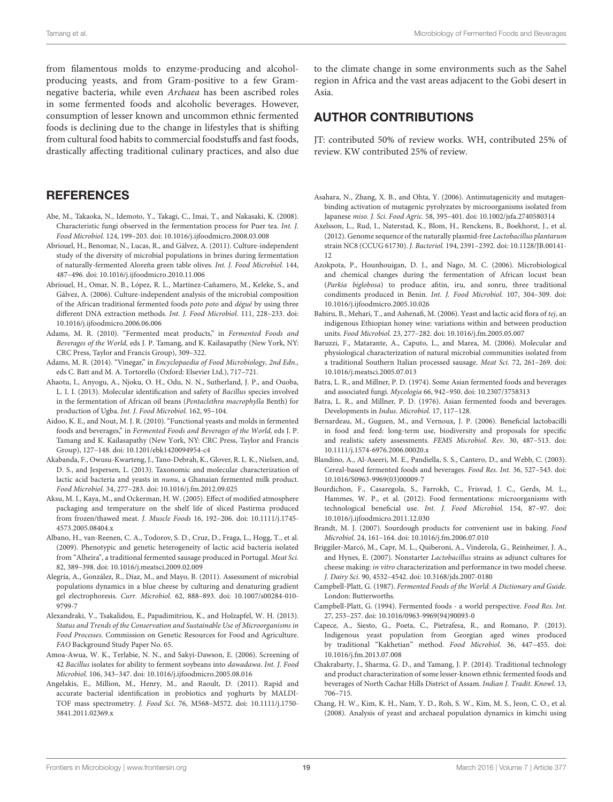from filamentous molds to enzyme-producing and alcoholproducing yeasts, and from Gram-positive to a few Gramnegative bacteria, while even Archaea has been ascribed roles in some fermented foods and alcoholic beverages. However, consumption of lesser known and uncommon ethnic fermented foods is declining due to the change in lifestyles that is shifting from cultural food habits to commercial foodstuffs and fast foods, drastically affecting traditional culinary practices, and also due

#### **REFERENCES**

- <span id="page-18-25"></span>Abe, M., Takaoka, N., Idemoto, Y., Takagi, C., Imai, T., and Nakasaki, K. (2008). Characteristic fungi observed in the fermentation process for Puer tea. Int. J. Food Microbiol. 124, 199–203. doi: 10.1016/j.ijfoodmicro.2008.03.008
- <span id="page-18-16"></span>Abriouel, H., Benomar, N., Lucas, R., and Gálvez, A. (2011). Culture-independent study of the diversity of microbial populations in brines during fermentation of naturally-fermented Aloreña green table olives. Int. J. Food Microbiol. 144, 487–496. doi: 10.1016/j.ijfoodmicro.2010.11.006
- <span id="page-18-15"></span>Abriouel, H., Omar, N. B., López, R. L., Martínez-Cañamero, M., Keleke, S., and Gálvez, A. (2006). Culture-independent analysis of the microbial composition of the African traditional fermented foods poto poto and dégué by using three different DNA extraction methods. Int. J. Food Microbiol. 111, 228–233. doi: 10.1016/j.ijfoodmicro.2006.06.006
- <span id="page-18-22"></span>Adams, M. R. (2010). "Fermented meat products," in Fermented Foods and Beverages of the World, eds J. P. Tamang, and K. Kailasapathy (New York, NY: CRC Press, Taylor and Francis Group), 309–322.
- <span id="page-18-27"></span>Adams, M. R. (2014). "Vinegar," in Encyclopaedia of Food Microbiology, 2nd Edn., eds C. Batt and M. A. Tortorello (Oxford: Elsevier Ltd.), 717–721.
- <span id="page-18-20"></span>Ahaotu, I., Anyogu, A., Njoku, O. H., Odu, N. N., Sutherland, J. P., and Ouoba, L. I. I. (2013). Molecular identification and safety of Bacillus species involved in the fermentation of African oil beans (Pentaclethra macrophylla Benth) for production of Ugba. Int. J. Food Microbiol. 162, 95–104.
- <span id="page-18-4"></span>Aidoo, K. E., and Nout, M. J. R. (2010). "Functional yeasts and molds in fermented foods and beverages," in Fermented Foods and Beverages of the World, eds J. P. Tamang and K. Kailasapathy (New York, NY: CRC Press, Taylor and Francis Group), 127–148. doi: 10.1201/ebk1420094954-c4
- <span id="page-18-7"></span>Akabanda, F., Owusu-Kwarteng, J., Tano-Debrah, K., Glover, R. L. K., Nielsen, and, D. S., and Jespersen, L. (2013). Taxonomic and molecular characterization of lactic acid bacteria and yeasts in nunu, a Ghanaian fermented milk product. Food Microbiol. 34, 277–283. doi: 10.1016/j.fm.2012.09.025
- <span id="page-18-26"></span>Aksu, M. I., Kaya, M., and Ockerman, H. W. (2005). Effect of modified atmosphere packaging and temperature on the shelf life of sliced Pastirma produced from frozen/thawed meat. J. Muscle Foods 16, 192–206. doi: 10.1111/j.1745- 4573.2005.08404.x
- <span id="page-18-24"></span>Albano, H., van-Reenen, C. A., Todorov, S. D., Cruz, D., Fraga, L., Hogg, T., et al. (2009). Phenotypic and genetic heterogeneity of lactic acid bacteria isolated from "Alheira", a traditional fermented sausage produced in Portugal. Meat Sci. 82, 389–398. doi: 10.1016/j.meatsci.2009.02.009
- <span id="page-18-5"></span>Alegría, A., González, R., Díaz, M., and Mayo, B. (2011). Assessment of microbial populations dynamics in a blue cheese by culturing and denaturing gradient gel electrophoresis. Curr. Microbiol. 62, 888–893. doi: 10.1007/s00284-010- 9799-7
- <span id="page-18-8"></span>Alexandraki, V., Tsakalidou, E., Papadimitriou, K., and Holzapfel, W. H. (2013). Status and Trends of the Conservation and Sustainable Use of Microorganisms in Food Processes. Commission on Genetic Resources for Food and Agriculture. FAO Background Study Paper No. 65.
- <span id="page-18-18"></span>Amoa-Awua, W. K., Terlabie, N. N., and Sakyi-Dawson, E. (2006). Screening of 42 Bacillus isolates for ability to ferment soybeans into dawadawa. Int. J. Food Microbiol. 106, 343–347. doi: 10.1016/j.ijfoodmicro.2005.08.016
- <span id="page-18-9"></span>Angelakis, E., Million, M., Henry, M., and Raoult, D. (2011). Rapid and accurate bacterial identification in probiotics and yoghurts by MALDI-TOF mass spectrometry. J. Food Sci. 76, M568–M572. doi: 10.1111/j.1750- 3841.2011.02369.x

to the climate change in some environments such as the Sahel region in Africa and the vast areas adjacent to the Gobi desert in Asia.

# AUTHOR CONTRIBUTIONS

JT: contributed 50% of review works. WH, contributed 25% of review. KW contributed 25% of review.

- <span id="page-18-19"></span>Asahara, N., Zhang, X. B., and Ohta, Y. (2006). Antimutagenicity and mutagenbinding activation of mutagenic pyrolyzates by microorganisms isolated from Japanese miso. J. Sci. Food Agric. 58, 395–401. doi: 10.1002/jsfa.2740580314
- <span id="page-18-2"></span>Axelsson, L., Rud, I., Naterstad, K., Blom, H., Renckens, B., Boekhorst, J., et al. (2012). Genome sequence of the naturally plasmid-free Lactobacillus plantarum strain NC8 (CCUG 61730). J. Bacteriol. 194, 2391–2392. doi: 10.1128/JB.00141-  $12$
- <span id="page-18-21"></span>Azokpota, P., Hounhouigan, D. J., and Nago, M. C. (2006). Microbiological and chemical changes during the fermentation of African locust bean (Parkia biglobosa) to produce afitin, iru, and sonru, three traditional condiments produced in Benin. Int. J. Food Microbiol. 107, 304–309. doi: 10.1016/j.ijfoodmicro.2005.10.026
- <span id="page-18-28"></span>Bahiru, B., Mehari, T., and Ashenafi, M. (2006). Yeast and lactic acid flora of tej, an indigenous Ethiopian honey wine: variations within and between production units. Food Microbiol. 23, 277–282. doi: 10.1016/j.fm.2005.05.007
- <span id="page-18-23"></span>Baruzzi, F., Matarante, A., Caputo, L., and Marea, M. (2006). Molecular and physiological characterization of natural microbial communities isolated from a traditional Southern Italian processed sausage. Meat Sci. 72, 261–269. doi: 10.1016/j.meatsci.2005.07.013
- <span id="page-18-29"></span>Batra, L. R., and Millner, P. D. (1974). Some Asian fermented foods and beverages and associated fungi. Mycologia 66, 942–950. doi: 10.2307/3758313
- <span id="page-18-14"></span>Batra, L. R., and Millner, P. D. (1976). Asian fermented foods and beverages. Developments in Indus. Microbiol. 17, 117–128.
- <span id="page-18-6"></span>Bernardeau, M., Guguen, M., and Vernoux, J. P. (2006). Beneficial lactobacilli in food and feed: long-term use, biodiversity and proposals for specific and realistic safety assessments. FEMS Microbiol. Rev. 30, 487–513. doi: 10.1111/j.1574-6976.2006.00020.x
- <span id="page-18-13"></span>Blandino, A., Al-Aseeri, M. E., Pandiella, S. S., Cantero, D., and Webb, C. (2003). Cereal-based fermented foods and beverages. Food Res. Int. 36, 527–543. doi: 10.1016/S0963-9969(03)00009-7
- <span id="page-18-3"></span>Bourdichon, F., Casaregola, S., Farrokh, C., Frisvad, J. C., Gerds, M. L., Hammes, W. P., et al. (2012). Food fermentations: microorganisms with technological beneficial use. Int. J. Food Microbiol. 154, 87–97. doi: 10.1016/j.ijfoodmicro.2011.12.030
- <span id="page-18-11"></span>Brandt, M. J. (2007). Sourdough products for convenient use in baking. Food Microbiol. 24, 161–164. doi: 10.1016/j.fm.2006.07.010
- <span id="page-18-10"></span>Briggiler-Marcó, M., Capr, M. L., Quiberoni, A., Vinderola, G., Reinheimer, J. A., and Hynes, E. (2007). Nonstarter Lactobacillus strains as adjunct cultures for cheese making: in vitro characterization and performance in two model cheese. J. Dairy Sci. 90, 4532–4542. doi: 10.3168/jds.2007-0180
- <span id="page-18-1"></span>Campbell-Platt, G. (1987). Fermented Foods of the World: A Dictionary and Guide. London: Butterworths.
- <span id="page-18-0"></span>Campbell-Platt, G. (1994). Fermented foods - a world perspective. Food Res. Int. 27, 253–257. doi: 10.1016/0963-9969(94)90093-0
- <span id="page-18-30"></span>Capece, A., Siesto, G., Poeta, C., Pietrafesa, R., and Romano, P. (2013). Indigenous yeast population from Georgian aged wines produced by traditional "Kakhetian" method. Food Microbiol. 36, 447–455. doi: 10.1016/j.fm.2013.07.008
- <span id="page-18-17"></span>Chakrabarty, J., Sharma, G. D., and Tamang, J. P. (2014). Traditional technology and product characterization of some lesser-known ethnic fermented foods and beverages of North Cachar Hills District of Assam. Indian J. Tradit. Knowl. 13, 706–715.
- <span id="page-18-12"></span>Chang, H. W., Kim, K. H., Nam, Y. D., Roh, S. W., Kim, M. S., Jeon, C. O., et al. (2008). Analysis of yeast and archaeal population dynamics in kimchi using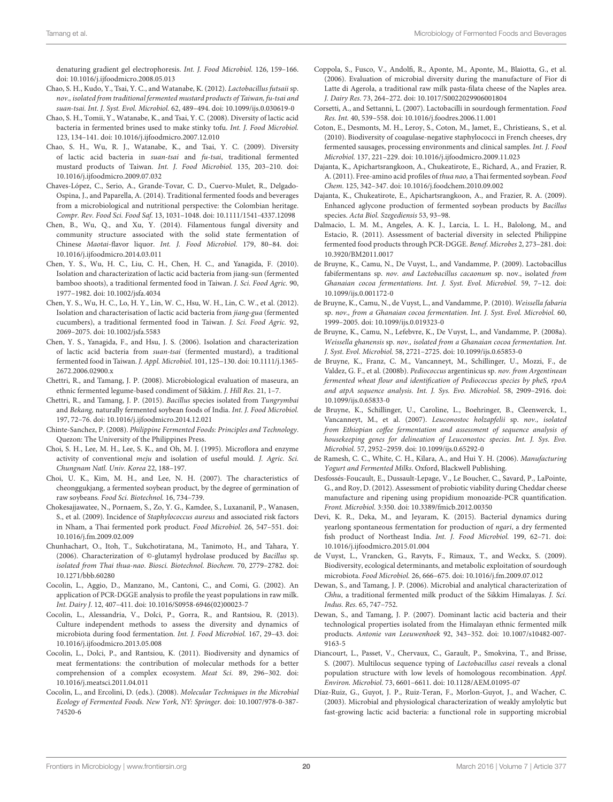denaturing gradient gel electrophoresis. Int. J. Food Microbiol. 126, 159–166. doi: 10.1016/j.ijfoodmicro.2008.05.013

- <span id="page-19-21"></span>Chao, S. H., Kudo, Y., Tsai, Y. C., and Watanabe, K. (2012). Lactobacillus futsaii sp. nov., isolated from traditional fermented mustard products of Taiwan, fu-tsai and suan-tsai. Int. J. Syst. Evol. Microbiol. 62, 489–494. doi: 10.1099/ijs.0.030619-0
- <span id="page-19-9"></span>Chao, S. H., Tomii, Y., Watanabe, K., and Tsai, Y. C. (2008). Diversity of lactic acid bacteria in fermented brines used to make stinky tofu. Int. J. Food Microbiol. 123, 134–141. doi: 10.1016/j.ijfoodmicro.2007.12.010
- <span id="page-19-20"></span>Chao, S. H., Wu, R. J., Watanabe, K., and Tsai, Y. C. (2009). Diversity of lactic acid bacteria in suan-tsai and fu-tsai, traditional fermented mustard products of Taiwan. Int. J. Food Microbiol. 135, 203–210. doi: 10.1016/j.ijfoodmicro.2009.07.032
- <span id="page-19-0"></span>Chaves-López, C., Serio, A., Grande-Tovar, C. D., Cuervo-Mulet, R., Delgado-Ospina, J., and Paparella, A. (2014). Traditional fermented foods and beverages from a microbiological and nutritional perspective: the Colombian heritage. Compr. Rev. Food Sci. Food Saf. 13, 1031–1048. doi: 10.1111/1541-4337.12098
- <span id="page-19-2"></span>Chen, B., Wu, Q., and Xu, Y. (2014). Filamentous fungal diversity and community structure associated with the solid state fermentation of Chinese Maotai-flavor liquor. Int. J. Food Microbiol. 179, 80–84. doi: 10.1016/j.ijfoodmicro.2014.03.011
- <span id="page-19-23"></span>Chen, Y. S., Wu, H. C., Liu, C. H., Chen, H. C., and Yanagida, F. (2010). Isolation and characterization of lactic acid bacteria from jiang-sun (fermented bamboo shoots), a traditional fermented food in Taiwan. J. Sci. Food Agric. 90, 1977–1982. doi: 10.1002/jsfa.4034
- <span id="page-19-22"></span>Chen, Y. S., Wu, H. C., Lo, H. Y., Lin, W. C., Hsu, W. H., Lin, C. W., et al. (2012). Isolation and characterisation of lactic acid bacteria from jiang-gua (fermented cucumbers), a traditional fermented food in Taiwan. J. Sci. Food Agric. 92, 2069–2075. doi: 10.1002/jsfa.5583
- <span id="page-19-24"></span>Chen, Y. S., Yanagida, F., and Hsu, J. S. (2006). Isolation and characterization of lactic acid bacteria from suan-tsai (fermented mustard), a traditional fermented food in Taiwan. J. Appl. Microbiol. 101, 125–130. doi: 10.1111/j.1365- 2672.2006.02900.x
- <span id="page-19-26"></span>Chettri, R., and Tamang, J. P. (2008). Microbiological evaluation of maseura, an ethnic fermented legume-based condiment of Sikkim. J. Hill Res. 21, 1–7.
- <span id="page-19-25"></span>Chettri, R., and Tamang, J. P. (2015). Bacillus species isolated from Tungrymbai and Bekang, naturally fermented soybean foods of India. Int. J. Food Microbiol. 197, 72–76. doi: 10.1016/j.ijfoodmicro.2014.12.021
- <span id="page-19-33"></span>Chinte-Sanchez, P. (2008). Philippine Fermented Foods: Principles and Technology. Quezon: The University of the Philippines Press.
- <span id="page-19-27"></span>Choi, S. H., Lee, M. H., Lee, S. K., and Oh, M. J. (1995). Microflora and enzyme activity of conventional meju and isolation of useful mould. J. Agric. Sci. Chungnam Natl. Univ. Korea 22, 188–197.
- <span id="page-19-29"></span>Choi, U. K., Kim, M. H., and Lee, N. H. (2007). The characteristics of cheonggukjang, a fermented soybean product, by the degree of germination of raw soybeans. Food Sci. Biotechnol. 16, 734–739.
- <span id="page-19-32"></span>Chokesajjawatee, N., Pornaem, S., Zo, Y. G., Kamdee, S., Luxananil, P., Wanasen, S., et al. (2009). Incidence of Staphylococcus aureus and associated risk factors in Nham, a Thai fermented pork product. Food Microbiol. 26, 547–551. doi: 10.1016/j.fm.2009.02.009
- <span id="page-19-28"></span>Chunhachart, O., Itoh, T., Sukchotiratana, M., Tanimoto, H., and Tahara, Y. (2006). Characterization of ©-glutamyl hydrolase produced by Bacillus sp. isolated from Thai thua-nao. Biosci. Biotechnol. Biochem. 70, 2779–2782. doi: 10.1271/bbb.60280
- <span id="page-19-6"></span>Cocolin, L., Aggio, D., Manzano, M., Cantoni, C., and Comi, G. (2002). An application of PCR-DGGE analysis to profile the yeast populations in raw milk. Int. Dairy J. 12, 407–411. doi: 10.1016/S0958-6946(02)00023-7
- <span id="page-19-4"></span>Cocolin, L., Alessandria, V., Dolci, P., Gorra, R., and Rantsiou, R. (2013). Culture independent methods to assess the diversity and dynamics of microbiota during food fermentation. Int. J. Food Microbiol. 167, 29–43. doi: 10.1016/j.ijfoodmicro.2013.05.008
- <span id="page-19-5"></span>Cocolin, L., Dolci, P., and Rantsiou, K. (2011). Biodiversity and dynamics of meat fermentations: the contribution of molecular methods for a better comprehension of a complex ecosystem. Meat Sci. 89, 296–302. doi: 10.1016/j.meatsci.2011.04.011
- <span id="page-19-3"></span>Cocolin, L., and Ercolini, D. (eds.). (2008). Molecular Techniques in the Microbial Ecology of Fermented Foods. New York, NY: Springer. doi: 10.1007/978-0-387- 74520-6
- <span id="page-19-8"></span>Coppola, S., Fusco, V., Andolfi, R., Aponte, M., Aponte, M., Blaiotta, G., et al. (2006). Evaluation of microbial diversity during the manufacture of Fior di Latte di Agerola, a traditional raw milk pasta-filata cheese of the Naples area. J. Dairy Res. 73, 264–272. doi: 10.1017/S0022029906001804
- <span id="page-19-18"></span>Corsetti, A., and Settanni, L. (2007). Lactobacilli in sourdough fermentation. Food Res. Int. 40, 539–558. doi: 10.1016/j.foodres.2006.11.001
- <span id="page-19-1"></span>Coton, E., Desmonts, M. H., Leroy, S., Coton, M., Jamet, E., Christieans, S., et al. (2010). Biodiversity of coagulase-negative staphylococci in French cheeses, dry fermented sausages, processing environments and clinical samples. Int. J. Food Microbiol. 137, 221–229. doi: 10.1016/j.ijfoodmicro.2009.11.023
- <span id="page-19-31"></span>Dajanta, K., Apichartsrangkoon, A., Chukeatirote, E., Richard, A., and Frazier, R. A. (2011). Free-amino acid profiles of thua nao, a Thai fermented soybean. Food Chem. 125, 342–347. doi: 10.1016/j.foodchem.2010.09.002
- <span id="page-19-30"></span>Dajanta, K., Chukeatirote, E., Apichartsrangkoon, A., and Frazier, R. A. (2009). Enhanced aglycone production of fermented soybean products by Bacillus species. Acta Biol. Szegediensis 53, 93–98.
- <span id="page-19-34"></span>Dalmacio, L. M. M., Angeles, A. K. J., Larcia, L. L. H., Balolong, M., and Estacio, R. (2011). Assessment of bacterial diversity in selected Philippine fermented food products through PCR-DGGE. Benef. Microbes 2, 273–281. doi: 10.3920/BM2011.0017
- <span id="page-19-37"></span>de Bruyne, K., Camu, N., De Vuyst, L., and Vandamme, P. (2009). Lactobacillus fabifermentans sp. nov. and Lactobacillus cacaonum sp. nov., isolated from Ghanaian cocoa fermentations. Int. J. Syst. Evol. Microbiol. 59, 7–12. doi: 10.1099/ijs.0.001172-0
- <span id="page-19-12"></span>de Bruyne, K., Camu, N., de Vuyst, L., and Vandamme, P. (2010). Weissella fabaria sp. nov., from a Ghanaian cocoa fermentation. Int. J. Syst. Evol. Microbiol. 60, 1999–2005. doi: 10.1099/ijs.0.019323-0
- <span id="page-19-36"></span>de Bruyne, K., Camu, N., Lefebvre, K., De Vuyst, L., and Vandamme, P. (2008a). Weissella ghanensis sp. nov., isolated from a Ghanaian cocoa fermentation. Int. J. Syst. Evol. Microbiol. 58, 2721–2725. doi: 10.1099/ijs.0.65853-0
- <span id="page-19-11"></span>de Bruyne, K., Franz, C. M., Vancanneyt, M., Schillinger, U., Mozzi, F., de Valdez, G. F., et al. (2008b). Pediococcus argentinicus sp. nov. from Argentinean fermented wheat flour and identification of Pediococcus species by pheS, rpoA and atpA sequence analysis. Int. J. Sys. Evo. Microbiol. 58, 2909–2916. doi: 10.1099/ijs.0.65833-0
- <span id="page-19-10"></span>de Bruyne, K., Schillinger, U., Caroline, L., Boehringer, B., Cleenwerck, I., Vancanneyt, M., et al. (2007). Leuconostoc holzapfelii sp. nov., isolated from Ethiopian coffee fermentation and assessment of sequence analysis of housekeeping genes for delineation of Leuconostoc species. Int. J. Sys. Evo. Microbiol. 57, 2952–2959. doi: 10.1099/ijs.0.65292-0
- <span id="page-19-14"></span>de Ramesh, C. C., White, C. H., Kilara, A., and Hui Y. H. (2006). Manufacturing Yogurt and Fermented Milks. Oxford, Blackwell Publishing.
- <span id="page-19-7"></span>Desfossés-Foucault, E., Dussault-Lepage, V., Le Boucher, C., Savard, P., LaPointe, G., and Roy, D. (2012). Assessment of probiotic viability during Cheddar cheese manufacture and ripening using propidium monoazide-PCR quantification. Front. Microbiol. 3:350. doi: 10.3389/fmicb.2012.00350
- <span id="page-19-35"></span>Devi, K. R., Deka, M., and Jeyaram, K. (2015). Bacterial dynamics during yearlong spontaneous fermentation for production of ngari, a dry fermented fish product of Northeast India. Int. J. Food Microbiol. 199, 62–71. doi: 10.1016/j.ijfoodmicro.2015.01.004
- <span id="page-19-17"></span>de Vuyst, L., Vrancken, G., Ravyts, F., Rimaux, T., and Weckx, S. (2009). Biodiversity, ecological determinants, and metabolic exploitation of sourdough microbiota. Food Microbiol. 26, 666–675. doi: 10.1016/j.fm.2009.07.012
- <span id="page-19-15"></span>Dewan, S., and Tamang, J. P. (2006). Microbial and analytical characterization of Chhu, a traditional fermented milk product of the Sikkim Himalayas. J. Sci. Indus. Res. 65, 747–752.
- <span id="page-19-16"></span>Dewan, S., and Tamang, J. P. (2007). Dominant lactic acid bacteria and their technological properties isolated from the Himalayan ethnic fermented milk products. Antonie van Leeuwenhoek 92, 343–352. doi: 10.1007/s10482-007- 9163-5
- <span id="page-19-13"></span>Diancourt, L., Passet, V., Chervaux, C., Garault, P., Smokvina, T., and Brisse, S. (2007). Multilocus sequence typing of Lactobacillus casei reveals a clonal population structure with low levels of homologous recombination. Appl. Environ. Microbiol. 73, 6601–6611. doi: 10.1128/AEM.01095-07
- <span id="page-19-19"></span>Díaz-Ruiz, G., Guyot, J. P., Ruiz-Teran, F., Morlon-Guyot, J., and Wacher, C. (2003). Microbial and physiological characterization of weakly amylolytic but fast-growing lactic acid bacteria: a functional role in supporting microbial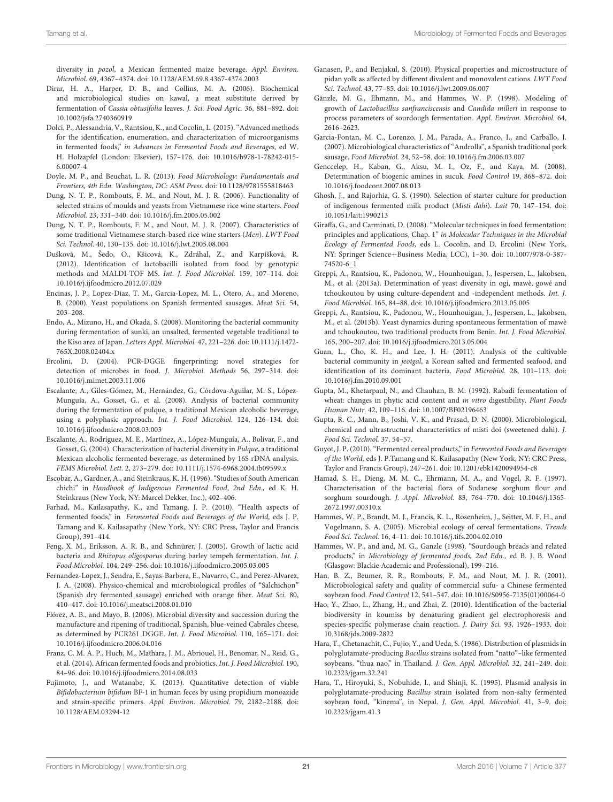diversity in pozol, a Mexican fermented maize beverage. Appl. Environ. Microbiol. 69, 4367–4374. doi: 10.1128/AEM.69.8.4367-4374.2003

- <span id="page-20-21"></span>Dirar, H. A., Harper, D. B., and Collins, M. A. (2006). Biochemical and microbiological studies on kawal, a meat substitute derived by fermentation of Cassia obtusifolia leaves. J. Sci. Food Agric. 36, 881–892. doi: 10.1002/jsfa.2740360919
- <span id="page-20-3"></span>Dolci, P., Alessandria, V., Rantsiou, K., and Cocolin, L. (2015). "Advanced methods for the identification, enumeration, and characterization of microorganisms in fermented foods," in Advances in Fermented Foods and Beverages, ed W. H. Holzapfel (London: Elsevier), 157–176. doi: 10.1016/b978-1-78242-015- 6.00007-4
- <span id="page-20-2"></span>Doyle, M. P., and Beuchat, L. R. (2013). Food Microbiology: Fundamentals and Frontiers, 4th Edn. Washington, DC: ASM Press. doi: 10.1128/9781555818463
- <span id="page-20-32"></span>Dung, N. T. P., Rombouts, F. M., and Nout, M. J. R. (2006). Functionality of selected strains of moulds and yeasts from Vietnamese rice wine starters. Food Microbiol. 23, 331–340. doi: 10.1016/j.fm.2005.05.002
- <span id="page-20-33"></span>Dung, N. T. P., Rombouts, F. M., and Nout, M. J. R. (2007). Characteristics of some traditional Vietnamese starch-based rice wine starters (Men). LWT Food Sci. Technol. 40, 130–135. doi: 10.1016/j.lwt.2005.08.004
- <span id="page-20-10"></span>Dušková, M., Šedo, O., Kšicová, K., Zdráhal, Z., and Karpíšková, R. (2012). Identification of lactobacilli isolated from food by genotypic methods and MALDI-TOF MS. Int. J. Food Microbiol. 159, 107–114. doi: 10.1016/j.ijfoodmicro.2012.07.029
- <span id="page-20-26"></span>Encinas, J. P., Lopez-Diaz, T. M., Garcia-Lopez, M. L., Otero, A., and Moreno, B. (2000). Yeast populations on Spanish fermented sausages. Meat Sci. 54, 203–208.
- <span id="page-20-20"></span>Endo, A., Mizuno, H., and Okada, S. (2008). Monitoring the bacterial community during fermentation of sunki, an unsalted, fermented vegetable traditional to the Kiso area of Japan. Letters Appl. Microbiol. 47, 221–226. doi: 10.1111/j.1472- 765X.2008.02404.x
- <span id="page-20-8"></span>Ercolini, D. (2004). PCR-DGGE fingerprinting: novel strategies for detection of microbes in food. J. Microbiol. Methods 56, 297–314. doi: 10.1016/j.mimet.2003.11.006
- <span id="page-20-36"></span>Escalante, A., Giles-Gómez, M., Hernández, G., Córdova-Aguilar, M. S., López-Munguía, A., Gosset, G., et al. (2008). Analysis of bacterial community during the fermentation of pulque, a traditional Mexican alcoholic beverage, using a polyphasic approach. Int. J. Food Microbiol. 124, 126–134. doi: 10.1016/j.ijfoodmicro.2008.03.003
- <span id="page-20-35"></span>Escalante, A., Rodríguez, M. E., Martínez, A., López-Munguía, A., Bolívar, F., and Gosset, G. (2004). Characterization of bacterial diversity in Pulque, a traditional Mexican alcoholic fermented beverage, as determined by 16S rDNA analysis. FEMS Microbiol. Lett. 2, 273–279. doi: 10.1111/j.1574-6968.2004.tb09599.x
- <span id="page-20-34"></span>Escobar, A., Gardner, A., and Steinkraus, K. H. (1996). "Studies of South American chichi" in Handbook of Indigenous Fermented Food, 2nd Edn., ed K. H. Steinkraus (New York, NY: Marcel Dekker, Inc.), 402–406.
- <span id="page-20-1"></span>Farhad, M., Kailasapathy, K., and Tamang, J. P. (2010). "Health aspects of fermented foods," in Fermented Foods and Beverages of the World, eds J. P. Tamang and K. Kailasapathy (New York, NY: CRC Press, Taylor and Francis Group), 391–414.
- <span id="page-20-23"></span>Feng, X. M., Eriksson, A. R. B., and Schnürer, J. (2005). Growth of lactic acid bacteria and Rhizopus oligosporus during barley tempeh fermentation. Int. J. Food Microbiol. 104, 249–256. doi: 10.1016/j.ijfoodmicro.2005.03.005
- <span id="page-20-28"></span>Fernandez-Lopez, J., Sendra, E., Sayas-Barbera, E., Navarro, C., and Perez-Alvarez, J. A. (2008). Physico-chemical and microbiological profiles of "Salchichon" (Spanish dry fermented sausage) enriched with orange fiber. Meat Sci. 80, 410–417. doi: 10.1016/j.meatsci.2008.01.010
- <span id="page-20-9"></span>Flórez, A. B., and Mayo, B. (2006). Microbial diversity and succession during the manufacture and ripening of traditional, Spanish, blue-veined Cabrales cheese, as determined by PCR261 DGGE. Int. J. Food Microbiol. 110, 165–171. doi: 10.1016/j.ijfoodmicro.2006.04.016
- <span id="page-20-0"></span>Franz, C. M. A. P., Huch, M., Mathara, J. M., Abriouel, H., Benomar, N., Reid, G., et al. (2014). African fermented foods and probiotics. Int. J. Food Microbiol. 190, 84–96. doi: 10.1016/j.ijfoodmicro.2014.08.033
- <span id="page-20-6"></span>Fujimoto, J., and Watanabe, K. (2013). Quantitative detection of viable Bifidobacterium bifidum BF-1 in human feces by using propidium monoazide and strain-specific primers. Appl. Environ. Microbiol. 79, 2182–2188. doi: 10.1128/AEM.03294-12
- <span id="page-20-31"></span>Ganasen, P., and Benjakul, S. (2010). Physical properties and microstructure of pidan yolk as affected by different divalent and monovalent cations. LWT Food Sci. Technol. 43, 77–85. doi: 10.1016/j.lwt.2009.06.007
- <span id="page-20-19"></span>Gänzle, M. G., Ehmann, M., and Hammes, W. P. (1998). Modeling of growth of Lactobacillus sanfranciscensis and Candida milleri in response to process parameters of sourdough fermentation. Appl. Environ. Microbiol. 64, 2616–2623.
- <span id="page-20-27"></span>Garcia-Fontan, M. C., Lorenzo, J. M., Parada, A., Franco, I., and Carballo, J. (2007). Microbiological characteristics of "Androlla", a Spanish traditional pork sausage. Food Microbiol. 24, 52–58. doi: 10.1016/j.fm.2006.03.007
- <span id="page-20-29"></span>Genccelep, H., Kaban, G., Aksu, M. I., Oz, F., and Kaya, M. (2008). Determination of biogenic amines in sucuk. Food Control 19, 868–872. doi: 10.1016/j.foodcont.2007.08.013
- <span id="page-20-12"></span>Ghosh, J., and Rajorhia, G. S. (1990). Selection of starter culture for production of indigenous fermented milk product (Misti dahi). Lait 70, 147–154. doi: 10.1051/lait:1990213
- <span id="page-20-7"></span>Giraffa, G., and Carminati, D. (2008). "Molecular techniques in food fermentation: principles and applications, Chap. 1" in Molecular Techniques in the Microbial Ecology of Fermented Foods, eds L. Cocolin, and D. Ercolini (New York, NY: Springer Science+Business Media, LCC), 1–30. doi: 10.1007/978-0-387- 74520-6\_1
- <span id="page-20-4"></span>Greppi, A., Rantsiou, K., Padonou, W., Hounhouigan, J., Jespersen, L., Jakobsen, M., et al. (2013a). Determination of yeast diversity in ogi, mawè, gowé and tchoukoutou by using culture-dependent and -independent methods. Int. J. Food Microbiol. 165, 84–88. doi: 10.1016/j.ijfoodmicro.2013.05.005
- <span id="page-20-5"></span>Greppi, A., Rantsiou, K., Padonou, W., Hounhouigan, J., Jespersen, L., Jakobsen, M., et al. (2013b). Yeast dynamics during spontaneous fermentation of mawè and tchoukoutou, two traditional products from Benin. Int. J. Food Microbiol. 165, 200–207. doi: 10.1016/j.ijfoodmicro.2013.05.004
- <span id="page-20-30"></span>Guan, L., Cho, K. H., and Lee, J. H. (2011). Analysis of the cultivable bacterial community in jeotgal, a Korean salted and fermented seafood, and identification of its dominant bacteria. Food Microbiol. 28, 101–113. doi: 10.1016/j.fm.2010.09.001
- <span id="page-20-18"></span>Gupta, M., Khetarpaul, N., and Chauhan, B. M. (1992). Rabadi fermentation of wheat: changes in phytic acid content and in vitro digestibility. Plant Foods Human Nutr. 42, 109–116. doi: 10.1007/BF02196463
- <span id="page-20-13"></span>Gupta, R. C., Mann, B., Joshi, V. K., and Prasad, D. N. (2000). Microbiological, chemical and ultrastructural characteristics of misti doi (sweetened dahi). J. Food Sci. Technol. 37, 54–57.
- <span id="page-20-14"></span>Guyot, J. P. (2010). "Fermented cereal products," in Fermented Foods and Beverages of the World, eds J. P.Tamang and K. Kailasapathy (New York, NY: CRC Press, Taylor and Francis Group), 247–261. doi: 10.1201/ebk1420094954-c8
- <span id="page-20-17"></span>Hamad, S. H., Dieng, M. M. C., Ehrmann, M. A., and Vogel, R. F. (1997). Characterisation of the bacterial flora of Sudanese sorghum flour and sorghum sourdough. J. Appl. Microbiol. 83, 764–770. doi: 10.1046/j.1365- 2672.1997.00310.x
- <span id="page-20-16"></span>Hammes, W. P., Brandt, M. J., Francis, K. L., Rosenheim, J., Seitter, M. F. H., and Vogelmann, S. A. (2005). Microbial ecology of cereal fermentations. Trends Food Sci. Technol. 16, 4–11. doi: 10.1016/j.tifs.2004.02.010
- <span id="page-20-15"></span>Hammes, W. P., and and, M. G., Ganzle (1998). "Sourdough breads and related products," in Microbiology of fermented foods, 2nd Edn., ed B. J. B. Wood (Glasgow: Blackie Academic and Professional), 199–216.
- <span id="page-20-22"></span>Han, B. Z., Beumer, R. R., Rombouts, F. M., and Nout, M. J. R. (2001). Microbiological safety and quality of commercial sufu- a Chinese fermented soybean food. Food Control 12, 541–547. doi: 10.1016/S0956-7135(01)00064-0
- <span id="page-20-11"></span>Hao, Y., Zhao, L., Zhang, H., and Zhai, Z. (2010). Identification of the bacterial biodiversity in koumiss by denaturing gradient gel electrophoresis and species-specific polymerase chain reaction. J. Dairy Sci. 93, 1926-1933. doi: 10.3168/jds.2009-2822
- <span id="page-20-24"></span>Hara, T., Chetanachit, C., Fujio, Y., and Ueda, S. (1986). Distribution of plasmids in polyglutamate-producing Bacillus strains isolated from "natto"–like fermented soybeans, "thua nao," in Thailand. J. Gen. Appl. Microbiol. 32, 241–249. doi: 10.2323/jgam.32.241
- <span id="page-20-25"></span>Hara, T., Hiroyuki, S., Nobuhide, I., and Shinji, K. (1995). Plasmid analysis in polyglutamate-producing Bacillus strain isolated from non-salty fermented soybean food, "kinema", in Nepal. J. Gen. Appl. Microbiol. 41, 3–9. doi: 10.2323/jgam.41.3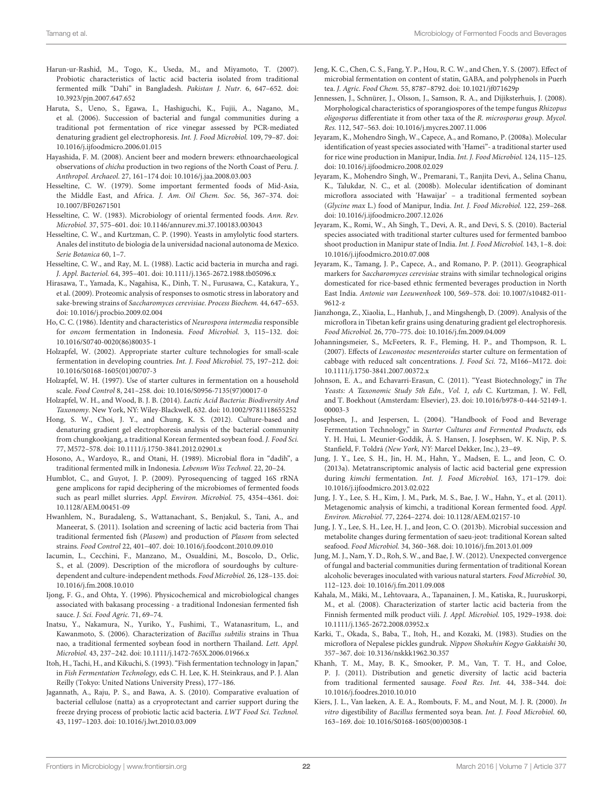- <span id="page-21-11"></span>Harun-ur-Rashid, M., Togo, K., Useda, M., and Miyamoto, T. (2007). Probiotic characteristics of lactic acid bacteria isolated from traditional fermented milk "Dahi" in Bangladesh. Pakistan J. Nutr. 6, 647–652. doi: 10.3923/pjn.2007.647.652
- <span id="page-21-26"></span>Haruta, S., Ueno, S., Egawa, I., Hashiguchi, K., Fujii, A., Nagano, M., et al. (2006). Succession of bacterial and fungal communities during a traditional pot fermentation of rice vinegar assessed by PCR-mediated denaturing gradient gel electrophoresis. Int. J. Food Microbiol. 109, 79–87. doi: 10.1016/j.ijfoodmicro.2006.01.015
- <span id="page-21-38"></span>Hayashida, F. M. (2008). Ancient beer and modern brewers: ethnoarchaeological observations of chicha production in two regions of the North Coast of Peru. J. Anthropol. Archaeol. 27, 161–174 doi: 10.1016/j.jaa.2008.03.003
- <span id="page-21-0"></span>Hesseltine, C. W. (1979). Some important fermented foods of Mid-Asia, the Middle East, and Africa. J. Am. Oil Chem. Soc. 56, 367–374. doi: 10.1007/BF02671501
- <span id="page-21-2"></span>Hesseltine, C. W. (1983). Microbiology of oriental fermented foods. Ann. Rev. Microbiol. 37, 575–601. doi: 10.1146/annurev.mi.37.100183.003043
- <span id="page-21-32"></span>Hesseltine, C. W., and Kurtzman, C. P. (1990). Yeasts in amylolytic food starters. Anales del instituto de biologia de la universidad nacional autonoma de Mexico. Serie Botanica 60, 1–7.
- <span id="page-21-35"></span>Hesseltine, C. W., and Ray, M. L. (1988). Lactic acid bacteria in murcha and ragi. J. Appl. Bacteriol. 64, 395–401. doi: 10.1111/j.1365-2672.1988.tb05096.x
- <span id="page-21-37"></span>Hirasawa, T., Yamada, K., Nagahisa, K., Dinh, T. N., Furusawa, C., Katakura, Y., et al. (2009). Proteomic analysis of responses to osmotic stress in laboratory and sake-brewing strains of Saccharomyces cerevisiae. Process Biochem. 44, 647–653. doi: 10.1016/j.procbio.2009.02.004
- <span id="page-21-21"></span>Ho, C. C. (1986). Identity and characteristics of Neurospora intermedia responsible for oncom fermentation in Indonesia. Food Microbiol. 3, 115–132. doi: 10.1016/S0740-0020(86)80035-1
- <span id="page-21-9"></span>Holzapfel, W. (2002). Appropriate starter culture technologies for small-scale fermentation in developing countries. Int. J. Food Microbiol. 75, 197–212. doi: 10.1016/S0168-1605(01)00707-3
- <span id="page-21-1"></span>Holzapfel, W. H. (1997). Use of starter cultures in fermentation on a household scale. Food Control 8, 241–258. doi: 10.1016/S0956-7135(97)00017-0
- <span id="page-21-3"></span>Holzapfel, W. H., and Wood, B. J. B. (2014). Lactic Acid Bacteria: Biodiversity And Taxonomy. New York, NY: Wiley-Blackwell, 632. doi: 10.1002/9781118655252
- <span id="page-21-19"></span>Hong, S. W., Choi, J. Y., and Chung, K. S. (2012). Culture-based and denaturing gradient gel electrophoresis analysis of the bacterial community from chungkookjang, a traditional Korean fermented soybean food. J. Food Sci. 77, M572–578. doi: 10.1111/j.1750-3841.2012.02901.x
- <span id="page-21-12"></span>Hosono, A., Wardoyo, R., and Otani, H. (1989). Microbial flora in "dadih", a traditional fermented milk in Indonesia. Lebensm Wiss Technol. 22, 20–24.
- <span id="page-21-8"></span>Humblot, C., and Guyot, J. P. (2009). Pyrosequencing of tagged 16S rRNA gene amplicons for rapid deciphering of the microbiomes of fermented foods such as pearl millet slurries. Appl. Environ. Microbiol. 75, 4354–4361. doi: 10.1128/AEM.00451-09
- <span id="page-21-25"></span>Hwanhlem, N., Buradaleng, S., Wattanachant, S., Benjakul, S., Tani, A., and Maneerat, S. (2011). Isolation and screening of lactic acid bacteria from Thai traditional fermented fish (Plasom) and production of Plasom from selected strains. Food Control 22, 401–407. doi: 10.1016/j.foodcont.2010.09.010
- <span id="page-21-14"></span>Iacumin, L., Cecchini, F., Manzano, M., Osualdini, M., Boscolo, D., Orlic, S., et al. (2009). Description of the microflora of sourdoughs by culturedependent and culture-independent methods. Food Microbiol. 26, 128–135. doi: 10.1016/j.fm.2008.10.010
- <span id="page-21-29"></span>Ijong, F. G., and Ohta, Y. (1996). Physicochemical and microbiological changes associated with bakasang processing - a traditional Indonesian fermented fish sauce. J. Sci. Food Agric. 71, 69–74.
- <span id="page-21-23"></span>Inatsu, Y., Nakamura, N., Yuriko, Y., Fushimi, T., Watanasritum, L., and Kawanmoto, S. (2006). Characterization of Bacillus subtilis strains in Thua nao, a traditional fermented soybean food in northern Thailand. Lett. Appl. Microbiol. 43, 237–242. doi: 10.1111/j.1472-765X.2006.01966.x
- <span id="page-21-31"></span>Itoh, H., Tachi, H., and Kikuchi, S. (1993). "Fish fermentation technology in Japan," in Fish Fermentation Technology, eds C. H. Lee, K. H. Steinkraus, and P. J. Alan Reilly (Tokyo: United Nations University Press), 177–186.
- <span id="page-21-28"></span>Jagannath, A., Raju, P. S., and Bawa, A. S. (2010). Comparative evaluation of bacterial cellulose (natta) as a cryoprotectant and carrier support during the freeze drying process of probiotic lactic acid bacteria. LWT Food Sci. Technol. 43, 1197–1203. doi: 10.1016/j.lwt.2010.03.009
- <span id="page-21-27"></span>Jeng, K. C., Chen, C. S., Fang, Y. P., Hou, R. C. W., and Chen, Y. S. (2007). Effect of microbial fermentation on content of statin, GABA, and polyphenols in Puerh tea. J. Agric. Food Chem. 55, 8787–8792. doi: 10.1021/jf071629p
- <span id="page-21-22"></span>Jennessen, J., Schnürer, J., Olsson, J., Samson, R. A., and Dijiksterhuis, J. (2008). Morphological characteristics of sporangiospores of the tempe fungus Rhizopus oligosporus differentiate it from other taxa of the R. microsporus group. Mycol. Res. 112, 547–563. doi: 10.1016/j.mycres.2007.11.006
- <span id="page-21-33"></span>Jeyaram, K., Mohendro Singh, W., Capece, A., and Romano, P. (2008a). Molecular identification of yeast species associated with 'Hamei"- a traditional starter used for rice wine production in Manipur, India. Int. J. Food Microbiol. 124, 115–125. doi: 10.1016/j.ijfoodmicro.2008.02.029
- <span id="page-21-20"></span>Jeyaram, K., Mohendro Singh, W., Premarani, T., Ranjita Devi, A., Selina Chanu, K., Talukdar, N. C., et al. (2008b). Molecular identification of dominant microflora associated with 'Hawaijar' – a traditional fermented soybean (Glycine max L.) food of Manipur, India. Int. J. Food Microbiol. 122, 259–268. doi: 10.1016/j.ijfoodmicro.2007.12.026
- <span id="page-21-6"></span>Jeyaram, K., Romi, W., Ah Singh, T., Devi, A. R., and Devi, S. S. (2010). Bacterial species associated with traditional starter cultures used for fermented bamboo shoot production in Manipur state of India. Int. J. Food Microbiol. 143, 1–8. doi: 10.1016/j.ijfoodmicro.2010.07.008
- <span id="page-21-34"></span>Jeyaram, K., Tamang, J. P., Capece, A., and Romano, P. P. (2011). Geographical markers for Saccharomyces cerevisiae strains with similar technological origins domesticated for rice-based ethnic fermented beverages production in North East India. Antonie van Leeuwenhoek 100, 569–578. doi: 10.1007/s10482-011- 9612-z
- <span id="page-21-5"></span>Jianzhonga, Z., Xiaolia, L., Hanhub, J., and Mingshengb, D. (2009). Analysis of the microflora in Tibetan kefir grains using denaturing gradient gel electrophoresis. Food Microbiol. 26, 770–775. doi: 10.1016/j.fm.2009.04.009
- <span id="page-21-17"></span>Johanningsmeier, S., McFeeters, R. F., Fleming, H. P., and Thompson, R. L. (2007). Effects of Leuconostoc mesenteroides starter culture on fermentation of cabbage with reduced salt concentrations. J. Food Sci. 72, M166–M172. doi: 10.1111/j.1750-3841.2007.00372.x
- <span id="page-21-15"></span>Johnson, E. A., and Echavarri-Erasun, C. (2011). "Yeast Biotechnology," in The Yeasts: A Taxonomic Study 5th Edn., Vol. 1, eds C. Kurtzman, J. W. Fell, and T. Boekhout (Amsterdam: Elsevier), 23. doi: 10.1016/b978-0-444-52149-1. 00003-3
- <span id="page-21-10"></span>Josephsen, J., and Jespersen, L. (2004). "Handbook of Food and Beverage Fermentation Technology," in Starter Cultures and Fermented Products, eds Y. H. Hui, L. Meunier-Goddik, Å. S. Hansen, J. Josephsen, W. K. Nip, P. S. Stanfield, F. Toldrá (New York, NY: Marcel Dekker, Inc.), 23–49.
- <span id="page-21-16"></span>Jung, J. Y., Lee, S. H., Jin, H. M., Hahn, Y., Madsen, E. L., and Jeon, C. O. (2013a). Metatranscriptomic analysis of lactic acid bacterial gene expression during kimchi fermentation. Int. J. Food Microbiol. 163, 171–179. doi: 10.1016/j.ijfoodmicro.2013.02.022
- <span id="page-21-7"></span>Jung, J. Y., Lee, S. H., Kim, J. M., Park, M. S., Bae, J. W., Hahn, Y., et al. (2011). Metagenomic analysis of kimchi, a traditional Korean fermented food. Appl. Environ. Microbiol. 77, 2264–2274. doi: 10.1128/AEM.02157-10
- <span id="page-21-30"></span>Jung, J. Y., Lee, S. H., Lee, H. J., and Jeon, C. O. (2013b). Microbial succession and metabolite changes during fermentation of saeu-jeot: traditional Korean salted seafood. Food Microbiol. 34, 360–368. doi: 10.1016/j.fm.2013.01.009
- <span id="page-21-36"></span>Jung, M. J., Nam, Y. D., Roh, S. W., and Bae, J. W. (2012). Unexpected convergence of fungal and bacterial communities during fermentation of traditional Korean alcoholic beverages inoculated with various natural starters. Food Microbiol. 30, 112–123. doi: 10.1016/j.fm.2011.09.008
- <span id="page-21-13"></span>Kahala, M., Mäki, M., Lehtovaara, A., Tapanainen, J. M., Katiska, R., Juuruskorpi, M., et al. (2008). Characterization of starter lactic acid bacteria from the Finnish fermented milk product viili. J. Appl. Microbiol. 105, 1929–1938. doi: 10.1111/j.1365-2672.2008.03952.x
- <span id="page-21-18"></span>Karki, T., Okada, S., Baba, T., Itoh, H., and Kozaki, M. (1983). Studies on the microflora of Nepalese pickles gundruk. Nippon Shokuhin Kogyo Gakkaishi 30, 357–367. doi: 10.3136/nskkk1962.30.357
- <span id="page-21-24"></span>Khanh, T. M., May, B. K., Smooker, P. M., Van, T. T. H., and Coloe, P. J. (2011). Distribution and genetic diversity of lactic acid bacteria from traditional fermented sausage. Food Res. Int. 44, 338–344. doi: 10.1016/j.foodres.2010.10.010
- <span id="page-21-4"></span>Kiers, J. L., Van laeken, A. E. A., Rombouts, F. M., and Nout, M. J. R. (2000). In vitro digestibility of Bacillus fermented soya bean. Int. J. Food Microbiol. 60, 163–169. doi: 10.1016/S0168-1605(00)00308-1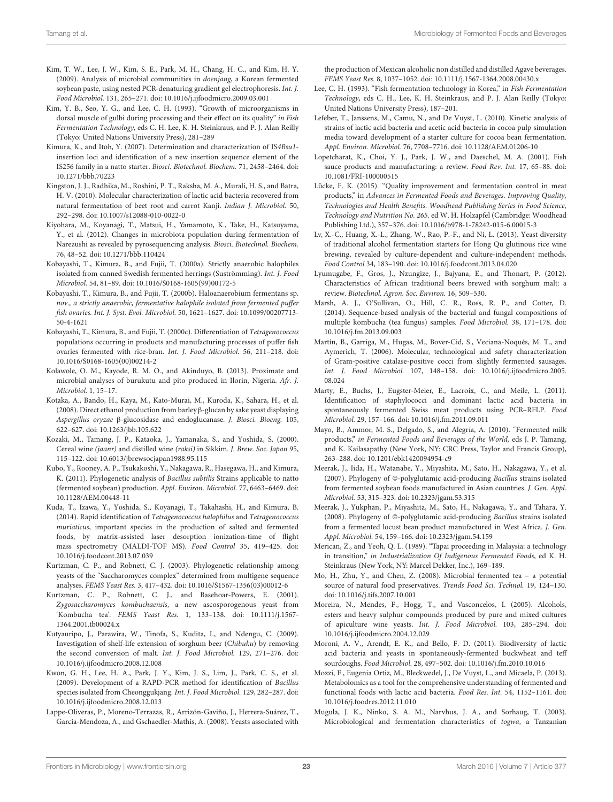- <span id="page-22-10"></span>Kim, T. W., Lee, J. W., Kim, S. E., Park, M. H., Chang, H. C., and Kim, H. Y. (2009). Analysis of microbial communities in doenjang, a Korean fermented soybean paste, using nested PCR-denaturing gradient gel electrophoresis. Int. J. Food Microbiol. 131, 265–271. doi: 10.1016/j.ijfoodmicro.2009.03.001
- <span id="page-22-24"></span>Kim, Y. B., Seo, Y. G., and Lee, C. H. (1993). "Growth of microorganisms in dorsal muscle of gulbi during processing and their effect on its quality" in Fish Fermentation Technology, eds C. H. Lee, K. H. Steinkraus, and P. J. Alan Reilly (Tokyo: United Nations University Press), 281–289
- <span id="page-22-12"></span>Kimura, K., and Itoh, Y. (2007). Determination and characterization of IS4Bsu1 insertion loci and identification of a new insertion sequence element of the IS256 family in a natto starter. Biosci. Biotechnol. Biochem. 71, 2458–2464. doi: 10.1271/bbb.70223
- <span id="page-22-30"></span>Kingston, J. J., Radhika, M., Roshini, P. T., Raksha, M. A., Murali, H. S., and Batra, H. V. (2010). Molecular characterization of lactic acid bacteria recovered from natural fermentation of beet root and carrot Kanji. Indian J. Microbiol. 50, 292–298. doi: 10.1007/s12088-010-0022-0
- <span id="page-22-4"></span>Kiyohara, M., Koyanagi, T., Matsui, H., Yamamoto, K., Take, H., Katsuyama, Y., et al. (2012). Changes in microbiota population during fermentation of Narezushi as revealed by pyrosequencing analysis. Biosci. Biotechnol. Biochem. 76, 48–52. doi: 10.1271/bbb.110424
- <span id="page-22-17"></span>Kobayashi, T., Kimura, B., and Fujii, T. (2000a). Strictly anaerobic halophiles isolated from canned Swedish fermented herrings (Suströmming). Int. J. Food Microbiol. 54, 81–89. doi: 10.1016/S0168-1605(99)00172-5
- <span id="page-22-18"></span>Kobayashi, T., Kimura, B., and Fujii, T. (2000b). Haloanaerobium fermentans sp. nov., a strictly anaerobic, fermentative halophile isolated from fermented puffer fish ovaries. Int. J. Syst. Evol. Microbiol. 50, 1621–1627. doi: 10.1099/00207713- 50-4-1621
- <span id="page-22-19"></span>Kobayashi, T., Kimura, B., and Fujii, T. (2000c). Differentiation of Tetragenococcus populations occurring in products and manufacturing processes of puffer fish ovaries fermented with rice-bran. Int. J. Food Microbiol. 56, 211–218. doi: 10.1016/S0168-1605(00)00214-2
- <span id="page-22-32"></span>Kolawole, O. M., Kayode, R. M. O., and Akinduyo, B. (2013). Proximate and microbial analyses of burukutu and pito produced in Ilorin, Nigeria. Afr. J. Microbiol. 1, 15–17.
- <span id="page-22-27"></span>Kotaka, A., Bando, H., Kaya, M., Kato-Murai, M., Kuroda, K., Sahara, H., et al. (2008). Direct ethanol production from barley β-glucan by sake yeast displaying Aspergillus oryzae β-glucosidase and endoglucanase. J. Biosci. Bioeng. 105, 622–627. doi: 10.1263/jbb.105.622
- <span id="page-22-33"></span>Kozaki, M., Tamang, J. P., Kataoka, J., Yamanaka, S., and Yoshida, S. (2000). Cereal wine (jaanr) and distilled wine (raksi) in Sikkim. J. Brew. Soc. Japan 95, 115–122. doi: 10.6013/jbrewsocjapan1988.95.115
- <span id="page-22-0"></span>Kubo, Y., Rooney, A. P., Tsukakoshi, Y., Nakagawa, R., Hasegawa, H., and Kimura, K. (2011). Phylogenetic analysis of Bacillus subtilis Strains applicable to natto (fermented soybean) production. Appl. Environ. Microbiol. 77, 6463–6469. doi: 10.1128/AEM.00448-11
- <span id="page-22-5"></span>Kuda, T., Izawa, Y., Yoshida, S., Koyanagi, T., Takahashi, H., and Kimura, B. (2014). Rapid identification of Tetragenococcus halophilus and Tetragenococcus muriaticus, important species in the production of salted and fermented foods, by matrix-assisted laser desorption ionization-time of flight mass spectrometry (MALDI-TOF MS). Food Control 35, 419–425. doi: 10.1016/j.foodcont.2013.07.039
- <span id="page-22-28"></span>Kurtzman, C. P., and Robnett, C. J. (2003). Phylogenetic relationship among yeasts of the "Saccharomyces complex" determined from multigene sequence analyses. FEMS Yeast Res. 3, 417–432. doi: 10.1016/S1567-1356(03)00012-6
- <span id="page-22-21"></span>Kurtzman, C. P., Robnett, C. J., and Basehoar-Powers, E. (2001). Zygosaccharomyces kombuchaensis, a new ascosporogenous yeast from 'Kombucha tea'. FEMS Yeast Res. 1, 133–138. doi: 10.1111/j.1567- 1364.2001.tb00024x
- <span id="page-22-31"></span>Kutyauripo, J., Parawira, W., Tinofa, S., Kudita, I., and Ndengu, C. (2009). Investigation of shelf-life extension of sorghum beer (Chibuku) by removing the second conversion of malt. Int. J. Food Microbiol. 129, 271–276. doi: 10.1016/j.ijfoodmicro.2008.12.008
- <span id="page-22-13"></span>Kwon, G. H., Lee, H. A., Park, J. Y., Kim, J. S., Lim, J., Park, C. S., et al. (2009). Development of a RAPD-PCR method for identification of Bacillus species isolated from Cheonggukjang. Int. J. Food Microbiol. 129, 282–287. doi: 10.1016/j.ijfoodmicro.2008.12.013
- <span id="page-22-29"></span>Lappe-Oliveras, P., Moreno-Terrazas, R., Arrizón-Gaviño, J., Herrera-Suárez, T., Garcia-Mendoza, A., and Gschaedler-Mathis, A. (2008). Yeasts associated with

the production of Mexican alcoholic non distilled and distilled Agave beverages. FEMS Yeast Res. 8, 1037–1052. doi: 10.1111/j.1567-1364.2008.00430.x

- <span id="page-22-26"></span>Lee, C. H. (1993). "Fish fermentation technology in Korea," in Fish Fermentation Technology, eds C. H., Lee, K. H. Steinkraus, and P. J. Alan Reilly (Tokyo: United Nations University Press), 187–201.
- <span id="page-22-23"></span>Lefeber, T., Janssens, M., Camu, N., and De Vuyst, L. (2010). Kinetic analysis of strains of lactic acid bacteria and acetic acid bacteria in cocoa pulp simulation media toward development of a starter culture for cocoa bean fermentation. Appl. Environ. Microbiol. 76, 7708–7716. doi: 10.1128/AEM.01206-10
- <span id="page-22-25"></span>Lopetcharat, K., Choi, Y. J., Park, J. W., and Daeschel, M. A. (2001). Fish sauce products and manufacturing: a review. Food Rev. Int. 17, 65–88. doi: 10.1081/FRI-100000515
- <span id="page-22-15"></span>Lücke, F. K. (2015). "Quality improvement and fermentation control in meat products," in Advances in Fermented Foods and Beverages. Improving Quality, Technologies and Health Benefits. Woodhead Publishing Series in Food Science, Technology and Nutrition No. 265. ed W. H. Holzapfel (Cambridge: Woodhead Publishing Ltd.), 357–376. doi: 10.1016/b978-1-78242-015-6.00015-3
- <span id="page-22-2"></span>Lv, X.-C., Huang, X.-L., Zhang, W., Rao, P.-F., and Ni, L. (2013). Yeast diversity of traditional alcohol fermentation starters for Hong Qu glutinous rice wine brewing, revealed by culture-dependent and culture-independent methods. Food Control 34, 183–190. doi: 10.1016/j.foodcont.2013.04.020
- <span id="page-22-34"></span>Lyumugabe, F., Gros, J., Nzungize, J., Bajyana, E., and Thonart, P. (2012). Characteristics of African traditional beers brewed with sorghum malt: a review. Biotechnol. Agron. Soc. Environ. 16, 509–530.
- <span id="page-22-22"></span>Marsh, A. J., O'Sullivan, O., Hill, C. R., Ross, R. P., and Cotter, D. (2014). Sequence-based analysis of the bacterial and fungal compositions of multiple kombucha (tea fungus) samples. Food Microbiol. 38, 171–178. doi: 10.1016/j.fm.2013.09.003
- <span id="page-22-1"></span>Martín, B., Garriga, M., Hugas, M., Bover-Cid, S., Veciana-Noqués, M. T., and Aymerich, T. (2006). Molecular, technological and safety characterization of Gram-positive catalase-positive cocci from slightly fermented sausages. Int. J. Food Microbiol. 107, 148–158. doi: 10.1016/j.ijfoodmicro.2005. 08.024
- <span id="page-22-16"></span>Marty, E., Buchs, J., Eugster-Meier, E., Lacroix, C., and Meile, L. (2011). Identification of staphylococci and dominant lactic acid bacteria in spontaneously fermented Swiss meat products using PCR–RFLP. Food Microbiol. 29, 157–166. doi: 10.1016/j.fm.2011.09.011
- <span id="page-22-6"></span>Mayo, B., Ammor, M. S., Delgado, S., and Alegría, A. (2010). "Fermented milk products," in Fermented Foods and Beverages of the World, eds J. P. Tamang, and K. Kailasapathy (New York, NY: CRC Press, Taylor and Francis Group), 263–288. doi: 10.1201/ebk1420094954-c9
- <span id="page-22-11"></span>Meerak, J., Iida, H., Watanabe, Y., Miyashita, M., Sato, H., Nakagawa, Y., et al. (2007). Phylogeny of ©-polyglutamic acid-producing Bacillus strains isolated from fermented soybean foods manufactured in Asian countries. J. Gen. Appl. Microbiol. 53, 315–323. doi: 10.2323/jgam.53.315
- <span id="page-22-9"></span>Meerak, J., Yukphan, P., Miyashita, M., Sato, H., Nakagawa, Y., and Tahara, Y. (2008). Phylogeny of ©-polyglutamic acid-producing Bacillus strains isolated from a fermented locust bean product manufactured in West Africa. J. Gen. Appl. Microbiol. 54, 159–166. doi: 10.2323/jgam.54.159
- <span id="page-22-14"></span>Merican, Z., and Yeoh, Q. L. (1989). "Tapai proceeding in Malaysia: a technology in transition," in Industrialization Of Indigenous Fermented Foods, ed K. H. Steinkraus (New York, NY: Marcel Dekker, Inc.), 169–189.
- <span id="page-22-20"></span>Mo, H., Zhu, Y., and Chen, Z. (2008). Microbial fermented tea – a potential source of natural food preservatives. Trends Food Sci. Technol. 19, 124–130. doi: 10.1016/j.tifs.2007.10.001
- <span id="page-22-35"></span>Moreira, N., Mendes, F., Hogg, T., and Vasconcelos, I. (2005). Alcohols, esters and heavy sulphur compounds produced by pure and mixed cultures of apiculture wine yeasts. Int. J. Food Microbiol. 103, 285–294. doi: 10.1016/j.ijfoodmicro.2004.12.029
- <span id="page-22-7"></span>Moroni, A. V., Arendt, E. K., and Bello, F. D. (2011). Biodiversity of lactic acid bacteria and yeasts in spontaneously-fermented buckwheat and teff sourdoughs. Food Microbiol. 28, 497–502. doi: 10.1016/j.fm.2010.10.016
- <span id="page-22-3"></span>Mozzi, F., Eugenia Ortiz, M., Bleckwedel, J., De Vuyst, L., and Micaela, P. (2013). Metabolomics as a tool for the comprehensive understanding of fermented and functional foods with lactic acid bacteria. Food Res. Int. 54, 1152–1161. doi: 10.1016/j.foodres.2012.11.010
- <span id="page-22-8"></span>Mugula, J. K., Ninko, S. A. M., Narvhus, J. A., and Sorhaug, T. (2003). Microbiological and fermentation characteristics of togwa, a Tanzanian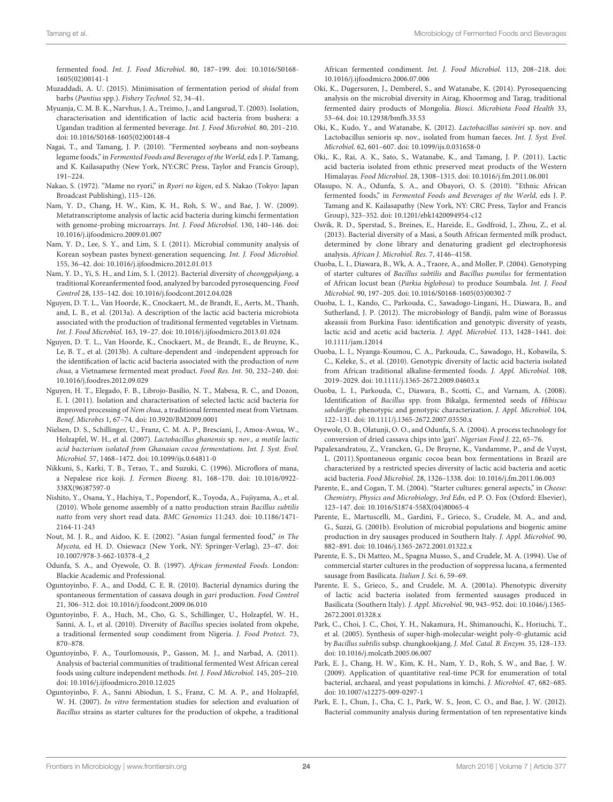fermented food. Int. J. Food Microbiol. 80, 187–199. doi: 10.1016/S0168- 1605(02)00141-1

- <span id="page-23-32"></span>Muzaddadi, A. U. (2015). Minimisation of fermentation period of shidal from barbs (Puntius spp.). Fishery Technol. 52, 34–41.
- <span id="page-23-36"></span>Myuanja, C. M. B. K., Narvhus, J. A., Treimo, J., and Langsrud, T. (2003). Isolation, characterisation and identification of lactic acid bacteria from bushera: a Ugandan tradition al fermented beverage. Int. J. Food Microbiol. 80, 201–210. doi: 10.1016/S0168-1605(02)00148-4
- <span id="page-23-15"></span>Nagai, T., and Tamang, J. P. (2010). "Fermented soybeans and non-soybeans legume foods," in Fermented Foods and Beverages of the World, eds J. P. Tamang, and K. Kailasapathy (New York, NY:CRC Press, Taylor and Francis Group), 191–224.
- <span id="page-23-14"></span>Nakao, S. (1972). "Mame no ryori," in Ryori no kigen, ed S. Nakao (Tokyo: Japan Broadcast Publishing), 115–126.
- <span id="page-23-13"></span>Nam, Y. D., Chang, H. W., Kim, K. H., Roh, S. W., and Bae, J. W. (2009). Metatranscriptome analysis of lactic acid bacteria during kimchi fermentation with genome-probing microarrays. Int. J. Food Microbiol. 130, 140–146. doi: 10.1016/j.ijfoodmicro.2009.01.007
- <span id="page-23-6"></span>Nam, Y. D., Lee, S. Y., and Lim, S. I. (2011). Microbial community analysis of Korean soybean pastes bynext-generation sequencing. Int. J. Food Microbiol. 155, 36–42. doi: 10.1016/j.ijfoodmicro.2012.01.013
- <span id="page-23-17"></span>Nam, Y. D., Yi, S. H., and Lim, S. I. (2012). Bacterial diversity of cheonggukjang, a traditional Koreanfermented food, analyzed by barcoded pyrosequencing. Food Control 28, 135–142. doi: 10.1016/j.foodcont.2012.04.028
- <span id="page-23-9"></span>Nguyen, D. T. L., Van Hoorde, K., Cnockaert, M., de Brandt, E., Aerts, M., Thanh, and, L. B., et al. (2013a). A description of the lactic acid bacteria microbiota associated with the production of traditional fermented vegetables in Vietnam. Int. J. Food Microbiol. 163, 19–27. doi: 10.1016/j.ijfoodmicro.2013.01.024
- <span id="page-23-24"></span>Nguyen, D. T. L., Van Hoorde, K., Cnockaert, M., de Brandt, E., de Bruyne, K., Le, B. T., et al. (2013b). A culture-dependent and -independent approach for the identification of lactic acid bacteria associated with the production of nem chua, a Vietnamese fermented meat product. Food Res. Int. 50, 232–240. doi: 10.1016/j.foodres.2012.09.029
- <span id="page-23-27"></span>Nguyen, H. T., Elegado, F. B., Librojo-Basilio, N. T., Mabesa, R. C., and Dozon, E. I. (2011). Isolation and characterisation of selected lactic acid bacteria for improved processing of Nem chua, a traditional fermented meat from Vietnam. Benef. Microbes 1, 67–74. doi: 10.3920/BM2009.0001
- <span id="page-23-33"></span>Nielsen, D. S., Schillinger, U., Franz, C. M. A. P., Bresciani, J., Amoa-Awua, W., Holzapfel, W. H., et al. (2007). Lactobacillus ghanensis sp. nov., a motile lactic acid bacterium isolated from Ghanaian cocoa fermentations. Int. J. Syst. Evol. Microbiol. 57, 1468–1472. doi: 10.1099/ijs.0.64811-0
- <span id="page-23-34"></span>Nikkuni, S., Karki, T. B., Terao, T., and Suzuki, C. (1996). Microflora of mana, a Nepalese rice koji. J. Fermen Bioeng. 81, 168–170. doi: 10.1016/0922- 338X(96)87597-0
- <span id="page-23-4"></span>Nishito, Y., Osana, Y., Hachiya, T., Popendorf, K., Toyoda, A., Fujiyama, A., et al. (2010). Whole genome assembly of a natto production strain Bacillus subtilis natto from very short read data. BMC Genomics 11:243. doi: 10.1186/1471- 2164-11-243
- <span id="page-23-0"></span>Nout, M. J. R., and Aidoo, K. E. (2002). "Asian fungal fermented food," in The Mycota, ed H. D. Osiewacz (New York, NY: Springer-Verlag), 23–47. doi: 10.1007/978-3-662-10378-4\_2
- <span id="page-23-1"></span>Odunfa, S. A., and Oyewole, O. B. (1997). African fermented Foods. London: Blackie Academic and Professional.
- <span id="page-23-23"></span>Oguntoyinbo, F. A., and Dodd, C. E. R. (2010). Bacterial dynamics during the spontaneous fermentation of cassava dough in gari production. Food Control 21, 306–312. doi: 10.1016/j.foodcont.2009.06.010
- <span id="page-23-18"></span>Oguntoyinbo, F. A., Huch, M., Cho, G. S., Schillinger, U., Holzapfel, W. H., Sanni, A. I., et al. (2010). Diversity of Bacillus species isolated from okpehe, a traditional fermented soup condiment from Nigeria. J. Food Protect. 73, 870–878.
- <span id="page-23-12"></span>Oguntoyinbo, F. A., Tourlomousis, P., Gasson, M. J., and Narbad, A. (2011). Analysis of bacterial communities of traditional fermented West African cereal foods using culture independent methods. Int. J. Food Microbiol. 145, 205–210. doi: 10.1016/j.ijfoodmicro.2010.12.025
- <span id="page-23-3"></span>Oguntoyinbo, F. A., Sanni Abiodun, I. S., Franz, C. M. A. P., and Holzapfel, W. H. (2007). In vitro fermentation studies for selection and evaluation of Bacillus strains as starter cultures for the production of okpehe, a traditional

African fermented condiment. Int. J. Food Microbiol. 113, 208–218. doi: 10.1016/j.ijfoodmicro.2006.07.006

- <span id="page-23-8"></span>Oki, K., Dugersuren, J., Demberel, S., and Watanabe, K. (2014). Pyrosequencing analysis on the microbial diversity in Airag, Khoormog and Tarag, traditional fermented dairy products of Mongolia. Biosci. Microbiota Food Health 33, 53–64. doi: 10.12938/bmfh.33.53
- <span id="page-23-26"></span>Oki, K., Kudo, Y., and Watanabe, K. (2012). Lactobacillus saniviri sp. nov. and Lactobacillus senioris sp. nov., isolated from human faeces. Int. J. Syst. Evol. Microbiol. 62, 601–607. doi: 10.1099/ijs.0.031658-0
- <span id="page-23-25"></span>Oki,. K., Rai, A. K., Sato, S., Watanabe, K., and Tamang, J. P. (2011). Lactic acid bacteria isolated from ethnic preserved meat products of the Western Himalayas. Food Microbiol. 28, 1308–1315. doi: 10.1016/j.fm.2011.06.001
- <span id="page-23-2"></span>Olasupo, N. A., Odunfa, S. A., and Obayori, O. S. (2010). "Ethnic African fermented foods," in Fermented Foods and Beverages of the World, eds J. P. Tamang and K. Kailasapathy (New York, NY: CRC Press, Taylor and Francis Group), 323–352. doi: 10.1201/ebk1420094954-c12
- <span id="page-23-10"></span>Osvik, R. D., Sperstad, S., Breines, E., Hareide, E., Godfroid, J., Zhou, Z., et al. (2013). Bacterial diversity of a Masi, a South African fermented milk product, determined by clone library and denaturing gradient gel electrophoresis analysis. African J. Microbiol. Res. 7, 4146–4158.
- <span id="page-23-19"></span>Ouoba, L. I., Diawara, B., Wk, A. A., Traore, A., and Moller, P. (2004). Genotyping of starter cultures of Bacillus subtilis and Bacillus pumilus for fermentation of African locust bean (Parkia biglobosa) to produce Soumbala. Int. J. Food Microbiol. 90, 197–205. doi: 10.1016/S0168-1605(03)00302-7
- <span id="page-23-35"></span>Ouoba, L. I., Kando, C., Parkouda, C., Sawadogo-Lingani, H., Diawara, B., and Sutherland, J. P. (2012). The microbiology of Bandji, palm wine of Borassus akeassii from Burkina Faso: identification and genotypic diversity of yeasts, lactic acid and acetic acid bacteria. J. Appl. Microbiol. 113, 1428–1441. doi: 10.1111/jam.12014
- <span id="page-23-20"></span>Ouoba, L. I., Nyanga-Koumou, C. A., Parkouda, C., Sawadogo, H., Kobawila, S. C., Keleke, S., et al. (2010). Genotypic diversity of lactic acid bacteria isolated from African traditional alkaline-fermented foods. J. Appl. Microbiol. 108, 2019–2029. doi: 10.1111/j.1365-2672.2009.04603.x
- <span id="page-23-16"></span>Ouoba, L. I., Parkouda, C., Diawara, B., Scotti, C., and Varnam, A. (2008). Identification of Bacillus spp. from Bikalga, fermented seeds of Hibiscus sabdariffa: phenotypic and genotypic characterization. J. Appl. Microbiol. 104, 122–131. doi: 10.1111/j.1365-2672.2007.03550.x
- <span id="page-23-22"></span>Oyewole, O. B., Olatunji, O. O., and Odunfa, S. A. (2004). A process technology for conversion of dried cassava chips into 'gari'. Nigerian Food J. 22, 65–76.
- <span id="page-23-31"></span>Papalexandratou, Z., Vrancken, G., De Bruyne, K., Vandamme, P., and de Vuyst, L. (2011).Spontaneous organic cocoa bean box fermentations in Brazil are characterized by a restricted species diversity of lactic acid bacteria and acetic acid bacteria. Food Microbiol. 28, 1326–1338. doi: 10.1016/j.fm.2011.06.003
- <span id="page-23-11"></span>Parente, E., and Cogan, T. M. (2004). "Starter cultures: general aspects," in Cheese: Chemistry, Physics and Microbiology, 3rd Edn, ed P. O. Fox (Oxford: Elsevier), 123–147. doi: 10.1016/S1874-558X(04)80065-4
- <span id="page-23-29"></span>Parente, E., Martuscelli, M., Gardini, F., Grieco, S., Crudele, M. A., and and, G., Suzzi, G. (2001b). Evolution of microbial populations and biogenic amine production in dry sausages produced in Southern Italy. J. Appl. Microbiol. 90, 882–891. doi: 10.1046/j.1365-2672.2001.01322.x
- <span id="page-23-30"></span>Parente, E. S., Di Matteo, M., Spagna Musso, S., and Crudele, M. A. (1994). Use of commercial starter cultures in the production of soppressa lucana, a fermented sausage from Basilicata. Italian J. Sci. 6, 59–69.
- <span id="page-23-28"></span>Parente, E. S., Grieco, S., and Crudele, M. A. (2001a). Phenotypic diversity of lactic acid bacteria isolated from fermented sausages produced in Basilicata (Southern Italy). J. Appl. Microbiol. 90, 943–952. doi: 10.1046/j.1365- 2672.2001.01328.x
- <span id="page-23-21"></span>Park, C., Choi, J. C., Choi, Y. H., Nakamura, H., Shimanouchi, K., Horiuchi, T., et al. (2005). Synthesis of super-high-molecular-weight poly-©-glutamic acid by Bacillus subtilis subsp. chungkookjang. J. Mol. Catal. B. Enzym. 35, 128–133. doi: 10.1016/j.molcatb.2005.06.007
- <span id="page-23-5"></span>Park, E. J., Chang, H. W., Kim, K. H., Nam, Y. D., Roh, S. W., and Bae, J. W. (2009). Application of quantitative real-time PCR for enumeration of total bacterial, archaeal, and yeast populations in kimchi. J. Microbiol. 47, 682–685. doi: 10.1007/s12275-009-0297-1
- <span id="page-23-7"></span>Park, E. J., Chun, J., Cha, C. J., Park, W. S., Jeon, C. O., and Bae, J. W. (2012). Bacterial community analysis during fermentation of ten representative kinds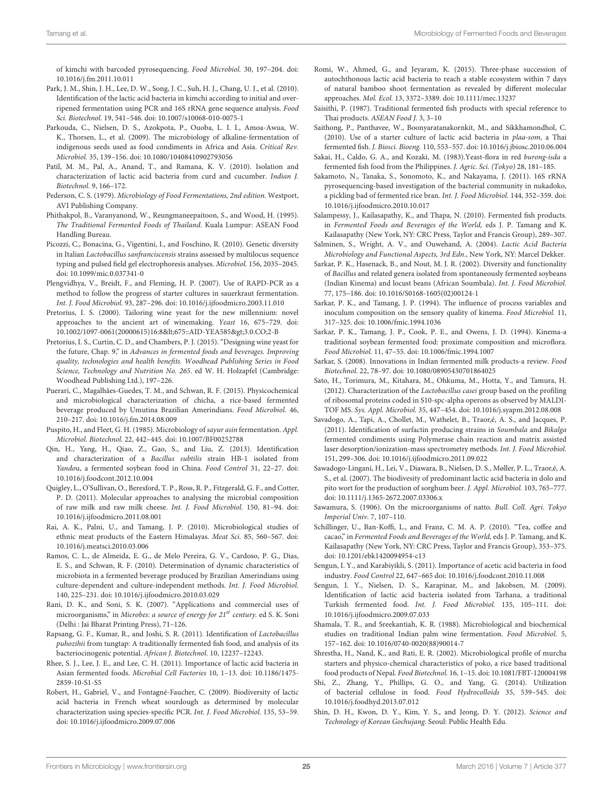of kimchi with barcoded pyrosequencing. Food Microbiol. 30, 197–204. doi: 10.1016/j.fm.2011.10.011

- <span id="page-24-13"></span>Park, J. M., Shin, J. H., Lee, D. W., Song, J. C., Suh, H. J., Chang, U. J., et al. (2010). Identification of the lactic acid bacteria in kimchi according to initial and overripened fermentation using PCR and 16S rRNA gene sequence analysis. Food Sci. Biotechnol. 19, 541–546. doi: 10.1007/s10068-010-0075-1
- <span id="page-24-2"></span>Parkouda, C., Nielsen, D. S., Azokpota, P., Ouoba, L. I. I., Amoa-Awua, W. K., Thorsen, L., et al. (2009). The microbiology of alkaline-fermentation of indigenous seeds used as food condiments in Africa and Asia. Critical Rev. Microbiol. 35, 139–156. doi: 10.1080/10408410902793056
- <span id="page-24-10"></span>Patil, M. M., Pal, A., Anand, T., and Ramana, K. V. (2010). Isolation and characterization of lactic acid bacteria from curd and cucumber. Indian J. Biotechnol. 9, 166–172.
- <span id="page-24-0"></span>Pederson, C. S. (1979). Microbiology of Food Fermentations, 2nd edition. Westport, AVI Publishing Company.
- <span id="page-24-16"></span>Phithakpol, B., Varanyanond, W., Reungmaneepaitoon, S., and Wood, H. (1995). The Traditional Fermented Foods of Thailand. Kuala Lumpur: ASEAN Food Handling Bureau.
- <span id="page-24-5"></span>Picozzi, C., Bonacina, G., Vigentini, I., and Foschino, R. (2010). Genetic diversity in Italian Lactobacillus sanfranciscensis strains assessed by multilocus sequence typing and pulsed field gel electrophoresis analyses. Microbiol. 156, 2035–2045. doi: 10.1099/mic.0.037341-0
- <span id="page-24-14"></span>Plengvidhya, V., Breidt, F., and Fleming, H. P. (2007). Use of RAPD-PCR as a method to follow the progress of starter cultures in sauerkraut fermentation. Int. J. Food Microbiol. 93, 287–296. doi: 10.1016/j.ijfoodmicro.2003.11.010
- <span id="page-24-39"></span>Pretorius, I. S. (2000). Tailoring wine yeast for the new millennium: novel approaches to the ancient art of winemaking. Yeast 16, 675–729. doi: 10.1002/1097-0061(20000615)16:8<675::AID-YEA585>3.0.CO;2-B
- <span id="page-24-40"></span>Pretorius, I. S., Curtin, C. D., and Chambers, P. J. (2015). "Designing wine yeast for the future, Chap. 9," in Advances in fermented foods and beverages. Improving quality, technologies and health benefits. Woodhead Publishing Series in Food Science, Technology and Nutrition No. 265. ed W. H. Holzapfel (Cambridge: Woodhead Publishing Ltd.), 197–226.
- <span id="page-24-37"></span>Puerari, C., Magalhâes-Guedes, T. M., and Schwan, R. F. (2015). Physicochemical and microbiological characterization of chicha, a rice-based fermented beverage produced by Umutina Brazilian Amerindians. Food Microbiol. 46, 210–217. doi: 10.1016/j.fm.2014.08.009
- <span id="page-24-17"></span>Puspito, H., and Fleet, G. H. (1985). Microbiology of sayur asin fermentation. Appl. Microbiol. Biotechnol. 22, 442–445. doi: 10.1007/BF00252788
- <span id="page-24-22"></span>Qin, H., Yang, H., Qiao, Z., Gao, S., and Liu, Z. (2013). Identification and characterization of a Bacillus subtilis strain HB-1 isolated from Yandou, a fermented soybean food in China. Food Control 31, 22–27. doi: 10.1016/j.foodcont.2012.10.004
- <span id="page-24-9"></span>Quigley, L., O'Sullivan, O., Beresford, T. P., Ross, R. P., Fitzgerald, G. F., and Cotter, P. D. (2011). Molecular approaches to analysing the microbial composition of raw milk and raw milk cheese. Int. J. Food Microbiol. 150, 81–94. doi: 10.1016/j.ijfoodmicro.2011.08.001
- <span id="page-24-29"></span>Rai, A. K., Palni, U., and Tamang, J. P. (2010). Microbiological studies of ethnic meat products of the Eastern Himalayas. Meat Sci. 85, 560–567. doi: 10.1016/j.meatsci.2010.03.006
- <span id="page-24-3"></span>Ramos, C. L., de Almeida, E. G., de Melo Pereira, G. V., Cardoso, P. G., Dias, E. S., and Schwan, R. F. (2010). Determination of dynamic characteristics of microbiota in a fermented beverage produced by Brazilian Amerindians using culture-dependent and culture-independent methods. Int. J. Food Microbiol. 140, 225–231. doi: 10.1016/j.ijfoodmicro.2010.03.029
- <span id="page-24-19"></span>Rani, D. K., and Soni, S. K. (2007). "Applications and commercial uses of microorganisms," in Microbes: a source of energy for  $21^{st}$  century. ed S. K. Soni (Delhi : Jai Bharat Printing Press), 71–126.
- <span id="page-24-33"></span>Rapsang, G. F., Kumar, R., and Joshi, S. R. (2011). Identification of Lactobacillus puhozihii from tungtap: A traditionally fermented fish food, and analysis of its bacteriocinogenic potential. African J. Biotechnol. 10, 12237–12243.
- <span id="page-24-15"></span>Rhee, S. J., Lee, J. E., and Lee, C. H. (2011). Importance of lactic acid bacteria in Asian fermented foods. Microbial Cell Factories 10, 1–13. doi: 10.1186/1475- 2859-10-S1-S5
- <span id="page-24-4"></span>Robert, H., Gabriel, V., and Fontagné-Faucher, C. (2009). Biodiversity of lactic acid bacteria in French wheat sourdough as determined by molecular characterization using species-specific PCR. Int. J. Food Microbiol. 135, 53–59. doi: 10.1016/j.ijfoodmicro.2009.07.006
- <span id="page-24-18"></span>Romi, W., Ahmed, G., and Jeyaram, K. (2015). Three-phase succession of autochthonous lactic acid bacteria to reach a stable ecosystem within 7 days of natural bamboo shoot fermentation as revealed by different molecular approaches. Mol. Ecol. 13, 3372–3389. doi: 10.1111/mec.13237
- <span id="page-24-32"></span>Saisithi, P. (1987). Traditional fermented fish products with special reference to Thai products. ASEAN Food J. 3, 3–10
- <span id="page-24-27"></span>Saithong, P., Panthavee, W., Boonyaratanakornkit, M., and Sikkhamondhol, C. (2010). Use of a starter culture of lactic acid bacteria in plaa-som, a Thai fermented fish. J. Biosci. Bioeng. 110, 553–557. doi: 10.1016/j.jbiosc.2010.06.004
- <span id="page-24-31"></span>Sakai, H., Caldo, G. A., and Kozaki, M. (1983).Yeast-flora in red burong-isda a fermented fish food from the Philippines. J. Agric. Sci. (Tokyo) 28, 181–185.
- <span id="page-24-6"></span>Sakamoto, N., Tanaka, S., Sonomoto, K., and Nakayama, J. (2011). 16S rRNA pyrosequencing-based investigation of the bacterial community in nukadoko, a pickling bad of fermented rice bran. Int. J. Food Microbiol. 144, 352–359. doi: 10.1016/j.ijfoodmicro.2010.10.017
- <span id="page-24-26"></span>Salampessy, J., Kailasapathy, K., and Thapa, N. (2010). Fermented fish products. in Fermented Foods and Beverages of the World, eds J. P. Tamang and K. Kailasapathy (New York, NY: CRC Press, Taylor and Francis Group), 289–307.
- <span id="page-24-1"></span>Salminen, S., Wright, A. V., and Ouwehand, A. (2004). Lactic Acid Bacteria Microbiology and Functional Aspects, 3rd Edn., New York, NY: Marcel Dekker.
- <span id="page-24-23"></span>Sarkar, P. K., Hasenack, B., and Nout, M. J. R. (2002). Diversity and functionality of Bacillus and related genera isolated from spontaneously fermented soybeans (Indian Kinema) and locust beans (African Soumbala). Int. J. Food Microbiol. 77, 175–186. doi: 10.1016/S0168-1605(02)00124-1
- <span id="page-24-24"></span>Sarkar, P. K., and Tamang, J. P. (1994). The influence of process variables and inoculum composition on the sensory quality of kinema. Food Microbiol. 11, 317–325. doi: 10.1006/fmic.1994.1036
- <span id="page-24-21"></span>Sarkar, P. K., Tamang, J. P., Cook, P. E., and Owens, J. D. (1994). Kinema-a traditional soybean fermented food: proximate composition and microflora. Food Microbiol. 11, 47–55. doi: 10.1006/fmic.1994.1007
- <span id="page-24-11"></span>Sarkar, S. (2008). Innovations in Indian fermented milk products-a review. Food Biotechnol. 22, 78–97. doi: 10.1080/08905430701864025
- <span id="page-24-8"></span>Sato, H., Torimura, M., Kitahara, M., Ohkuma, M., Hotta, Y., and Tamura, H. (2012). Characterization of the Lactobacillus casei group based on the profiling of ribosomal proteins coded in S10-spc-alpha operons as observed by MALDI-TOF MS. Sys. Appl. Microbiol. 35, 447–454. doi: 10.1016/j.syapm.2012.08.008
- <span id="page-24-7"></span>Savadogo, A., Tapi, A., Chollet, M., Wathelet, B., Traor,é, A. S., and Jacques, P. (2011). Identification of surfactin producing strains in Soumbala and Bikalga fermented condiments using Polymerase chain reaction and matrix assisted laser desorption/ionization-mass spectrometry methods. Int. J. Food Microbiol. 151, 299–306. doi: 10.1016/j.ijfoodmicro.2011.09.022
- <span id="page-24-38"></span>Sawadogo-Lingani, H., Lei, V., Diawara, B., Nielsen, D. S., Møller, P. L., Traor,é, A. S., et al. (2007). The biodivesity of predominant lactic acid bacteria in dolo and pito wort for the production of sorghum beer. J. Appl. Microbiol. 103, 765–777. doi: 10.1111/j.1365-2672.2007.03306.x
- <span id="page-24-25"></span>Sawamura, S. (1906). On the microorganisms of natto. Bull. Coll. Agri. Tokyo Imperial Univ. 7, 107–110.
- <span id="page-24-34"></span>Schillinger, U., Ban-Koffi, L., and Franz, C. M. A. P. (2010). "Tea, coffee and cacao," in Fermented Foods and Beverages of the World, eds J. P. Tamang, and K. Kailasapathy (New York, NY: CRC Press, Taylor and Francis Group), 353–375. doi: 10.1201/ebk1420094954-c13
- <span id="page-24-28"></span>Sengun, I. Y., and Karabiyikli, S. (2011). Importance of acetic acid bacteria in food industry. Food Control 22, 647–665 doi: 10.1016/j.foodcont.2010.11.008
- <span id="page-24-12"></span>Sengun, I. Y., Nielsen, D. S., Karapinar, M., and Jakobsen, M. (2009). Identification of lactic acid bacteria isolated from Tarhana, a traditional Turkish fermented food. Int. J. Food Microbiol. 135, 105–111. doi: 10.1016/j.ijfoodmicro.2009.07.033
- <span id="page-24-36"></span>Shamala, T. R., and Sreekantiah, K. R. (1988). Microbiological and biochemical studies on traditional Indian palm wine fermentation. Food Microbiol. 5, 157–162. doi: 10.1016/0740-0020(88)90014-7
- <span id="page-24-35"></span>Shrestha, H., Nand, K., and Rati, E. R. (2002). Microbiological profile of murcha starters and physico-chemical characteristics of poko, a rice based traditional food products of Nepal. Food Biotechnol. 16, 1–15. doi: 10.1081/FBT-120004198
- <span id="page-24-30"></span>Shi, Z., Zhang, Y., Phillips, G. O., and Yang, G. (2014). Utilization of bacterial cellulose in food. Food Hydrocolloids 35, 539–545. doi: 10.1016/j.foodhyd.2013.07.012
- <span id="page-24-20"></span>Shin, D. H., Kwon, D. Y., Kim, Y. S., and Jeong, D. Y. (2012). Science and Technology of Korean Gochujang. Seoul: Public Health Edu.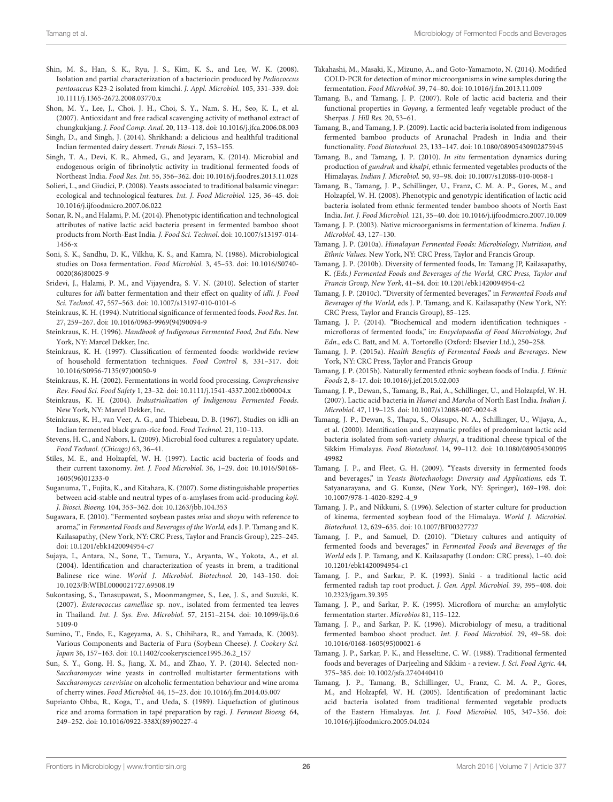- <span id="page-25-21"></span>Shin, M. S., Han, S. K., Ryu, J. S., Kim, K. S., and Lee, W. K. (2008). Isolation and partial characterization of a bacteriocin produced by Pediococcus pentosaceus K23-2 isolated from kimchi. J. Appl. Microbiol. 105, 331–339. doi: 10.1111/j.1365-2672.2008.03770.x
- <span id="page-25-32"></span>Shon, M. Y., Lee, J., Choi, J. H., Choi, S. Y., Nam, S. H., Seo, K. I., et al. (2007). Antioxidant and free radical scavenging activity of methanol extract of chungkukjang. J. Food Comp. Anal. 20, 113–118. doi: 10.1016/j.jfca.2006.08.003
- <span id="page-25-16"></span>Singh, D., and Singh, J. (2014). Shrikhand: a delicious and healthful traditional Indian fermented dairy dessert. Trends Biosci. 7, 153–155.
- <span id="page-25-29"></span>Singh, T. A., Devi, K. R., Ahmed, G., and Jeyaram, K. (2014). Microbial and endogenous origin of fibrinolytic activity in traditional fermented foods of Northeast India. Food Res. Int. 55, 356–362. doi: 10.1016/j.foodres.2013.11.028
- <span id="page-25-35"></span>Solieri, L., and Giudici, P. (2008). Yeasts associated to traditional balsamic vinegar: ecological and technological features. Int. J. Food Microbiol. 125, 36–45. doi: 10.1016/j.ijfoodmicro.2007.06.022
- <span id="page-25-26"></span>Sonar, R. N., and Halami, P. M. (2014). Phenotypic identification and technological attributes of native lactic acid bacteria present in fermented bamboo shoot products from North-East India. J. Food Sci. Technol. doi: 10.1007/s13197-014- 1456-x
- <span id="page-25-17"></span>Soni, S. K., Sandhu, D. K., Vilkhu, K. S., and Kamra, N. (1986). Microbiological studies on Dosa fermentation. Food Microbiol. 3, 45–53. doi: 10.1016/S0740- 0020(86)80025-9
- <span id="page-25-19"></span>Sridevi, J., Halami, P. M., and Vijayendra, S. V. N. (2010). Selection of starter cultures for idli batter fermentation and their effect on quality of idli. J. Food Sci. Technol. 47, 557–563. doi: 10.1007/s13197-010-0101-6
- <span id="page-25-6"></span>Steinkraus, K. H. (1994). Nutritional significance of fermented foods. Food Res. Int. 27, 259–267. doi: 10.1016/0963-9969(94)90094-9
- <span id="page-25-7"></span>Steinkraus, K. H. (1996). Handbook of Indigenous Fermented Food, 2nd Edn. New York, NY: Marcel Dekker, Inc.
- <span id="page-25-2"></span>Steinkraus, K. H. (1997). Classification of fermented foods: worldwide review of household fermentation techniques. Food Control 8, 331–317. doi: 10.1016/S0956-7135(97)00050-9
- <span id="page-25-4"></span>Steinkraus, K. H. (2002). Fermentations in world food processing. Comprehensive Rev. Food Sci. Food Safety 1, 23–32. doi: 10.1111/j.1541-4337.2002.tb00004.x
- <span id="page-25-20"></span>Steinkraus, K. H. (2004). Industrialization of Indigenous Fermented Foods. New York, NY: Marcel Dekker, Inc.
- <span id="page-25-18"></span>Steinkraus, K. H., van Veer, A. G., and Thiebeau, D. B. (1967). Studies on idli-an Indian fermented black gram-rice food. Food Technol. 21, 110–113.
- <span id="page-25-1"></span>Stevens, H. C., and Nabors, L. (2009). Microbial food cultures: a regulatory update. Food Technol. (Chicago) 63, 36–41.
- <span id="page-25-8"></span>Stiles, M. E., and Holzapfel, W. H. (1997). Lactic acid bacteria of foods and their current taxonomy. Int. J. Food Microbiol. 36, 1-29. doi: 10.1016/S0168-1605(96)01233-0
- <span id="page-25-42"></span>Suganuma, T., Fujita, K., and Kitahara, K. (2007). Some distinguishable properties between acid-stable and neutral types of α-amylases from acid-producing koji. J. Biosci. Bioeng. 104, 353–362. doi: 10.1263/jbb.104.353
- <span id="page-25-31"></span>Sugawara, E. (2010). "Fermented soybean pastes miso and shoyu with reference to aroma," in Fermented Foods and Beverages of the World, eds J. P. Tamang and K. Kailasapathy, (New York, NY: CRC Press, Taylor and Francis Group), 225–245. doi: 10.1201/ebk1420094954-c7
- <span id="page-25-38"></span>Sujaya, I., Antara, N., Sone, T., Tamura, Y., Aryanta, W., Yokota, A., et al. (2004). Identification and characterization of yeasts in brem, a traditional Balinese rice wine. World J. Microbiol. Biotechnol. 20, 143–150. doi: 10.1023/B:WIBI.0000021727.69508.19
- <span id="page-25-36"></span>Sukontasing, S., Tanasupawat, S., Moonmangmee, S., Lee, J. S., and Suzuki, K. (2007). Enterococcus camelliae sp. nov., isolated from fermented tea leaves in Thailand. Int. J. Sys. Evo. Microbiol. 57, 2151–2154. doi: 10.1099/ijs.0.6 5109-0
- <span id="page-25-28"></span>Sumino, T., Endo, E., Kageyama, A. S., Chihihara, R., and Yamada, K. (2003). Various Components and Bacteria of Furu (Soybean Cheese). J. Cookery Sci. Japan 36, 157–163. doi: 10.11402/cookeryscience1995.36.2\_157
- <span id="page-25-43"></span>Sun, S. Y., Gong, H. S., Jiang, X. M., and Zhao, Y. P. (2014). Selected non-Saccharomyces wine yeasts in controlled multistarter fermentations with Saccharomyces cerevisiae on alcoholic fermentation behaviour and wine aroma of cherry wines. Food Microbiol. 44, 15–23. doi: 10.1016/j.fm.2014.05.007
- <span id="page-25-34"></span>Suprianto Ohba, R., Koga, T., and Ueda, S. (1989). Liquefaction of glutinous rice and aroma formation in tapé preparation by ragi. J. Ferment Bioeng. 64, 249–252. doi: 10.1016/0922-338X(89)90227-4
- <span id="page-25-44"></span>Takahashi, M., Masaki, K., Mizuno, A., and Goto-Yamamoto, N. (2014). Modified COLD-PCR for detection of minor microorganisms in wine samples during the fermentation. Food Microbiol. 39, 74–80. doi: 10.1016/j.fm.2013.11.009
- <span id="page-25-22"></span>Tamang, B., and Tamang, J. P. (2007). Role of lactic acid bacteria and their functional properties in Goyang, a fermented leafy vegetable product of the Sherpas. J. Hill Res. 20, 53–61.
- <span id="page-25-25"></span>Tamang, B., and Tamang, J. P. (2009). Lactic acid bacteria isolated from indigenous fermented bamboo products of Arunachal Pradesh in India and their functionality. Food Biotechnol. 23, 133–147. doi: 10.1080/08905430902875945
- <span id="page-25-23"></span>Tamang, B., and Tamang, J. P. (2010). In situ fermentation dynamics during production of gundruk and khalpi, ethnic fermented vegetables products of the Himalayas. Indian J. Microbiol. 50, 93–98. doi: 10.1007/s12088-010-0058-1
- <span id="page-25-13"></span>Tamang, B., Tamang, J. P., Schillinger, U., Franz, C. M. A. P., Gores, M., and Holzapfel, W. H. (2008). Phenotypic and genotypic identification of lactic acid bacteria isolated from ethnic fermented tender bamboo shoots of North East India. Int. J. Food Microbiol. 121, 35–40. doi: 10.1016/j.ijfoodmicro.2007.10.009
- <span id="page-25-30"></span>Tamang, J. P. (2003). Native microorganisms in fermentation of kinema. Indian J. Microbiol. 43, 127–130.
- <span id="page-25-37"></span>Tamang, J. P. (2010a). Himalayan Fermented Foods: Microbiology, Nutrition, and Ethnic Values. New York, NY: CRC Press, Taylor and Francis Group.
- <span id="page-25-3"></span>Tamang, J. P. (2010b). Diversity of fermented foods, In: Tamang JP, Kailasapathy, K. (Eds.) Fermented Foods and Beverages of the World, CRC Press, Taylor and Francis Group, New York, 41–84. doi: 10.1201/ebk1420094954-c2
- <span id="page-25-14"></span>Tamang, J. P. (2010c). "Diversity of fermented beverages," in Fermented Foods and Beverages of the World, eds J. P. Tamang, and K. Kailasapathy (New York, NY: CRC Press, Taylor and Francis Group), 85–125.
- <span id="page-25-11"></span>Tamang, J. P. (2014). "Biochemical and modern identification techniques microfloras of fermented foods," in: Encyclopaedia of Food Microbiology, 2nd Edn., eds C. Batt, and M. A. Tortorello (Oxford: Elsevier Ltd.), 250–258.
- <span id="page-25-5"></span>Tamang, J. P. (2015a). Health Benefits of Fermented Foods and Beverages. New York, NY: CRC Press, Taylor and Francis Group
- <span id="page-25-9"></span>Tamang, J. P. (2015b). Naturally fermented ethnic soybean foods of India. J. Ethnic Foods 2, 8–17. doi: 10.1016/j.jef.2015.02.003
- <span id="page-25-41"></span>Tamang, J. P., Dewan, S., Tamang, B., Rai, A., Schillinger, U., and Holzapfel, W. H. (2007). Lactic acid bacteria in Hamei and Marcha of North East India. Indian J. Microbiol. 47, 119–125. doi: 10.1007/s12088-007-0024-8
- <span id="page-25-15"></span>Tamang, J. P., Dewan, S., Thapa, S., Olasupo, N. A., Schillinger, U., Wijaya, A., et al. (2000). Identification and enzymatic profiles of predominant lactic acid bacteria isolated from soft-variety chhurpi, a traditional cheese typical of the Sikkim Himalayas. Food Biotechnol. 14, 99–112. doi: 10.1080/089054300095 49982
- <span id="page-25-10"></span>Tamang, J. P., and Fleet, G. H. (2009). "Yeasts diversity in fermented foods and beverages," in Yeasts Biotechnology: Diversity and Applications, eds T. Satyanarayana, and G. Kunze, (New York, NY: Springer), 169–198. doi: 10.1007/978-1-4020-8292-4\_9
- <span id="page-25-33"></span>Tamang, J. P., and Nikkuni, S. (1996). Selection of starter culture for production of kinema, fermented soybean food of the Himalaya. World J. Microbiol. Biotechnol. 12, 629–635. doi: 10.1007/BF00327727
- <span id="page-25-0"></span>Tamang, J. P., and Samuel, D. (2010). "Dietary cultures and antiquity of fermented foods and beverages," in Fermented Foods and Beverages of the World eds J. P. Tamang, and K. Kailasapathy (London: CRC press), 1–40. doi: 10.1201/ebk1420094954-c1
- <span id="page-25-27"></span>Tamang, J. P., and Sarkar, P. K. (1993). Sinki - a traditional lactic acid fermented radish tap root product. J. Gen. Appl. Microbiol. 39, 395–408. doi: 10.2323/jgam.39.395
- <span id="page-25-40"></span>Tamang, J. P., and Sarkar, P. K. (1995). Microflora of murcha: an amylolytic fermentation starter. Microbios 81, 115–122.
- <span id="page-25-24"></span>Tamang, J. P., and Sarkar, P. K. (1996). Microbiology of mesu, a traditional fermented bamboo shoot product. Int. J. Food Microbiol. 29, 49–58. doi: 10.1016/0168-1605(95)00021-6
- <span id="page-25-39"></span>Tamang, J. P., Sarkar, P. K., and Hesseltine, C. W. (1988). Traditional fermented foods and beverages of Darjeeling and Sikkim - a review. J. Sci. Food Agric. 44, 375–385. doi: 10.1002/jsfa.2740440410
- <span id="page-25-12"></span>Tamang, J. P., Tamang, B., Schillinger, U., Franz, C. M. A. P., Gores, M., and Holzapfel, W. H. (2005). Identification of predominant lactic acid bacteria isolated from traditional fermented vegetable products of the Eastern Himalayas. Int. J. Food Microbiol. 105, 347–356. doi: 10.1016/j.ijfoodmicro.2005.04.024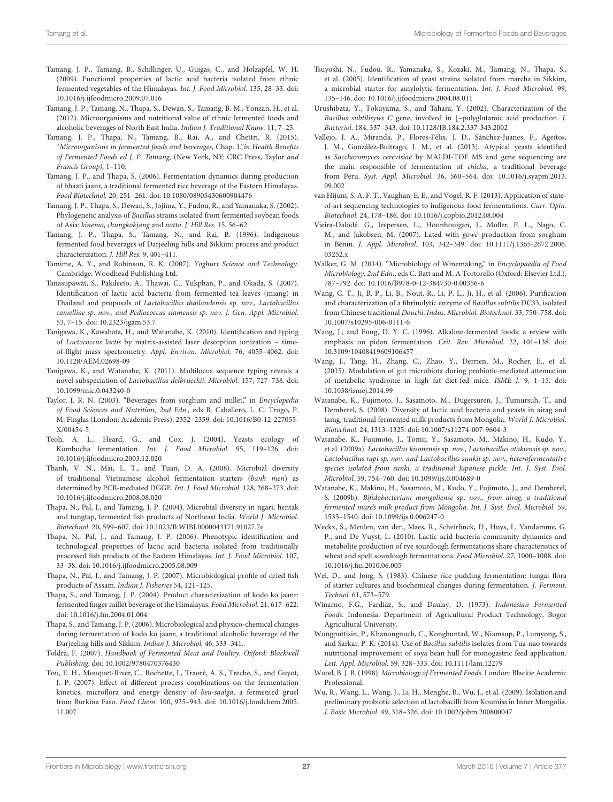- <span id="page-26-15"></span>Tamang, J. P., Tamang, B., Schillinger, U., Guigas, C., and Holzapfel, W. H. (2009). Functional properties of lactic acid bacteria isolated from ethnic fermented vegetables of the Himalayas. Int. J. Food Microbiol. 135, 28–33. doi: 10.1016/j.ijfoodmicro.2009.07.016
- <span id="page-26-26"></span>Tamang, J. P., Tamang, N., Thapa, S., Dewan, S., Tamang, B. M., Yonzan, H., et al. (2012). Microorganisms and nutritional value of ethnic fermented foods and alcoholic beverages of North East India. Indian J. Traditional Know. 11, 7–25.
- <span id="page-26-0"></span>Tamang, J. P., Thapa, N., Tamang, B., Rai, A., and Chettri, R. (2015). "Microorganisms in fermented foods and beverages, Chap. 1,"in Health Benefits of Fermented Foods ed J. P. Tamang, (New York, NY: CRC Press, Taylor and Francis Group), 1–110.
- <span id="page-26-32"></span>Tamang, J. P., and Thapa, S. (2006). Fermentation dynamics during production of bhaati jaanr, a traditional fermented rice beverage of the Eastern Himalayas. Food Biotechnol. 20, 251–261. doi: 10.1080/08905430600904476
- <span id="page-26-18"></span>Tamang, J. P., Thapa, S., Dewan, S., Jojima, Y., Fudou, R., and Yamanaka, S. (2002). Phylogenetic analysis of Bacillus strains isolated from fermented soybean foods of Asia: kinema, chungkokjang and natto. J. Hill Res. 15, 56–62.
- <span id="page-26-28"></span>Tamang, J. P., Thapa, S., Tamang, N., and Rai, B. (1996). Indigenous fermented food beverages of Darjeeling hills and Sikkim: process and product characterization. J. Hill Res. 9, 401–411.
- <span id="page-26-10"></span>Tamime, A. Y., and Robinson, R. K. (2007). Yoghurt Science and Technology. Cambridge: Woodhead Publishing Ltd.
- <span id="page-26-24"></span>Tanasupawat, S., Pakdeeto, A., Thawai, C., Yukphan, P., and Okada, S. (2007). Identification of lactic acid bacteria from fermented tea leaves (miang) in Thailand and proposals of Lactobacillus thailandensis sp. nov., Lactobacillus camelliae sp. nov., and Pediococcus siamensis sp. nov. J. Gen. Appl. Microbiol. 53, 7–15. doi: 10.2323/jgam.53.7
- <span id="page-26-7"></span>Tanigawa, K., Kawabata, H., and Watanabe, K. (2010). Identification and typing of Lactococcus lactis by matrix-assisted laser desorption ionization – timeof-flight mass spectrometry. Appl. Environ. Microbiol. 76, 4055–4062. doi: 10.1128/AEM.02698-09
- <span id="page-26-4"></span>Tanigawa, K., and Watanabe, K. (2011). Multilocus sequence typing reveals a novel subspeciation of Lactobacillus delbrueckii. Microbiol. 157, 727–738. doi: 10.1099/mic.0.043240-0
- <span id="page-26-36"></span>Taylor, J. R. N. (2003). "Beverages from sorghum and millet," in Encyclopedia of Food Sciences and Nutrition, 2nd Edn., eds B. Caballero, L. C. Trugo, P. M. Finglas (London: Academic Press), 2352–2359. doi: 10.1016/B0-12-227055- X/00454-5
- <span id="page-26-25"></span>Teoh, A. L., Heard, G., and Cox, J. (2004). Yeasts ecology of Kombucha fermentation. Int. J. Food Microbiol. 95, 119–126. doi: 10.1016/j.ijfoodmicro.2003.12.020
- <span id="page-26-29"></span>Thanh, V. N., Mai, L. T., and Tuan, D. A. (2008). Microbial diversity of traditional Vietnamese alcohol fermentation starters (banh men) as determined by PCR-mediated DGGE. Int. J. Food Microbiol. 128, 268–273. doi: 10.1016/j.ijfoodmicro.2008.08.020
- <span id="page-26-21"></span>Thapa, N., Pal, J., and Tamang, J. P. (2004). Microbial diversity in ngari, hentak and tungtap, fermented fish products of Northeast India. World J. Microbiol. Biotechnol. 20, 599–607. doi: 10.1023/B:WIBI.0000043171.91027.7e
- <span id="page-26-22"></span>Thapa, N., Pal, J., and Tamang, J. P. (2006). Phenotypic identification and technological properties of lactic acid bacteria isolated from traditionally processed fish products of the Eastern Himalayas. Int. J. Food Microbiol. 107, 33–38. doi: 10.1016/j.ijfoodmicro.2005.08.009
- <span id="page-26-23"></span>Thapa, N., Pal, J., and Tamang, J. P. (2007). Microbiological profile of dried fish products of Assam. Indian J. Fisheries 54, 121–125.
- <span id="page-26-31"></span>Thapa, S., and Tamang, J. P. (2004). Product characterization of kodo ko jaanr: fermented finger millet beverage of the Himalayas. Food Microbiol. 21, 617–622. doi: 10.1016/j.fm.2004.01.004
- <span id="page-26-34"></span>Thapa, S., and Tamang, J. P. (2006). Microbiological and physico-chemical changes during fermentation of kodo ko jaanr, a traditional alcoholic beverage of the Darjeeling hills and Sikkim. Indian J. Microbiol. 46, 333–341.
- <span id="page-26-20"></span>Toldra, F. (2007). Handbook of Fermented Meat and Poultry. Oxford: Blackwell Publishing. doi: 10.1002/9780470376430
- <span id="page-26-11"></span>Tou, E. H., Mouquet-River, C., Rochette, I., Traoré, A. S., Treche, S., and Guyot, J. P. (2007). Effect of different process combinations on the fermentation kinetics, microflora and energy density of ben-saalga, a fermented gruel from Burkina Faso. Food Chem. 100, 935–943. doi: 10.1016/j.foodchem.2005. 11.007
- <span id="page-26-30"></span>Tsuyoshi, N., Fudou, R., Yamanaka, S., Kozaki, M., Tamang, N., Thapa, S., et al. (2005). Identification of yeast strains isolated from marcha in Sikkim, a microbial starter for amylolytic fermentation. Int. J. Food Microbiol. 99, 135–146. doi: 10.1016/j.ijfoodmicro.2004.08.011
- <span id="page-26-2"></span>Urushibata, Y., Tokuyama, S., and Tahara, Y. (2002). Characterization of the Bacillus subtilisyws C gene, involved in [-polyglutamic acid production. J. Bacteriol. 184, 337–343. doi: 10.1128/JB.184.2.337-343.2002
- <span id="page-26-33"></span>Vallejo, J. A., Miranda, P., Flores-Félix, J. D., Sánchez-Juanes, F., Ageitos, J. M., González-Buitrago, J. M., et al. (2013). Atypical yeasts identified as Saccharomyces cerevisiae by MALDI-TOF MS and gene sequencing are the main responsible of fermentation of chicha, a traditional beverage from Peru. Syst. Appl. Microbiol. 36, 560–564. doi: 10.1016/j.syapm.2013. 09.002
- <span id="page-26-5"></span>van Hijum, S. A. F. T., Vaughan, E. E., and Vogel, R. F. (2013). Application of stateof-art sequencing technologies to indigenous food fermentations. Curr. Opin. Biotechnol. 24, 178–186. doi: 10.1016/j.copbio.2012.08.004
- <span id="page-26-14"></span>Vieira-Dalodé. G., Jespersen, L., Hounhouigan, J., Moller, P. L., Nago, C. M., and Jakobsen, M. (2007). Lated with gowé production from sorghum in Bénin. J. Appl. Microbiol. 103, 342–349. doi: 10.1111/j.1365-2672.2006. 03252 x
- <span id="page-26-37"></span>Walker, G. M. (2014). "Microbiology of Winemaking," in Encyclopaedia of Food Microbiology, 2nd Edn., eds C. Batt and M. A Tortorello (Oxford: Elsevier Ltd.), 787–792. doi: 10.1016/B978-0-12-384730-0.00356-6
- <span id="page-26-16"></span>Wang, C. T., Ji, B. P., Li, B., Nout, R., Li, P. L., Ji, H., et al. (2006). Purification and characterization of a fibrinolytic enzyme of Bacillus subtilis DC33, isolated from Chinese traditional Douchi. Indus. Microbiol. Biotechnol. 33, 750–758. doi: 10.1007/s10295-006-0111-6
- <span id="page-26-27"></span>Wang, J., and Fung, D. Y. C. (1996). Alkaline-fermented foods: a review with emphasis on pidan fermentation. Crit. Rev. Microbiol. 22, 101–138. doi: 10.3109/10408419609106457
- <span id="page-26-6"></span>Wang, J., Tang, H., Zhang, C., Zhao, Y., Derrien, M., Rocher, E., et al. (2015). Modulation of gut microbiota during probiotic-mediated attenuation of metabolic syndrome in high fat diet-fed mice. ISME J. 9, 1–15. doi: 10.1038/ismej.2014.99
- <span id="page-26-3"></span>Watanabe, K., Fujimoto, J., Sasamoto, M., Dugersuren, J., Tumursuh, T., and Demberel, S. (2008). Diversity of lactic acid bacteria and yeasts in airag and tarag, traditional fermented milk products from Mongolia. World J. Microbiol. Biotechnol. 24, 1313–1325. doi: 10.1007/s11274-007-9604-3
- <span id="page-26-13"></span>Watanabe, K., Fujimoto, J., Tomii, Y., Sasamoto, M., Makino, H., Kudo, Y., et al. (2009a). Lactobacillus kisonensis sp. nov., Lactobacillus otakiensis sp. nov., Lactobacillus rapi sp. nov. and Lactobacillus sunkii sp. nov., heterofermentative species isolated from sunki, a traditional Japanese pickle. Int. J. Syst. Evol. Microbiol. 59, 754–760. doi: 10.1099/ijs.0.004689-0
- <span id="page-26-8"></span>Watanabe, K., Makino, H., Sasamoto, M., Kudo, Y., Fujimoto, J., and Demberel, S. (2009b). Bifidobacterium mongoliense sp. nov., from airag, a traditional fermented mare's milk product from Mongolia. Int. J. Syst. Evol. Microbiol. 59, 1535–1540. doi: 10.1099/ijs.0.006247-0
- <span id="page-26-12"></span>Weckx, S., Meulen, van der., Maes, R., Scheirlinck, D., Huys, I., Vandamme, G. P., and De Vuyst, L. (2010). Lactic acid bacteria community dynamics and metabolite production of rye sourdough fermentations share characteristics of wheat and spelt sourdough fermentations. Food Microbiol. 27, 1000–1008. doi: 10.1016/j.fm.2010.06.005
- <span id="page-26-35"></span>Wei, D., and Jong, S. (1983). Chinese rice pudding fermentation: fungal flora of starter cultures and biochemical changes during fermentation. J. Ferment. Technol. 61, 573–579.
- <span id="page-26-17"></span>Winarno, F.G., Fardiaz, S., and Daulay, D. (1973). Indonesian Fermented Foods. Indonesia: Department of Agricultural Product Technology, Bogor Agricultural University.
- <span id="page-26-19"></span>Wongputtisin, P., Khanongnuch, C., Kongbuntad, W., Niamsup, P., Lumyong, S., and Sarkar, P. K. (2014). Use of Bacillus subtilis isolates from Tua-nao towards nutritional improvement of soya bean hull for monogastric feed application. Lett. Appl. Microbiol. 59, 328–333. doi: 10.1111/lam.12279
- <span id="page-26-1"></span>Wood, B. J. B. (1998). Microbiology of Fermented Foods. London: Blackie Academic Professional,
- <span id="page-26-9"></span>Wu, R., Wang, L., Wang, J., Li, H., Menghe, B., Wu, J., et al. (2009). Isolation and preliminary probiotic selection of lactobacilli from Koumiss in Inner Mongolia. J. Basic Microbiol. 49, 318–326. doi: 10.1002/jobm.200800047